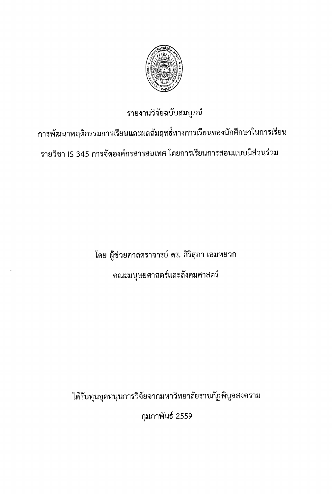

# รายงานวิจัยฉบับสมบูรณ์

การพัฒนาพฤติกรรมการเรียนและผลสัมฤทธิ์ทางการเรียนของนักศึกษาในการเรียน รายวิชา IS 345 การจัดองค์กรสารสนเทศ โดยการเรียนการสอนแบบมีส่วนร่วม

> โดย ผู้ช่วยศาสตราจารย์ ดร. ศิริสุภา เอมหยวก ึคณะมนุษยศาสตร์และสังคมศาสตร์

ได้รับทุนอุดหนุนการวิจัยจากมหาวิทยาลัยราชภัฏพิบูลสงคราม

กุมภาพันธ์ 2559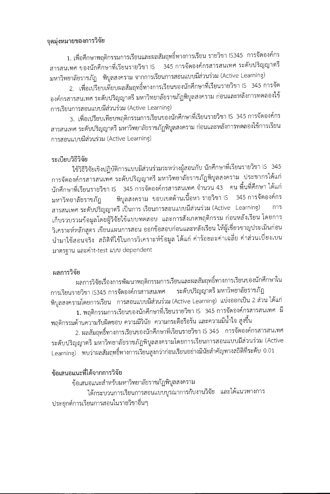### จดม่งหมายของการวิจัย

1. เพื่อศึกษาพฤติกรรมการเรียนและผลสัมฤทธิ์ทางการเรียน รายวิชา IS345 การจัดองค์กร 345 การจัดองค์กรสารสนเทศ ระดับปริญญาตรี สารสนเทศ ของนักศึกษาที่เรียนรายวิชา IS มหาวิทยาลัยราชภัฏ พิบูลสงคราม จากการเรียนการสอนแบบมีส่วนร่วม (Active Learning)

2. เพื่อเปรียบเทียบผลสัมฤทธิ์ทางการเรียนของนักศึกษาที่เรียนรายวิชา IS 345 การจัด ้องค์กรสารสนเทศ ระดับปริญญาตรี มหาวิทยาลัยราชภัฏพิบูลสงคราม ก่อนและหลังการทดลองใช้ การเรียนการสอนแบบมีส่วนร่วม (Active Learning)

3. เพื่อเปรียบเทียบพฤติกรรมการเรียนของนักศึกษาที่เรียนรายวิชา IS 345 การจัดองค์กร สารสนเทศ ระดับปริญญาตรี มหาวิทยาลัยราชภัฏพิบูลสงคราม ก่อนและหลังการทดลองใช้การเรียน การสอนแบบมีส่วนร่วม (Active Learning)

# ระเบียบวิธีวิจัย

ใช้วิธีวิจัยเชิงปฏิบัติการแบบมีส่วนร่วมระหว่างผู้สอนกับ นักศึกษาที่เรียนรายวิชา IS 345 การจัดองค์กรสารสนเทศ ระดับปริญญาตรี มหาวิทยาลัยราชภัฏพิบูลสงคราม ประชากรได้แก่ นักศึกษาที่เรียนรายวิชา IS 345 การจัดองค์กรสารสนเทศ จำนวน 43 คน พื้นที่ศึกษา ได้แก่ ์ พิบูลสงคราม ขอบเขตด้านเนื้อหา รายวิชา IS 345 การจัดองค์กร มหาวิทยาลัยราชภัฏ สารสนเทศ ระดับปริญญาตรี เป็นการ เรียนการสอนแบบมีส่วนร่วม (Active Learning) การ เก็บรวบรวมข้อมูลโดยผู้วิจัยใช้แบบทดสอบ และการสังเกตพฤติกรรม ก่อนหลังเรียน โดยการ วิเคราะห์หลักสูตร เขียนแผนการสอน ออกข้อสอบก่อนและหลังเรียน ให้ผู้เชี่ยวชาญประเมินก่อน นำมาใช้สอนจริง สถิติที่ใช้ในการวิเคราะห์ข้อมูล ได้แก่ ค่าร้อยละค่าเฉลี่ย ค่าส่วนเบี่ยงเบน มาตรธาน และค่าt-test แบบ dependent

# ผลการวิจัย

ผลการวิจัยเรื่องการพัฒนาพฤติกรรมการเรียนและผลสัมฤทธิ์ทางการเรียนของนักศึกษาใน ระดับปริญญาตรี มหาวิทยาลัยราชภัฏ การเรียนรายวิชา IS345 การจัดองค์กรสารสนเทศ พิบูลสงครามโดยการเรียน การสอนแบบมีส่วนร่วม (Active Learning) แบ่งออกเป็น 2 ส่วน ได้แก่ 1. พฤติกรรมการเรียนของนักศึกษาที่เรียนรายวิชา IS 345 การจัดองค์กรสารสนเทศ มี

พฤติกรรมด้านความรับผิดชอบ ความมีวินัย ความกระตือรือรัน และความมีน้ำใจ สูงขึ้น

2. ผลสัมฤทธิ์ทางการเรียนของนักศึกษาที่เรียนรายวิชา IS 345 การจัดองค์กรสารสนเทศ ระดับปริญญาตรี มหาวิทยาลัยราชภัฏพิบูลสงครามโดยการเรียนการสอนแบบมีส่วนร่วม (Active Learning) พบว่าผลสัมฤทธิ์ทางการเรียนสูงกว่าก่อนเรียนอย่างมีนัยสำคัญทางสถิติที่ระดับ 0.01

# ข้อเสนอแนะที่ได้จากการวิจัย

ข้อเสนอแนะสำหรับมหาวิทยาลัยราชภัฏพิบูลสงคราม ได้กระบวนการเรียนการสอนแบบบูรณาการกับงานวิจัย และได้แนวทางการ ประยกต์การเรียนการสอนในรายวิชาอื่นๆ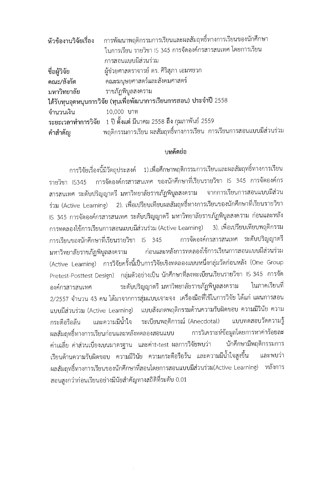| หัวข้องานวิจัยเรื่อง                                                          | การพัฒนาพฤติกรรมการเรียนและผลสัมฤทธิ์ทางการเรียนของนักศึกษา |  |  |  |  |
|-------------------------------------------------------------------------------|-------------------------------------------------------------|--|--|--|--|
| ในการเรียน รายวิชา IS 345 การจัดองค์กรสารสนเทศ โดยการเรียน                    |                                                             |  |  |  |  |
| การสอนแบบมีส่วนร่วม                                                           |                                                             |  |  |  |  |
| ผู้ช่วยศาสตราจารย์ ดร. ศิริสุภา เอมหยวก<br>ชื่อผู้วิจัย                       |                                                             |  |  |  |  |
| คณะมนุษยศาสตร์และสังคมศาสตร์<br>คณะ/สังกัด                                    |                                                             |  |  |  |  |
| ราชภัฏพิบูลสงคราม<br>มหาวิทยาลัย                                              |                                                             |  |  |  |  |
| ได้รับทุนอุดหนุนการวิจัย (ทุนเพื่อพัฒนาการเรียนการสอน) ประจำปี 2558           |                                                             |  |  |  |  |
| จำนวนเงิน<br>10,000 บาท                                                       |                                                             |  |  |  |  |
| ระยะเวลาทำการวิจัย   1 ปี ตั้งแต่ มีนาคม 2558 ถึง กุมภาพันธ์ 2559             |                                                             |  |  |  |  |
| พฤติกรรมการเรียน ผลสัมฤทธิ์ทางการเรียน การเรียนการสอนแบบมีส่วนร่วม<br>คำสำคัญ |                                                             |  |  |  |  |

### บทคัดย่อ

การวิจัยเรื่องนี้มีวัตถุประสงค์ 1).เพื่อศึกษาพฤติกรรมการเรียนและผลสัมฤทธิ์ทางการเรียน การจัดองค์กรสารสนเทศ ของนักศึกษาที่เรียนรายวิชา IS 345 การจัดองค์กร รายวิชา IS345 สารสนเทศ ระดับปริญญาตรี มหาวิทยาลัยราชภัฏพิบูลสงคราม จากการเรียนการสอนแบบมีส่วน ร่วม (Active Learning) 2). เพื่อเปรียบเทียบผลสัมฤทธิ์ทางการเรียนของนักศึกษาที่เรียนรายวิชา IS 345 การจัดองค์กรสารสนเทศ ระดับปริญญาตรี มหาวิทยาลัยราชภัฏพิบูลสงคราม ก่อนและหลัง 3). เพื่อเปรียบเทียบพฤติกรรม การทดลองใช้การเรียนการสอนแบบมีส่วนร่วม (Active Learning) การจัดองค์กรสารสนเทศ ระดับปริญญาตรี การเรียนของนักศึกษาที่เรียนรายวิชา IS 345 ก่อนและหลังการทดลองใช้การเรียนการสอนแบบมีส่วนร่วม มหาวิทยาลัยราชภัฏพิบูลสงคราม (Active Learning) การวิจัยครั้งนี้เป็นการวิจัยเชิงทดลองแบบหนึ่งกลุ่มวัดก่อนหลัง (One Group Pretest-Posttest Design) กลุ่มตัวอย่างเป็น นักศึกษาที่ลงทะเบียนเรียนรายวิชา IS 345 การจัด ระดับปริญญาตรี มหาวิทยาลัยราชภัฏพิบูลสงคราม ในภาคเรียนที องค์กรสารสนเทศ 2/2557 จำนวน 43 คน ได้มาจากการสุ่มแบบเจาะจง เครื่องมือที่ใช้ในการวิจัย ได้แก่ แผนการสอน แบบมีส่วนร่วม (Active Learning) แบบสังเกตพฤติกรรมด้านความรับผิดชอบ ความมีวินัย ความ ระเบียนพฤติการณ์ (Anecdotal) แบบทดสอบวัดความรู้ และความมีน้ำใจ กระตีกรีกลั้น ผลสัมฤทธิ์ทางการเรียนก่อนและหลังทดลองสอนแบบ การวิเคราะห์ข้อมูลโดยการหาค่าร้อยละ ค่าเฉลี่ย ค่าส่วนเบี่ยงเบนมาตรฐาน และค่าt-test ผลการวิจัยพบว่า นักศึกษามีพฤติกรรมการ เรียนด้านความรับผิดชอบ ความมีวินัย ความกระตือรือรัน และความมีน้ำใจสูงขึ้น และพบว่า ผลสัมฤทธิ์ทางการเรียนของนักศึกษาที่สอนโดยการสอนแบบมีส่วนร่วม(Active Learning) หลังการ สอนสงกว่าก่อนเรียนอย่างมีนัยสำคัญทางสถิติที่ระดับ 0.01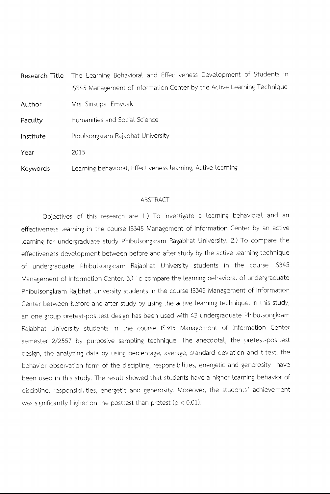|                 | Research Title The Learning Behavioral and Effectiveness Development of Students in |
|-----------------|-------------------------------------------------------------------------------------|
|                 | IS345 Management of Information Center by the Active Learning Technique             |
| Author          | Mrs. Sirisupa Emyuak                                                                |
| Faculty         | Humanities and Social Science                                                       |
| Institute       | Pibulsongkram Rajabhat University                                                   |
| Year            | 2015                                                                                |
| <b>Keywords</b> | earning behavioral, Effectiveness learning, Active learning                         |

#### ABSTRACT

Objectives of this research are 1.) To investigate a learning behavioral and an effectiveness learning in the course 1S345 Management of Information Center by an active learning for undergraduate study Phibulsongkram Ragabhat University. 2.) To compare the effectiveness development between before and after study by the active learning technique of undergraduate Phibulsongkram Rajabhat University students in the course IS345 Management of Information Center. 3.) To compare the learning behavioral of undergraduate Phibulsongkram Rajbhat University students in the course IS345 Management of Information Center between before and after study by using the active learning technique. In this study, an one group pretest-posttest design has been used with 43 undergraduate Phibulsongkram Rajabhat University students in the course 1S345 Management of Information Center semester 2/2557 by purposive sampling technique. The anecdotal, the pretest-posttest design, the analyzing data by using percentage, average, standard deviation and t-test, the behavior observation form of the discipline, responsibilities, energetic and generosity have been used in this study. The result showed that students have a higher learning behavior of discipline, responsibilities, energetic and generosity. Moreover, the students' achievement was significantly higher on the posttest than pretest ( $p < 0.01$ ).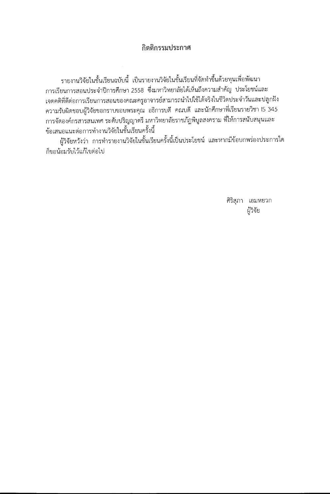# กิตติกรรมประกาศ

รายงานวิจัยในชั้นเรียนฉบับนี้ เป็นรายงานวิจัยในชั้นเรียนที่จัดทำขึ้นด้วยทุนเพื่อพัฒนา การเรียนการสอนประจำปีการศึกษา 2558 ซึ่งมหาวิทยาลัยได้เห็นถึงความสำคัญ ประโยชน์และ เจตคติที่ดีต่อการเรียนการสอนของคณะครูอาจารย์สามารถนำไปใช้ได้จริงในชีวิตประจำวันและปลูกฝัง ความรับผิดชอบผู้วิจัยขอกราบขอบพระคุณ อธิการบดี คณบดี และนักศึกษาที่เรียนรายวิชา IS 345 การจัดองค์กรสารสนเทศ ระดับปริญญาตรี มหาวิทยาลัยราชภัฏพิบูลสงคราม ที่ให้การสนับสนุนและ ข้อเสนอแนะต่อการทำงานวิจัยในชั้นเรียนครั้งนี้

ผู้วิจัยหวังว่า การทำรายงานวิจัยในชั้นเรียนครั้งนี้เป็นประโยชน์ และหากมีข้อบกพร่องประการใด ก็ขอน้อมรับไว้แก้ไขต่อไป

> ศิริสุภา เอมหยวก ผู้วิจัย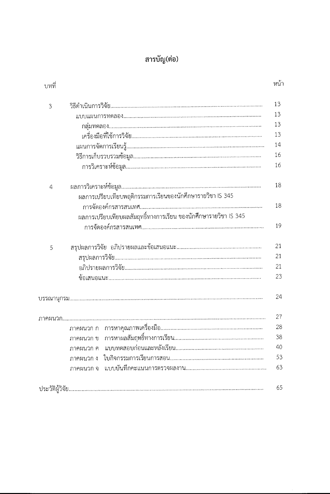# สารบัญ(ต่อ)

| บทที่          |                                                                 | หน้' |
|----------------|-----------------------------------------------------------------|------|
| 3              |                                                                 | 13   |
|                |                                                                 | 13   |
|                |                                                                 | 13   |
|                |                                                                 | 13   |
|                |                                                                 | 14   |
|                |                                                                 | 16   |
|                |                                                                 | 16   |
| $\overline{a}$ |                                                                 | 18   |
|                | ผลการเปรียบเทียบพฤติกรรมการเรียนของนักศึกษารายวิชา IS 345       |      |
|                |                                                                 | 18   |
|                | ผลการเปรียบเทียบผลสัมฤทธิ์ทางการเรียน ของนักศึกษารายวิชา IS 345 |      |
|                |                                                                 | 19   |
| 5              |                                                                 | 21   |
|                |                                                                 | 21   |
|                |                                                                 | 21   |
|                |                                                                 | 23   |
|                |                                                                 | 24   |
|                |                                                                 | 27   |
|                |                                                                 | 28   |
|                |                                                                 | 38   |
|                | ภาคผนวก ค    แบบทดสอบก่อนและหลังเรียน                           | 40   |
|                | ภาคผนวก ง                                                       | 53   |
|                |                                                                 | 63   |
|                |                                                                 | 65   |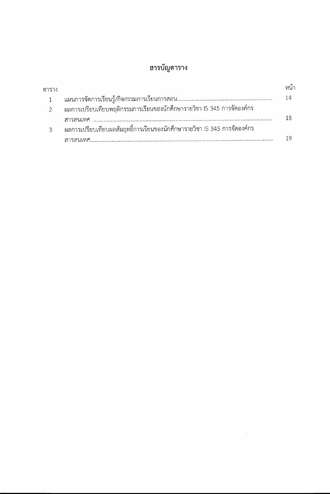# สารบัญตาราง

| ตาราง |                                                                            |  |
|-------|----------------------------------------------------------------------------|--|
|       |                                                                            |  |
|       | ่ ผลการเปรียบเทียบพฤติกรรมการเรียนของนักศึกษารายวิชา IS 345 การจัดองค์กร   |  |
|       |                                                                            |  |
| 3     | ่ ผลการเปรียบเทียบผลสัมฤทธิ์การเรียนของนักศึกษารายวิชา IS 345 การจัดองค์กร |  |
|       |                                                                            |  |

 $\label{eq:2} \mathcal{L} = \mathcal{L} \left( \mathcal{L} \right) \left( \mathcal{L} \right) \left( \mathcal{L} \right)$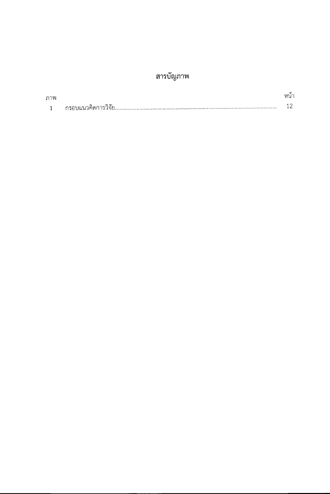# สารบัญภาพ

| ภาพ |     | หนา |
|-----|-----|-----|
|     | ن ۾ |     |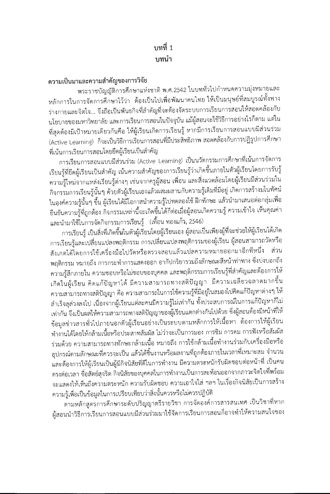# บทที่ 1 บพน้า

# ความเป็นมาและความสำคัญของการวิจัย

พระราชบัญญัติการศึกษาแห่งชาติ พ.ศ.2542 ในบททั่วไปกำหนดความมุ่งหมายและ หลักการในการจัดการศึกษาไว้ว่า ต้องเป็นไปเพื่อพัฒนาคนไทย ให้เป็นมนุษย์ที่สมบูรณ์ทั้งทาง ร่างกายและจิตใจ... จึงถือเป็นพันธกิจที่สำคัญที่จะต้องจัดระบบการเรียนการสอนให้สอดคล้องกับ นโยบายของมหาวิทยาลัย และการเรียนการสอนในปัจจุบัน แม้ผู้สอนจะใช้วิธีการอย่างไรก็ตาม แต่ใน ที่สุดต้องมีเป้าหมายเดียวกันคือ ให้ผู้เรียนเกิดการเรียนรู้ หากมีการเรียนการสอนแบบมีส่วนร่วม (Active Learning) ก็จะเป็นวิธีการเรียนการสอนที่มีประสิทธิภาพ สอดคล้องกับการปฏิรูปการศึกษา ที่เน้นการเรียนการสอนโดยยึดผู้เรียนเป็นสำคัญ

การเรียนการสอนแบบมีส่วนร่วม (Active Learning) เป็นนวัตกรรมการศึกษาที่เน้นการจัดการ เรียนรู้ที่ยึดผู้เรียนเป็นสำคัญ เน้นความสำคัญของการเรียนรู้ว่าเกิดขึ้นภายในตัวผู้เรียนโดยการรับรู้ ความรู้ใหม่จากแหล่งเรียนรู้ต่างๆ เช่นจากครูผู้สอน เพื่อน และสิ่งแวดล้อมโดยผู้เรียนมีส่วนร่วมใน กิจกรรมการเรียนรู้นั้นๆ ด้วยตัวผู้เรียนเองแล้วผสมผสานกับความรู้เดิมที่มีอยู่ เกิดการสร้างมโนทัศน์ ในองค์ความรู้นั้นๆ ขึ้น ผู้เรียนได้มีโอกาสนำความรู้ไปทดลองใช้ ฝึกทักษะ แล้วนำมาเสนอต่อกลุ่มเพื่อ ้ยืนยันความรู้ที่ถูกต้อง กิจกรรมเหล่านี้จะเกิดขึ้นได้ก็ต่อเมื่อผู้สอนเกิดความรู้ ความเข้าใจ เห็นคุณค่า และนำมาใช้ในการจัดกิจกรรมการเรียนรู้ (เทื้อน ทองแก้ว, 2546)

การเรียนรู้ เป็นสิ่งที่เกิดขึ้นในตัวผู้เรียนโดยผู้เรียนเอง ผู้สอนเป็นเพียงผู้ที่จะช่วยให้ผู้เรียนได้เกิด การเรียนรู้และเปลี่ยนแปลงพฤติกรรม การเปลี่ยนแปลงพฤติกรรมของผู้เรียน ผู้สอนสามารถวัดหรือ สังเกตได้โดยการใช้เครื่องมือไปวัดหรือตรวจสอบแล้วแปลความหมายออกมาอีกทีหนึ่ง ส่วน พฤติกรรม หมายถึง การกระทำการแสดงออก อากัปกริยารวมถึงลักษณะสีหน้าท่าทาง ซึ่งบ่งบอกถึง ความรู้สึกภายใน ความชอบหรือไม่ชอบของบุคคล และพฤติกรรมการเรียนรู้ที่สำคัญและต้องการให้ เกิดในผู้เรียน คิดแก้ปัญหาได้ มีความสามารถทางสติปัญญา มีความเฉลี่ยวฉลาดมากขึ้น ความสามารถทางสติปัญญา คือ ความสามารถในการใช้ความรู้ที่มีอยู่ในสมองไปคิดแก้ปัญหาต่างๆ ให้ สำเร็จลุล่วงลงไป เนื่องจากผู้เรียนแต่ละคนมีความรู้ไม่เท่ากัน ทั้งประสบการณ์ในการแก้ปัญหาก็ไม่ เท่ากัน จึงเป็นผลให้ความสามารถทางสติปัญญาของผู้เรียนแตกต่างกันไปด้วย ซึ่งผู้สอนต้องมีหน้าที่ให้ ข้อมูลข่าวสารทั่วไปภายนอกตัวผู้เรียนอย่างเป็นระบบตามหลักการให้เนื้อหา ต้องการให้ผู้เรียน ทำงานได้โดยให้กล้ามเนื้อหรือประสาทสัมผัส ไม่ว่าจะเป็นการมอง การชิม การดม การฟังหรือสัมผัส ร่วมด้วย ความสามารถทางทักษะกล้ามเนื้อ หมายถึง การใช้กล้ามเนื้อทำงานร่วมกับเครื่องมือหรือ อุปกรณ์ตามลักษณะที่ควรจะเป็น แล้วได้ชิ้นงานหรือผลงานที่ถูกต้องภายในเวลาที่เหมาะสม จำนวน และต้องการให้ผู้เรียนเป็นผู้มีกิจนิสัยที่ดีในการทำงาน มีความตระหนักรับผิดชอบต่อหน้าที่ เป็นคน ตรงต่อเวลา ชื่อสัตย์สุจริต กิจนิสัยของบุคคลในการทำงานเป็นการสะท้อนออกจากภาวะจิตใจที่พร้อม จะแสดงให้เห็นถึงความตระหนัก ความรับผิดชอบ ความเอาใจใส่ ฯลฯ ในเรื่องกิจนิสัยเป็นการสร้าง ความรู้เพื่อเป็นข้อมูลในการเปรียบเทียบว่าสิ่งนั้นควรหรือไม่ควรปฏิบัติ

ตามหลักสูตรการศึกษาระดับปริญญาตรีรายวิชา การจัดองค์การสารสนเทศ เป็นวิชาที่หาก ผู้สอนนำวิธีการเรียนการสอนแบบมีส่วนร่วมมาใช้จัดการเรียนการสอนก็อาจทำให้ความสนใจของ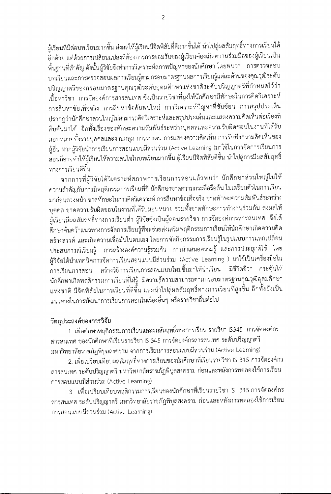ผู้เรียนที่มีต่อบทเรียนมากขึ้น ส่งผลให้ผู้เรียนมีจิตพิสัยที่ดีมากขึ้นได้ นำไปสู่ผลสัมฤทธิ์ทางการเรียนได้ ้อีกด้วย แต่ด้วยการเปลี่ยนแปลงที่ต้องการการยอมรับของผู้เรียนค้องเกิดความร่วมมือของผู้เรียนเป็น พื้นฐานที่สำคัญ ดังนั้นผู้วิจัยจึงทำการวิเคราะห์สภาพปัญหาของนักศึกษา โดยพบว่า การตรวจสอบ บทเรียนและการตรวจสอบผลการเรียนรู้ตามกรอบมาตรฐานผลการเรียนรู้แต่ละด้านของคุณวุฒิระดับ ปริญญาตรีของกรอบมาตรฐานคุณวุฒิระดับอุดมศึกษาแห่งชาติระดับปริญญาตรีที่กำหนดไว้ว่า เนื้อหาวิชา การจัดองค์การสารสนเทศ ซึ่งเป็นรายวิชาที่มุ่งให้นักศึกษามีทักษะในการคิดวิเคราะห์ การสืบหาข้อเท็จจริง การสืบหาข้อค้นพบใหม่ การวิเคราะห์ปัญหาที่ซับซ้อน การสรุปประเด็น ปรากฏว่านักศึกษาส่วนใหญ่ไม่สามารถคิดวิเคราะห์และสรุปประเด็นและแสดงความคิดเห็นต่อเรื่องที่ สืบค้นมาได้ อีกทั้งเรื่องของทักษะความสัมพันธ์ระหว่างบุคคลและความรับผิดชอบในงานที่ได้รับ มอบหมายทั้งรายบุคคลและงานกลุ่ม การวางตน การแสดงความคิดเห็น การรับฟังความคิดเห็นของ ผู้อื่น หากผู้วิจัยนำการเรียนการสอนแบบมีส่วนร่วม (Active Learning )มาใช้ในการจัดการเรียนการ สอนก็อาจทำให้ผู้เรียนให้ความสนใจในบทเรียนมากขึ้น ผู้เรียนมีจิตพิสัยดีขึ้น นำไปสู่การมีผลสัมฤทธิ์ ทางการเรียนดีขึ้น

จากการที่ผู้วิจัยได้วิเคราะห์สภาพการเรียนการสอนแล้วพบว่า นักศึกษาส่วนใหญ่ไม่ให้ ความสำคัญกับการมีพฤติกรรมการเรียนที่ดี นักศึกษาขาดความกระตือรือล้น ไม่เตรียมตัวในการเรียน มาก่อนล่วงหน้า ขาดทักษะในการคิดวิเคราะห์ การสืบหาข้อเท็จจริง ขาดทักษะความสัมพันธ์ระหว่าง บุคคล ขาดความรับผิดชอบในงานที่ได้รับมอบหมาย รวมทั้งขาดทักษะการทำงานร่วมกัน ส่งผลให้ ผู้เรียนมีผลสัมฤทธิ์ทางการเรียนต่ำ ผู้วิจัยซึ่งเป็นผู้สอนรายวิชา การจัดองค์การสารสนเทศ จึงได้ ศึกษาค้นคว้าแนวทางการจัดการเรียนรู้ที่จะช่วยส่งเสริมพฤติกรรมการเรียนให้นักศึกษาเกิดความคิด สร้างสรรค์ และเกิดความเชื่อมั่นในตนเอง โดยการจัดกิจกรรมการเรียนรู้ในรูปแบบการแลกเปลี่ยน ประสบการณ์เรียนรู้ การสร้างองค์ความรู้ร่วมกัน การนำเสนอความรู้ และการประยุกต์ใช้ โดย ผู้วิจัยได้นำเทคนิคการจัดการเรียนสอนแบบมีส่วนร่วม (Active Learning ) มาใช้เป็นเครื่องมือใน ้การเรียนการสอน สร้างวิธีการเรียนการสอนแบบใหม่ขึ้นมาให้น่าเรียน มีชีวิตชีวา กระตุ้นให้ นักศึกษาเกิดพฤติกรรมการเรียนที่ใฝ่รู้ มีความรู้ความสามารถตามกรอบมาตรฐานคุณวุฒิอุดมศึกษา แห่งชาติ มีจิตพิสัยในการเรียนที่ดีขึ้น และนำไปสู่ผลสัมฤทธิ์ทางการเรียนที่สูงขึ้น อีกทั้งยังเป็น แนวทางในการพัฒนาการเรียนการสอนในเรื่องอื่นๆ หรือรายวิชาอื่นต่อไป

# วัตถุประสงค์ของการวิจัย

1. เพื่อศึกษาพฤติกรรมการเรียนและผลสัมฤทธิ์ทางการเรียน รายวิชา IS345 การจัดองค์กร สารสนเทศ ของนักศึกษาที่เรียนรายวิชา IS 345 การจัดองค์กรสารสนเทศ ระดับปริญญาตรี มหาวิทยาลัยราชภัฏพิบูลสงคราม จากการเรียนการสอนแบบมีส่วนร่วม (Active Learning)

2. เพื่อเปรียบเทียบผลสัมฤทธิ์ทางการเรียนของนักศึกษาที่เรียนรายวิชา IS 345 การจัดองค์กร สารสนเทศ ระดับปริญญาตรี มหาวิทยาลัยราชภัฏพิบูลสงคราม ก่อนและหลังการทดลองใช้การเรียน การสอนแบบมีส่วนร่วม (Active Learning)

3. เพื่อเปรียบเทียบพฤติกรรมการเรียนของนักศึกษาที่เรียนรายวิชา IS 345 การจัดองค์กร สารสนเทศ ระดับปริญญาตรี มหาวิทยาลัยราชภัฏพิบูลสงคราม ก่อนและหลังการทดลองใช้การเรียน การสอนแบบมีส่วนร่วม (Active Learning)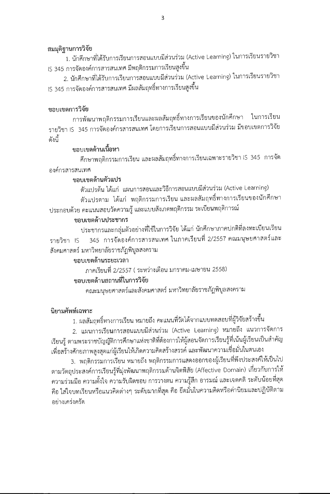#### สมมุติฐานการวิจัย

์ 1. นักศึกษาที่ได้รับการเรียนการสอนแบบมีส่วนร่วม (Active Learning) ในการเรียนรายวิชา IS 345 การจัดองค์การสารสนเทศ มีพฤติกรรมการเรียนสูงขึ้น

2. นักศึกษาที่ได้รับการเรียนการสอนแบบมีส่วนร่วม (Active Learning) ในการเรียนรายวิชา IS 345 การจัดองค์การสารสนเทศ มีผลสัมฤทธิ์ทางการเรียนสูงขึ้น

### ขอบเขตการวิจัย

การพัฒนาพฤติกรรมการเรียนและผลสัมฤทธิ์ทางการเรียนของนักศึกษา ในการเรียน รายวิชา IS 345 การจัดองค์กรสารสนเทศ โดยการเรียนการสอนแบบมีส่วนร่วม มีขอบเขตการวิจัย ดังบี้

# ขอบเขตด้านเนื้อหา

์ศึกษาพฤติกรรมการเรียน และผลสัมฤทธิ์ทางการเรียนเฉพาะรายวิชา IS 345 การจัด องค์กรสารสนเทศ

# ขอบเขตด้านตัวแปร

ตัวแปรต้น ได้แก่ แผนการสอนและวิธีการสอนแบบมีส่วนร่วม (Active Learning) ตัวแปรตาม ได้แก่ พฤติกรรมการเรียน และผลสัมฤทธิ์ทางการเรียนของนักศึกษา ประกอบด้วย คะแนนสอบวัดความรู้ และแบบสังเกตพฤติกรรม ระเบียนพฤติการณ์

### ขอบเขตด้านประชากร

ประชากรและกลุ่มตัวอย่างที่ใช้ในการวิจัย ได้แก่ นักศึกษาภาคปกติที่ลงทะเบียนเรียน 345 การจัดองค์การสารสนเทศ ในภาคเรียนที่ 2/2557 คณมนุษยศาสตร์และ รายวิชา IS สังคมศาสตร์ มหาวิทยาลัยราชภัฏพิบูลสงคราม

### ขอบเขตด้านระยะเวลา

ภาคเรียนที่ 2/2557 ( ระหว่างเดือน มกราคม-เมษายน 2558)

### ขอบเขตด้านสถานที่ในการวิจัย

คณะมนุษยศาสตร์และสังคมศาสตร์ มหาวิทยาลัยราชภัฏพิบูลสงคราม

# นิยามศัพท์เฉพาะ

1. ผลสัมฤทธิ์ทางการเรียน หมายถึง คะแนนที่วัดได้จากแบบทดสอบที่ผู้วิจัยสร้างขึ้น

2. แผนการเรียนการสอนแบบมีส่วนร่วม (Active Learning) หมายถึง แนวการจัดการ เรียนรู้ ตามพระราชบัญญัติการศึกษาแห่งชาติที่ต้องการให้ผู้สอนจัดการเรียนรู้ที่เน้นผู้เรียนเป็นสำคัญ เพื่อสร้างศักยภาพสูงสุดแก่ผู้เรียนให้เกิดความคิดสร้างสรรค์ และพัฒนาความเชื่อมั่นในตนเอง

3. พฤติกรรมการเรียน หมายถึง พฤติกรรมการแสดงออกของผู้เรียนที่พึงประสงค์ให้เป็นไป ตามวัตถุประสงค์การเรียนรู้ที่มุ่งพัฒนาพฤติกรรมด้านจิตพิสัย (Affective Domain) เกี่ยวกับการให้ ความร่วมมือ ความตั้งใจ ความรับผิดชอบ การวางตน ความรู้สึก อารมณ์ และเจตคติ ระดับน้อยที่สุด คือ ใส่ใจบทเรียนหรือแนวคิดต่างๆ ระดับมากที่สุด คือ ยึดมั่นในความคิดหรือค่านิยมและปฏิบัติตาม อย่างเคร่งครัด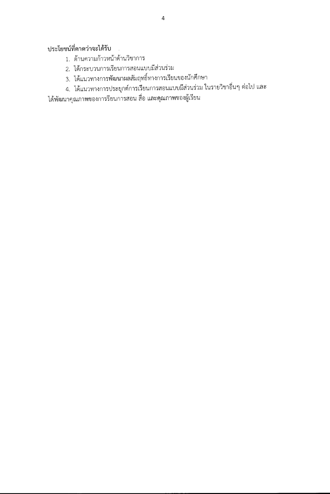# ประโยชน์ที่คาดว่าจะได้รับ

- 1. ด้านความก้าวหน้าด้านวิชาการ
- 2. ได้กระบวนการเรียนการสอนแบบมีส่วนร่วม
- 3. ได้แนวทางการพัฒนาผลสัมฤทธิ์ทางการเรียนของนักศึกษา
- 4. ได้แนวทางการประยุกต์การเรียนการสอนแบบมีส่วนร่วม ในรายวิชาอื่นๆ ต่อไป และ

ได้พัฒนาคุณภาพของการรียนการสอน สื่อ และคุณภาพของผู้เรียน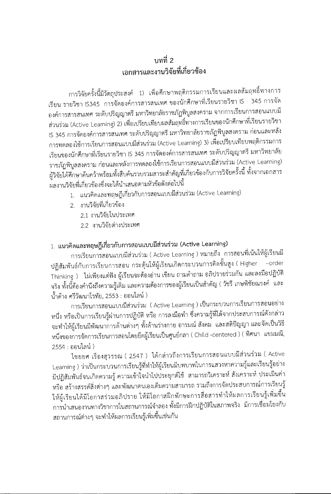# าเทที่ 2 เอกสารและงานวิจัยที่เกี่ยวข้อง

การวิจัยครั้งนี้มีวัตถุประสงค์ 1) เพื่อศึกษาพฤติกรรมการเรียนและผลสัมฤทธิ์ทางการ เรียน รายวิชา IS345 การจัดองค์การสารสนเทศ ของนักศึกษาที่เรียนรายวิชา IS ่ 345 การจัด องค์การสารสนเทศ ระดับปริญญาตรี มหาวิทยาลัยราชภัฏพิบูลสงคราม จากการเรียนการสอนแบบมี ส่วนร่วม (Active Learning) 2) เพื่อเปรียบเทียบผลสัมฤทธิ์ทางการเรียนของนักศึกษาที่เรียนรายวิชา IS 345 การจัดองค์การสารสนเทศ ระดับปริญญาตรี มหาวิทยาลัยราชภัฏพิบูลสงคราม ก่อนและหลัง การทดลองใช้การเรียนการสอนแบบมีส่วนร่วม (Active Learning) 3) เพื่อเปรียบเทียบพฤติกรรมการ เรียนของนักศึกษาที่เรียนรายวิชา IS 345 การจัดองค์การสารสนเทศ ระดับปริญญาตรี มหาวิทยาลัย ราชภัฏพิบูลสงคราม ก่อนและหลังการทดลองใช้การเรียนการสอนแบบมีส่วนร่วม (Active Learning) ผู้วิจัยได้ศึกษาค้นคว้าพร้อมทั้งสืบค้นรวบรวมสาระสำคัญที่เกี่ยวข้องกับการวิจัยครั้งนี้ ทั้งจากเอกสาร ผลงานวิจัยที่เกี่ยวข้องซึ่งจะได้นำเสนอตามหัวข้อดังต่อไปนี้

- 1. แนวคิดและทฤษฎีเกี่ยวกับการสอนแบบมีส่วนร่วม (Active Learning)
- 2. งานวิจัยที่เกี่ยวข้อง
	- 2.1 งานวิจัยในประเทศ
	- 2.2 งานวิจัยต่างประเทศ

# 1. แนวคิดและทฤษฏีเกี่ยวกับการสอนแบบมีส่วนร่วม (Active Learning)

การเรียนการสอนแบบมีส่วนร่วม ( Active Learning ) หมายถึง การสอนที่เน้นให้ผู้เรียนมี ปฏิสัมพันธ์กับการเรียนการสอน กระตุ้นให้ผู้เรียนเกิดกระบวนการคิดขั้นสูง ( Higher -order Thinking ) ไม่เพียงแต่ฟัง ผู้เรียนจะต้องอ่าน เขียน ถามคำถาม อภิปรายร่วมกัน และลงมือปฏิบัติ จริง ทั้งนี้ต้องคำนึงถึงความรู้เดิม และความต้องการของผู้เรียนเป็นสำคัญ ( วัชรี เกษพิชัยณรงค์ และ น้ำค้าง ศรีวัฒนาโรทัย, 2553 : ออนไลน์ )

การเรียนการสอนแบบมีส่วนร่วม (Active Learning)เป็นกระบวนการเรียนการสอนอย่าง หนึ่ง หรือเป็นการเรียนรู้ผ่านการปฏิบัติ หรือ การลงมือทำ ซึ่งความรู้ที่ได้จากประสบการณ์ดังกล่าว จะทำให้ผู้เรียนมีพัฒนาการด้านต่างๆ ทั้งด้านร่างกาย อารมณ์ สังคม และสติปัญญา และจัดเป็นวิธี หนึ่งของการจัดการเรียนการสอนโดยยึดผู้เรียนเป็นศูนย์กลา ( Child -centered ) ( ทิศนา แขมมณี, 2554 : ออนไลน์ )

ไชยยศ เรื่องสุวรรณ ( 2547 ) ได้กล่าวถึงการเรียนการสอนแบบมีส่วนร่วม ( Active Learning ) ว่าเป็นกระบวนการเรียนรู้ที่ทำให้ผู้เรียนมีบทบาทในการแสวงหาความรู้และเรียนรู้อย่าง มีปฏิสัมพันธ์จนเกิดความรู้ ความเข้าใจนำไปประยุกต์ใช้ สามารถวิเคราะห์ สังเคราะห์ ประเมินค่า หรือ สร้างสรรค์สิ่งต่างๆ และพัฒนาตนเองเต็มความสามารถ รวมถึงการจัดประสบการณ์การเรียนรู้ ให้ผู้เรียนได้มีโอกาสร่วมอภิปราย ให้มีโอกาสฝึกทักษะการสื่อสารทำให้ผลการเรียนรู้เพิ่มขึ้น การนำเสนองานทางวิชาการในสถานการณ์จำลอง ทั้งมีการฝึกปฏิบัติในสภาพจริง มีการเชื่อมโยงกับ สถานการณ์ต่างๆ จะทำให้ผลการเรียนรู้เพิ่มขึ้นเช่นกัน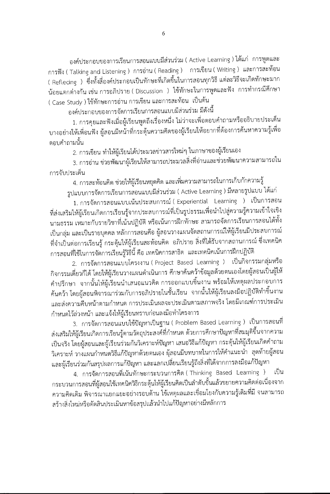องค์ประกอบของการเรียนการสอนแบบมีส่วนร่วม ( Active Learning ) ได้แก่ การพูดและ การฟัง ( Talking and Listening ) การอ่าน ( Reading ) การเขียน ( Writing ) และการสะท้อน ( Reflecing ) ซึ่งทั้งสื่องค์ประกอบเป็นทักษะที่เกิดขึ้นในการสอนทุกวิธี แต่ละวิธีจะเกิดทักษะมาก น้อยแตกต่างกัน เช่น การอภิปราย ( Discussion ) ใช้ทักษะในการพูดและฟัง การทำกรณีศึกษา ( Case Study ) ใช้ทักษะการอ่าน การเขียน และการสะท้อน เป็นต้น

องค์ประกอบของการจัดการเรียนการสอนแบบมีส่วนร่วม มีดังนี้

1. การคุยและฟังเมื่อผู้เรียนพูดถึงเรื่องหนึ่ง ไม่ว่าจะเพื่อตอบคำถามหรืออธิบายประเด็น บางอย่างให้เพื่อนฟัง ผู้สอนมีหน้าที่กระตุ้นความคิดของผู้เรียนให้อยากที่ต้องการค้นหาความรู้เพื่อ ตอบคำถามนั้น

2. การเขียน ทำให้ผู้เรียนได้ประมวลข่าวสารใหม่ๆ ในภาษาของผู้เรียนเอง

3. การอ่าน ช่วยพัฒนาผู้เรียนให้สามารถประมวลสิ่งที่อ่านและช่วยพัฒนาความสามารถใน การจับประเด็น

4. การสะท้อนคิด ช่วยให้ผู้เรียนหยุดคิด และเพิ่มความสามารถในการเก็บกักความรู้ รูปแบบการจัดการเรียนการสอนแบบมีส่วนร่วม ( Active Learning ) มีหลายรูปแบบ ได้แก่

1. การจัดการสอนแบบเน้นประสบการณ์ ( Experiential Learning ) เป็นการสอน ที่ส่งเสริมให้ผู้เรียนเกิดการเรียนรู้จากประสบการณ์ที่เป็นรูปธรรมเพื่อนำไปสู่ความรู้ความเข้าใจเชิง นามธรรม เหมาะกับรายวิชาที่เน้นปฏิบัติ หรือเน้นการฝึกทักษะ สามารถจัดการเรียนการสอนได้ทั้ง เป็นกลุ่ม และเป็นรายบุคคล หลักการสอนคือ ผู้สอนวางแผนจัดสถานการณ์ให้ผู้เรียนมีประสบการณ์ ที่จำเป็นต่อการเรียนรู้ กระตุ้นให้ผู้เรียนสะท้อนคิด อภิปราย สิ่งที่ได้รับจากสถานการณ์ ซึ่งเทคนิค การสอนที่ใช้ในการจัดการเรียนรู้วิธีนี้ คือ เทคนิคการสาธิต และเทคนิคเน้นการฝึกปฏิบัติ

2. การจัดการสอนแบบโครงงาน ( Project Based Learning ) เป็นกิจกรรมกลุ่มหรือ กิจกรรมเดี่ยวก็ได้ โดยให้ผู้เรียนวางแผนดำเนินการ ศึกษาค้นคว้าข้อมูลด้วยตนเองโดยผู้สอนเป็นผู้ให้ คำปรึกษา จากนั้นให้ผู้เรียนนำเสนอแนวคิด การออกแบบชิ้นงาน พร้อมให้เหตุผลประกอบการ ้ค้นคว้า โดยผู้สอนพิจารณาร่วมกับการอภิปรายในชั้นเรียน จากนั้นให้ผู้เรียนลงมือปฏิบัติทำชิ้นงาน และส่งความคืบหน้าตามกำหนด การประเมินผลจะประเมินตามสภาพจริง โดยมีเกณฑ์การประเมิน กำหนดไว้ล่วงหน้า และแจ้งให้ผู้เรียนทราบก่อนลงมือทำโครงการ

3. การจัดการสอนแบบใช้ปัญหาเป็นฐาน ( Problem Based Learning ) เป็นการสอนที่ ส่งเสริมให้ผู้เรียนเกิดการเรียนรู้ตามวัตถุประสงค์ที่กำหนด ด้วยการศึกษาปัญหาที่สมมุติขึ้นจากความ เป็นจริง โดยผู้สอนและผู้เรียนร่วมกันวิเคราะห์ปัญหา เสนอวิธีแก้ปัญหา กระตุ้นให้ผู้เรียนเกิดคำถาม วิเคราะห์ วางแผนกำหนดวิธีแก้ปัญหาด้วยตนเอง ผุ้สอนมีบทบาทในการให้คำแนะนำ สุดท้ายผู้สอน และผู้เรียนร่วมกันสรุปผลการแก้ปัญหา และแลกเปลี่ยนเรียนรู้ถึงสิ่งที่ได้จากการลงมือแก้ปัญหา

4. การจัดการสอนที่เน้นทักษะกระบวนการคิด ( Thinking Based Learning ) เป็น กระบวนการสอนที่ผู้สอนใช้เทคนิควิธีกระตุ้นให้ผู้เรียนคิดเป็นลำดับขั้นแล้วขยายความคิดต่อเนื่องจาก ความคิดเดิม พิจารณาแยกแยะอย่างรอบด้าน ใช้เหตุผลและเชื่อมโยงกับความรู้เดิมที่มี จนสามารถ สร้างสิ่งใหม่หรือตัดสินประเมินหาข้อสรุปแล้วนำไปแก้ปัญหาอย่างมีหลักการ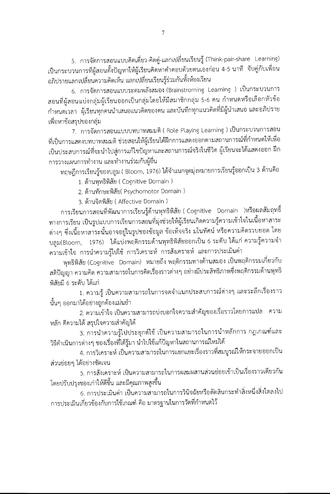5. การจัดการสอนแบบคิดเดี่ยว-คิดคู่-แลกเปลี่ยนเรียนรู้ (Think-pair-share Learning) เป็นกระบวนการที่ผู้สอนตั้งปัญหาให้ผู้เรียนคิดหาคำตอบด้วยตนเองก่อน 4-5 นาที จับคู่กับเพื่อน อภิปรายแลกเปลี่ยนความคิดเห็น แลกเปลี่ยนเรียนรู้ร่วมกันทั้งห้องเรียน

6. การจัดการสอนแบบระดมพลังสมอง (Brainstroming Learning ) เป็นกระบวนการ สอนที่ผู้สอนแบ่งกลุ่มผู้เรียนออกเป็นกลุ่มโดยให้มีสมาชิกกลุ่ม 5-6 คน กำหนดหรือเลือกหัวข้อ ้กำหนดเวลา ผู้เรียนทุกคนนำเสนอแนวคิดของตน และบันทึกทุกแนวคิดที่มีผู้นำเสนอ และอภิปราย เพื่อหาข้อสรุปของกลุ่ม

7. การจัดการสอนแบบบทบาทสมมติ ( Role Playing Learning ) เป็นกระบวนการสอน ที่เป็นการแสดงบทบาทสมมติ ช่วยสอนให้ผู้เรียนได้ฝึกการแสดงออกตามสถานการณ์ที่กำหนดให้เพื่อ เป็นประสบการณ์ที่จะนำไปสู่การแก้ไขปัญหาและสถานการณ์จริงในชีวิต ผู้เรียนจะได้แสดงออก ฝึก การวางแผนการทำงาน และทำงานร่วมกับผู้อื่น

ทฤษฎีการเรียนรู้ของบลูม ( Bloom, 1976) ได้จำแนกจุดมุ่งหมายการเรียนรู้ออกเป็น 3 ด้านคือ

1. ด้านพุทธิพิสัย ( Cognitive Domain )

2. ด้านทักษะพิสัย( Psychomotor Domain )

3. ด้านจิตพิสัย ( Affective Domain )

การเรียนการสอนที่พัฒนาการเรียนรู้ด้านพุทธิพิสัย ( Cognitive Domain )หรือผลสัมฤทธิ์ ทางการเรียน เป็นรูปแบบการเรียนการสอนที่มุ่งช่วยให้ผู้เรียนเกิดความรู้ความเข้าใจในเนื้อหาสาระ ต่างๆ ซึ่งเนื้อหาสาระนั้นอาจอยู่ในรูปของข้อมูล ข้อเท็จจริง มโนทัศน์ หรือความคิดรวบยอด โดย บลูม(Bloom, 1976) ได้แบ่งพฤติกรรมด้านพุทธิพิสัยออกเป็น 6 ระดับ ได้แก่ ความรู้ความจำ ความเข้าใจ การนำความรู้ไปใช้ การวิเคราะห์ การสังเคราะห์ และการประเมินค่า

พุทธิพิสัย (Cognitive Domain) หมายถึง พฤติกรรมทางด้านสมอง เป็นพฤติกรรมเกี่ยวกับ สติปัญญา ความคิด ความสามารถในการคิดเรื่องราวต่างๆ อย่างมีประสิทธิภาพซึ่งพฤติกรรมด้านพุทธิ พิสัยมี 6 ระดับ ได้แก่

1. ความรู้ เป็นความสามารถในการจดจำแนกประสบการณ์ต่างๆ และระลึกเรื่องราว ้นั้นๆ ออกมาได้อย่างถูกต้องแม่นยำ

2. ความเข้าใจ เป็นความสามารถบ่งบอกใจความสำคัญของเรื่อราวโดยการแปล ความ หลัก ตีความได้ สรุปใจความสำคัญได้

3. การนำความรู้ไปประยุกต์ใช้ เป็นความสามารถในการนำหลักการ กฎเกณฑ์และ วิธีดำเนินการต่างๆ ของเรื่องที่ได้รู้มา นำไปใช้แก้ปัญหาในสถานการณ์ใหม่ได้

4. การวิเคราะห์ เป็นความสามารถในการแยกแยะเรื่องราวที่สมบูรณ์ให้กระจายออกเป็น ส่วนย่อยๆ ได้อย่างชัดเจน

5. การสังเคราะห์ เป็นความสามารถในการผสมผสานส่วนย่อยเข้าเป็นเรื่องราวเดียวกัน โดยปรับปรุงของเก่าให้ดีขึ้น และมีคุณภาพสูงขึ้น

6. การประเมินค่า เป็นความสามารถในการวินิจฉัยหรือตัดสินกระทำสิ่งหนึ่งสิ่งใดลงไป การประเมินเกี่ยวข้องกับการใช้เกณฑ์ คือ มาตรฐานในการวัดที่กำหนดไว้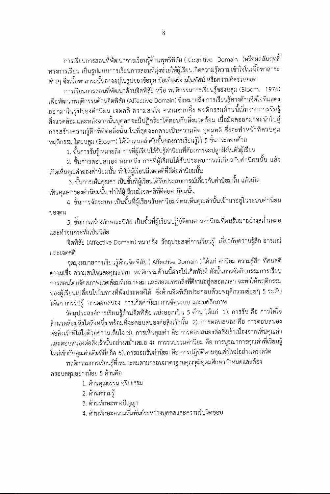การเรียนการสอนที่พัฒนาการเรียนรู้ด้านพุทธิพิสัย ( Cognitive Domain )หรือผลสัมฤทธิ์ ทางการเรียน เป็นรูปแบบการเรียนการสอนที่มุ่งช่วยให้ผู้เรียนเกิดความรู้ความเข้าใจในเนื้อหาสาระ ต่างๆ ซึ่งเนื้อหาสาระนั้นอาจอยู่ในรูปของข้อมูล ข้อเท็จจริง มโนทัศน์ หรือความคิดรวบยอด

การเรียนการสอนที่พัฒนาด้านจิตพิสัย หรือ พฤติกรรมการเรียนรู้ของบลูม (Bloom, 1976) เพื่อพัฒนาพฤติกรรมด้านจิตพิสัย (Affective Domain) ซึ่งหมายถึง การเรียนรู้ทางด้านจิตใจที่แสดง ออกมาในรูปของค่านิยม เจตคติ ความสนใจ ความซาบซึ้ง พฤติกรรมด้านนี้เริ่มจากการรับรู้ สิ่งแวดล้อมและหลังจากนั้นบุคคลจะมีปฏิกริยาโต้ตอบกับสิ่งแวดล้อม เมื่อมีผลออกมาจะนำไปสู่ การสร้างความรู้สึกที่ดีต่อสิ่งนั้น ในที่สุดจะกลายเป็นความคิด อุดมคติ ซึ่งจะทำหน้าที่ควบคุม พฤติกรรม โดยบลูม (Bloom) ได้นำเสนอลำดับขั้นของการเรียนรู้ไว้ 5 ขั้นประกอบด้วย

1. ขั้นการรับรู้ หมายถึง การที่ผู้เรียนได้รับรู้ค่านิยมที่ต้องการจะปลูกฝังในตัวผู้เรียน

2. ขั้นการตอบสนอง หมายถึง การที่ผู้เรียนได้รับประสบการณ์เกี่ยวกับค่านิยมนั้น แล้ว เกิดเห็นคุณค่าของค่านิยมนั้น ทำให้ผู้เรียนมีเจตคติที่ดีต่อค่านิยมนั้น

้3. ขั้นการเห็นคุณค่า เป็นขั้นที่ผู้เรียนได้รับประสบการณ์เกี่ยวกับค่านิยมนั้น แล้วเกิด เห็นคณค่าของค่านิยมนั้น ทำให้ผู้เรียนมีเจตคติที่ดีต่อค่านิยมนั้น

4. ขั้นการจัดระบบ เป็นขั้นที่ผู้เรียนรับค่านิยมที่ตนเห็นคุณค่านั้นเข้ามาอยู่ในระบบค่านิยม ของตน

5. ขั้นการสร้างลักษณะนิสัย เป็นขั้นที่ผู้เรียนปฏิบัติตนตามค่านิยมที่ตนรับมาอย่างสม่ำเสมอ และทำจนกระทั่งเป็นนิสัย

จิตพิสัย (Affective Domain) หมายถึง วัตถุประสงค์การเรียนรู้ เกี่ยวกับความรู้สึก อารมณ์ และเจตคติ

จุดมุ่งหมายการเรียนรู้ด้านจิตพิสัย ( Affective Domain ) ได้แก่ ค่านิยม ความรู้สึก ทัศนคติ ้ดวามเชื่อ ความสนใจและคุณธรรม พฤติกรรมด้านนี้อาจไม่เกิดทันที ดังนั้นการจัดกิจกรรมการเรียน การสอนโดยจัดสภาพแวดล้อมที่เหมาะสม และสอดแทรกสิ่งที่ดีงามอยู่ตลอดเวลา จะทำให้พฤติกรรม ของผู้เรียนเปลี่ยนไปในทางที่พึงประสงค์ได้ ซึ่งด้านจิตพิสัยประกอบด้วยพฤติกรรมย่อยๆ 5 ระดับ ได้แก่ การรับรู้ การตอบสนอง การเกิดค่านิยม การจัดระบบ และบุคลิกภาพ

วัตถุประสงค์การเรียนรู้ด้านจิตพิสัย แบ่งออกเป็น 5 ด้าน ได้แก่ 1). การรับ คือ การใส่ใจ สิ่งแวดล้อมสิ่งใดสิ่งหนึ่ง พร้อมที่จะตอบสนองต่อสิ่งเร้านั้น 2). การตอบสนอง คือ การตอบสนอง ต่อสิ่งเร้าที่ใส่ใจด้วยความเต็มใจ 3). การเห็นคุณค่า คือ การตอบสนองต่อสิ่งเร้าเนื่องจากเห็นคุณค่า และตอบสนองต่อสิ่งเร้านั้นอย่างสม่ำเสมอ 4). การรวบรวมค่านิยม คือ การบูรณาการคุณค่าที่เรียนรู้ ใหม่เข้ากับคุณค่าเดิมที่ยึดถือ 5). การยอมรับค่านิยม คือ การปฏิบัติตามคุณค่าใหม่อย่างเคร่งครัด

พฤติกรรมการเรียนรู้ที่เหมาะสมตามกรอบมาตรฐานคุณวุฒิอุดมศึกษากำหนดและต้อง ครอบคลุมอย่างน้อย 5 ด้านคือ

1. ด้านคุณธรรม จริยธรรม

- 2. ด้านความรู้
- 3. ด้านทักษะทางปัญญา
- 4. ด้านทักษะความสัมพันธ์ระหว่างบุคคลและความรับผิดชอบ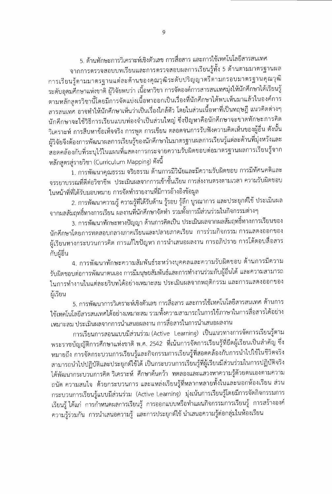5. ด้านทักษะการวิเคราะห์เชิงตัวเลข การสื่อสาร และการใช้เทคโนโลยีสารสนเทศ จากการตรวจสอบบทเรียนและการตรวจสอบผลการเรียนรู้ทั้ง 5 ด้านตามมาตรฐานผล การเรียนรู้ตามมาตรฐานแต่ละด้านของคุณวุฒิระดับปริญญาตรีตามกรอบมาตรฐานคุณวุฒิ ระดับอุดมศึกษาแห่งชาติ ผู้วิจัยพบว่า เนื้อหาวิชา การจัดองค์การสารสนเทศมุ่งให้นักศึกษาได้เรียนรู้ ตามหลักสูตรวิชานี้โดยมีการจัดแบ่งเนื้อหาออกเป็นเรื่องที่นักศึกษาได้พบเห็นมาแล้วในองค์การ สารสนเทศ อาจทำให้นักศึกษาเห็นว่าเป็นเรื่องใกล้ตัว โดยในส่วนเนื้อหาที่เป็นทฤษฎี แนวคิดต่างๆ นักศึกษาจะใช้วิธีการเรียนแบบท่องจำเป็นส่วนใหญ่ ซึ่งปัญหาคือนักศึกษาจะขาดทักษะการคิด วิเคราะห์ การสืบหาข้อเท็จจริง การพูด การเขียน ตลอดจนการรับฟังความคิดเห็นของผู้อื่น ดังนั้น ผู้วิจัยจึงต้องการพัฒนาผลการเรียนรู้ของนักศึกษาในมาตรฐานผลการเรียนรู้แต่ละด้านที่มุ่งหวังและ สอดคล้องกับที่ระบุไว้ในแผนที่แสดงการกระจายความรับผิดชอบต่อมาตรฐานผลการเรียนรู้จาก หลักสูตรสู่รายวิชา (Curriculum Mapping) ดังนี้

1. การพัฒนาคุณธรรม จริยธรรม ด้านการมีวินัยและมีความรับผิดชอบ การมีทัศนคติและ จรรยาบรรณที่ดีต่อวิชาชีพ ประเมินผลจากการเข้าชั้นเรียน การส่งงานตรงตามเวลา ความรับผิดชอบ ในหน้าที่ที่ได้รับมอบหมาย การจัดทำรายงานที่มีการอ้างอิงข้อมูล

2. การพัฒนาความรู้ ความรู้ที่ได้รับด้าน รู้รอบ รู้ลึก บูรณาการ และประยุกต์ใช้ ประเมินผล จากผลสัมฤทธิ์ทางการเรียน ผลงานที่นักศึกษาจัดทำ รวมทั้งการมีส่วนร่วมในกิจกรรมต่างๆ

3. การพัฒนาทักษะทางปัญญา ด้านการคิดเป็น ประเมินผลจากผลสัมฤทธิ์ทางการเรียนของ นักศึกษาโดยการทดสอบกลางภาคเรียนและปลายภาคเรียน การร่วมกิจกรรม การแสดงออกของ ผู้เรียนทางกระบวนการคิด การแก้ไขปัญหา การนำเสนอผลงาน การอภิปราย การโต้ตอบสื่อสาร กับผู้อื่น

4. การพัฒนาทักษะความสัมพันธ์ระหว่างบุคคลและความรับผิดขอบ ด้านการมีความ รับผิดชอบต่อการพัฒนาตนเอง การมีมนุษยสัมพันธ์และการทำงานร่วมกับผู้อื่นได้ และความสามารถ ในการทำงานในแต่ละยริบทได้อย่างเหมาะสม ประเมินผลจากพฤติกรรม และการแสดงออกของ ผู้เรียน

5. การพัฒนาการวิเคราะห์เชิงตัวเลข การสื่อสาร และการใช้เทคโนโลยีสารสนเทศ ด้านการ ใช้เทคโนโลยีสารสนเทศได้อย่างเหมาะสม รวมทั้งความสามารถในการใช้ภาษาในการสื่อสารได้อย่าง เหมาะสม ประเมินผลจากการนำเสนอผลงาน การสื่อสารในการนำเสนอผลงาน

การเรียนการสอนแบบมีส่วนร่วม (Active Learning) เป็นแนวทางการจัดการเรียนรู้ตาม พระราชบัญญัติการศึกษาแห่งชาติ พ.ศ. 2542 ที่เน้นการจัดการเรียนรู้ที่ยึดผู้เรียนเป็นสำคัญ ซึ่ง หมายถึง การจัดกระบวนการเรียนรู้และกิจกรรมการเรียนรู้ที่สอดคล้องกับการนำไปใช้ในชีวิตจริง สามารถนำไปปฏิบัติและประยุกต์ใช้ได้ เป็นกระบวนการเรียนรู้ที่ผู้เรียนมีส่วนร่วมในการปฏิบัติจริง ได้พัฒนากระบวนการคิด วิเคราะห์ ศึกษาค้นคว้า ทดลองและแสวงหาความรู้ด้วยตนเองตามความ ถนัด ความสนใจ ด้วยกระบวนการ และแหล่งเรียนรู้ที่หลากหลายทั้งในและนอกห้องเรียน ส่วน กระบวนการเรียนรู้แบบมีส่วนร่วม (Active Learning) มุ่งเน้นการเรียนรู้โดยมีการจัดกิจกรรมการ เรียนรู้ ได้แก่ การกำหนดผลการเรียนรู้ การออกแบบหรือทำแผนกิจกรรมการเรียนรู้ การสร้างองค์ ความรู้ร่วมกัน การนำเสนอความรู้ และการประยุกต์ใช้ นำเสนอความรู้ต่อกลุ่มในห้องเรียน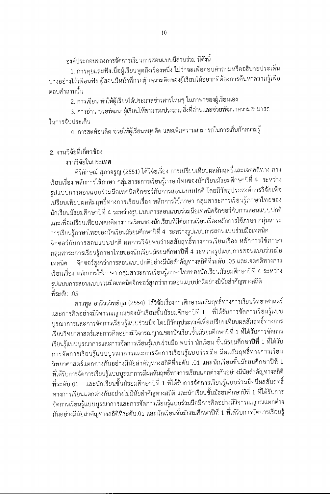้องค์ประกอบของการจัดการเรียนการสอนแบบมีส่วนร่วม มีดังนี้

1. การคุยและฟังเมื่อผู้เรียนพูดถึงเรื่องหนึ่ง ไม่ว่าจะเพื่อตอบคำถามหรืออธิบายประเด็น บางอย่างให้เพื่อนฟัง ผู้สอนมีหน้าที่กระตุ้นความคิดของผู้เรียนให้อยากที่ต้องการค้นหาความรู้เพื่อ ตอบคำถามนั้น

2. การเขียน ทำให้ผู้เรียนได้ประมวลข่าวสารใหม่ๆ ในภาษาของผู้เรียนเอง

3. การอ่าน ช่วยพัฒนาผู้เรียนให้สามารถประมวลสิ่งที่อ่านและช่วยพัฒนาความสามารถ ในการจับประเด็น

4. การสะท้อนคิด ช่วยให้ผู้เรียนหยุดคิด และเพิ่มความสามารถในการเก็บกักความรู้

# 2. งานวิจัยที่เกี่ยวข้อง

### งานวิจัยในประเทศ

ศิริลักษณ์ สุภาจรูญ (2551) ได้วิจัยเรื่อง การเปรียบเทียบผลสัมฤทธิ์และเจตคติทาง การ เรียนเรื่อง หลักการใช้ภาษา กลุ่มสาระการเรียนรู้ภาษาไทยของนักเรียนมัธยมศึกษาปีที่ 4 ระหว่าง รูปแบบการสอนแบบร่วมมือเทคนิคจิกซอว์กับการสอนแบบปกติ โดยมีวัตถุประสงค์การวิจัยเพื่อ .<br>เปรียบเทียบผลสัมฤทธิ์ทางการเรียนเรื่อง หลักการใช้ภาษา กลุ่มสาระการเรียนรู้ภาษาไทยของ นักเรียนมัธยมศึกษาปีที่ 4 ระหว่างรูปแบบการสอนแบบร่วมมือเทคนิคจิกซอว์กับการสอนแบบปกติ และเพื่อเปรียบเทียบเจตคติทางการเรียนของนักเรียนที่มีต่อการเรียนเรื่องหลักการใช้ภาษา กลุ่มสาระ

การเรียนรู้ภาษาไทยของนักเรียนมัธยมศึกษาปีที่ 4 ระหว่างรูปแบบการสอนแบบร่วมมือเทคนิค จิกซอว์กับการสอนแบบปกติ ผลการวิจัยพบว่าผลสัมฤทธิ์ทางการเรียนเรื่อง หลักการใช้ภาษา กลุ่มสาระการเรียนรู้ภาษาไทยของนักเรียนมัธยมศึกษาปีที่ 4 ระหว่างรูปแบบการสอนแบบร่วมมือ จิกซอว์สูงกว่าการสอนแบบปกติอย่างมีนัยสำคัญทางสถิติที่ระดับ .05 และเจตคติทางการ เทคนิค เรียนเรื่อง หลักการใช้ภาษา กลุ่มสาระการเรียนรู้ภาษาไทยของนักเรียนมัธยมศึกษาปีที่ 4 ระหว่าง รูปแบบการสอนแบบร่วมมือเทคนิคจิกซอว์สูงกว่าการสอนแบบปกติอย่างมีนัยสำคัญทางสถิติ ที่ระดับ 05

ศารทูล อารีวรวิทย์กุล (2554) ได้วิจัยเรื่องการศึกษาผลสัมฤทธิ์ทางการเรียนวิทยาศาสตร์ และการคิดอย่างมีวิจารณญาณของนักเรียนชั้นมัธยมศึกษาปีที่ 1 ที่ได้รับการจัดการเรียนรู้แบบ บูรณาการและการจัดการเรียนรู้แบบร่วมมือ โดยมีวัตถุประสงค์เพื่อเปรียบเทียบผลสัมฤทธิ์ทางการ เรียนวิทยาศาสตร์และการคิดอย่างมีวิจารณญาณของนักเรียนชั้นมัธยมศึกษาปีที่ 1 ที่ได้รับการจัดการ เรียนรู้แบบบูรณาการและการจัดการเรียนรู้แบบร่วมมือ พบว่า นักเรียน ชั้นมัธยมศึกษาปีที่ 1 ที่ได้รับ การจัดการเรียนรู้แบบบูรณาการและการจัดการเรียนรู้แบบร่วมมือ มีผลสัมฤทธิ์ทางการเรียน วิทยาศาสตร์แตกต่างกันอย่างมีนัยสำคัญทางสถิติที่ระดับ .01 และนักเรียนชั้นมัธยมศึกษาปีที่ 1 ที่ได้รับการจัดการเรียนรู้แบบบูรณาการมีผลสัมฤทธิ์ทางการเรียนแตกต่างกันอย่างมีนัยสำคัญทางสถิติ ที่ระดับ.01 และนักเรียนชั้นมัธยมศึกษาปีที่ 1 ที่ได้รับการจัดการเรียนรู้แบบร่วมมือมีผลสัมฤทธิ์ ทางการเรียนแตกต่างกันอย่างไม่มีนัยสำคัญทางสถิติ และนักเรียนชั้นมัธยมศึกษาปีที่ 1 ที่ได้รับการ จัดการเรียนรู้แบบบูรณาการและการจัดการเรียนรู้แบบร่วมมือมีการคิดอย่างมีวิจารณญาณแตกต่าง กันอย่างมีนัยสำคัญทางสถิติที่ระดับ.01 และนักเรียนชั้นมัธยมศึกษาปีที่ 1 ที่ได้รับการจัดการเรียนรู้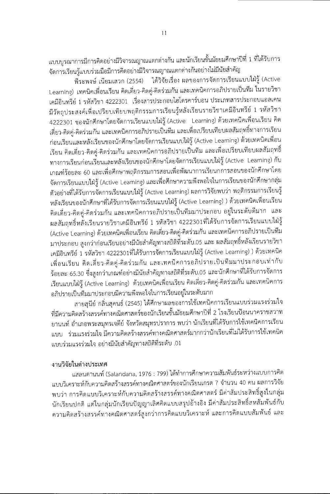แบบบูรณาการมีการคิดอย่างมีวิจารณญาณแตกต่างกัน และนักเรียนชั้นมัธยมศึกษาปีที่ 1 ที่ได้รับการ จัดการเรียนรู้แบบร่วมมือมีการคิดอย่างมีวิจารณญาณแตกต่างกันอย่างไม่มีนัยสำคัญ

พีระพงษ์ เนียมเสวก (2554) ได้วิจัยเรื่อง ผลของการจัดการเรียนแบบใฝ่รู้ (Active Learning) เทคนิคเพื่อนเรียน คิดเดี่ยว-คิดคู่-คิดร่วมกัน และเทคนิคการอภิปรายเป็นทีม ในรายวิชา เคมีอินทรีย์ 1 รหัสวิชา 4222301 เรื่องสารประกอบไฮโดรคาร์บอน ประเภทสารประกอบแอลเคน มีวัตถุประสงค์เพื่อเปรียบเทียบพฤติกรรมการเรียนรู้หลังเรียนรายวิชาเคมีอินทรีย์ 1 รหัสวิชา 4222301 ของนักศึกษาโดยจัดการเรียนแบบใฝ่รู้ (Active Learning) ด้วยเทคนิคเพื่อนเรียน คิด เดี่ยว-คิดคู่-คิดร่วมกัน และเทคนิคการอภิปรายเป็นทีม และเพื่อเปรียบเทียบผลสัมฤทธิ์ทางการเรียน ก่อนเรียนและหลังเรียนของนักศึกษาโดยจัดการเรียนแบบใฝ่รู้ (Active Learning) ด้วยเทคนิคเพื่อน เรียน คิดเดี่ยว-คิดคู่-คิดร่วมกัน และเทคนิคการอภิปรายเป็นทีม และเพื่อเปรียบเทียบผลสัมฤทธิ์ ทางการเรียนก่อนเรียนและหลังเรียนของนักศึกษาโดยจัดการเรียนแบบใฝ่รู้ (Active Learning) กับ เกณฑ์ร้อยละ 60 และเพื่อศึกษาพฤติกรรมการสอนเพื่อพัฒนาการเรียนกการสอนของนักศึกษาโดย จัดการเรียนแบบใฝ่รู้ (Active Learning) และเพื่อศึกษาความพึงพอใจในการเรียนของนักศึกษากลุ่ม ตัวอย่างที่ได้รับการจัดการเรียนแบบใฝ่รู้ (Active Learning) ผลการวิจัยพบว่า พฤติกรรมการเรียนรู้ หลังเรียนของนักศึกษาที่ได้รับการจัดการเรียนแบบใฝ่รู้ (Active Learning) ) ด้วยเทคนิคเพื่อนเรียน คิดเดี่ยว-คิดคู่-คิดร่วมกัน และเทคนิคการอภิปรายเป็นทีมมาประกอบ อยู่ในระดับดีมาก และ ผลสัมฤทธิ์หลังเรียนรายวิชาเคมีอินทรีย์ 1 รหัสวิชา 4222301ที่ได้รับการจัดการเรียนแบบใฝ่รู้ (Active Learning) ด้วยเทคนิคเพื่อนเรียน คิดเดี่ยว-คิดคู่-คิดร่วมกัน และเทคนิคการอภิปรายเป็นทีม มาประกอบ สูงกว่าก่อนเรียนอย่างมีนัยสำคัญทางสถิติที่ระดับ.05 และ ผลสัมฤทธิ์หลังเรียนรายวิชา เคมีอินทรีย์ 1 รหัสวิชา 4222301ที่ได้รับการจัดการเรียนแบบใฝ่รู้ (Active Learning) ) ด้วยเทคนิค เพื่อนเรียน คิดเดี่ยว-คิดคู่-คิดร่วมกัน และเทคนิคการอภิปรายเป็นทีมมาประกอบเท่ากับ ร้อยละ 65.30 ซึ่งสูงกว่าเกณฑ์อย่างมีนัยสำคัญทางสถิติที่ระดับ.05 และนักศึกษาที่ได้รับการจัดการ เรียนแบบใฝ่รู้ (Active Learning) ด้วยเทคนิคเพื่อนเรียน คิดเดี่ยว-คิดคู่-คิดร่วมกัน และเทคนิคการ อภิปรายเป็นทีมมาประกอบมีความพึงพอใจในการเรียนอยู่ในระดับมาก

สายสุนีย์ กลิ่นสุคนธ์ (2545) ได้ศึกษาผลของการใช้เทคนิคการเรียนแบบร่วมแรงร่วมใจ ที่มีความคิดสร้างสรรค์ทางคณิตศาสตร์ของนักเรียนชั้นมัธยมศึกษาปีที่ 2 โรงเรียนป้อนนาคราชสวาท ยานนท์ อำเภอพระสมุทรเจดีย์ จังหวัดสมุทรปราการ พบว่า นักเรียนที่ได้รับการใช้เทคนิคการเรียน แบบ ร่วมแรงร่วมใจ มีความคิดสร้างสรรค์ทางคณิตศาสตร์มากกว่านักเรียนที่ไม่ได้รับการใช้เทคนิค แบบร่วมแรงร่วมใจ อย่างมีนัยสำคัญทางสถิติที่ระดับ .01

### งานวิจัยในต่างประเทศ

แสลนดานนท์ (Salandana, 1976 : 799) ได้ทำการศึกษาความสัมพันธ์ระหว่างแบบการคิด แบบวิเคราะห์กับความคิดสร้างสรรค์ทางคณิตศาสตร์ของนักเรียนเกรด 7 จำนวน 40 คน ผลการวิจัย พบว่า การคิดแบบวิเคราะห์กับความคิดสร้างสรรค์ทางคณิตศาสตร์ มีค่าสัมประสิทธิ์สูงในกลุ่ม นักเรียนปกติ แต่ในกลุ่มนักเรียนปัญญาเลิศคิดแบบสรุปอ้างอิง มีค่าสัมประสิทธิ์สหสัมพันธ์กับ ความคิดสร้างสรรค์ทางคณิตศาสตร์สูงกว่าการคิดแบบวิเคราะห์ และการคิดแบบสัมพันธ์ และ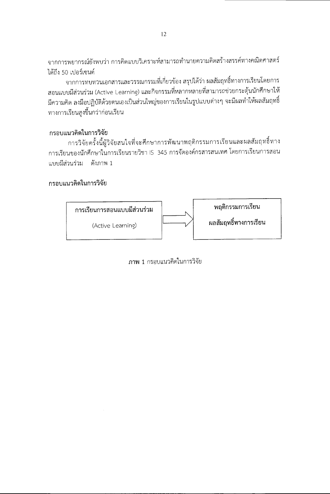จากการพยากรณ์ยังพบว่า การคิดแบบวิเคราะห์สามารถทำนายความคิดสร้างสรรค์ทางคณิตศาสตร์ ได้ถึง 50 เปอร์เซนต์

้จากการทบทวนเอกสารและวรรณกรรมที่เกี่ยวข้อง สรุปได้ว่า ผลสัมฤทธิ์ทางการเรียนโดยการ สอนแบบมีส่วนร่วม (Active Learning) และกิจกรรมที่หลากหลายที่สามารถช่วยกระตุ้นนักศึกษาให้ มีความคิด ลงมือปฏิบัติด้วยตนเองเป็นส่วนใหญ่ของการเรียนในรูปแบบต่างๆ จะมีผลทำให้ผลสัมฤทธิ์ ทางการเรียนสูงขึ้นกว่าก่อนเรียน

# กรอบแนวคิดในการวิจัย

การวิจัยครั้งนี้ผู้วิจัยสนใจที่จะศึกษาการพัฒนาพฤติกรรมการเรียนและผลสัมฤทธิ์ทาง การเรียนของนักศึกษาในการเรียนรายวิชา IS 345 การจัดองค์กรสารสนเทศ โดยการเรียนการสอน แบบมีส่วนร่วม ดังภาพ 1

# กรอบแนวคิดในการวิจัย



ภาพ 1 กรอบแนวคิดในการวิจัย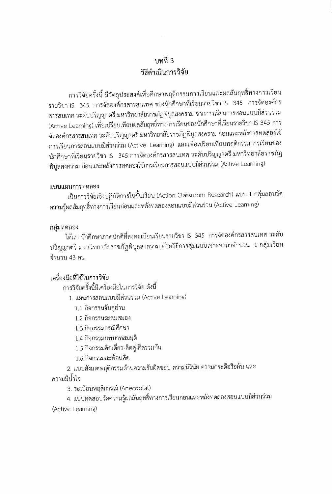# งเทที่ 3 วิธีดำเนินการวิจัย

การวิจัยครั้งนี้ มีวัตถุประสงค์เพื่อศึกษาพฤติกรรมการเรียนและผลสัมฤทธิ์ทางการเรียน รายวิชา IS 345 การจัดองค์กรสารสนเทศ ของนักศึกษาที่เรียนรายวิชา IS 345 การจัดองค์กร สารสนเทศ ระดับปริญญาตรี มหาวิทยาลัยราชภัฏพิบูลสงคราม จากการเรียนการสอนแบบมีส่วนร่วม (Active Learning) เพื่อเปรียบเทียบผลสัมฤทธิ์ทางการเรียนของนักศึกษาที่เรียนรายวิชา IS 345 การ จัดองค์กรสารสนเทศ ระดับปริญญาตรี มหาวิทยาลัยราชภัฏพิบูลสงคราม ก่อนและหลังการทดลองใช้ การเรียนการสอนแบบมีส่วนร่วม (Active Learning) และเพื่อเปรียบเทียบพฤติกรรมการเรียนของ นักศึกษาที่เรียนรายวิชา IS 345 การจัดองค์กรสารสนเทศ ระดับปริญญาตรี มหาวิทยาลัยราชภัฏ พิบูลสงคราม ก่อนและหลังการทดลองใช้การเรียนการสอนแบบมีส่วนร่วม (Active Learning)

#### แบบแผนการทดลอง

เป็นการวิจัยเชิงปฏิบัติการในชั้นเรียน (Action Classroom Research) แบบ 1 กลุ่มสอบวัด ความรู้ผลสัมฤทธิ์ทางการเรียนก่อนและหลังทดลองสอนแบบมีส่วนร่วม (Active Learning)

#### กลุ่มทดลอง

ได้แก่ นักศึกษาภาคปกติที่ลงทะเบียนเรียนรายวิชา IS 345 การจัดองค์กรสารสนเทศ ระดับ ปริญญาตรี มหาวิทยาลัยราชภัฏพิบูลสงคราม ด้วยวิธีการสุ่มแบบเจาะจงมาจำนวน 1 กลุ่มเรียน จำนวน 43 คน

# เครื่องมือที่ใช้ในการวิจัย

การวิจัยครั้งนี้มีเครื่องมือในการวิจัย ดังนี้

1. แผนการสอนแบบมีส่วนร่วม (Active Learning)

- 1.1 กิจกรรมจับคู่อ่าน
- 1.2 กิจกรรมระดมสมอง
- 1.3 กิจกรรมกรณีศึกษา
- 1.4 กิจกรรมบทบาทสมมุติ
- 1.5 กิจกรรมคิดเดี่ยว-คิดคู่-คิดร่วมกัน
- 1.6 กิจกรรมสะท้อนคิด

2. แบบสังเกตพฤติกรรมด้านความรับผิดชอบ ความมีวินัย ความกระตือรือล้น และ ความมีน้ำใจ

3. ระเบียนพฤติการณ์ (Anecdotal)

4. แบบทดสอบวัดความรู้ผลสัมฤทธิ์ทางการเรียนก่อนและหลังทดลองสอนแบบมีส่วนร่วม (Active Learning)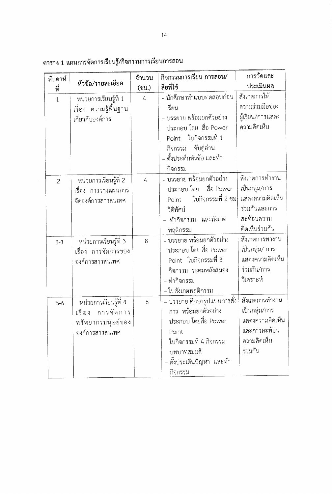| สัปดาห์        |                       | จำนวน          | กิจกรรมการเรียน การสอน/     | การวัดและ        |
|----------------|-----------------------|----------------|-----------------------------|------------------|
| ที่            | หัวข้อ/รายละเอียด     | (ชม.)          | สื่อที่ใช้                  | ประเมินผล        |
| $\mathbf 1$    | หน่วยการเรียนรู้ที่ 1 | $\overline{4}$ | - นักศึกษาทำแบบทดสอบก่อน    | สังเกตการให้     |
|                | เรื่อง ความรู้พื้นฐาน |                | เรียน                       | ความร่วมมือของ   |
|                | เกี่ยวกับองค์การ      |                | – บรรยาย พร้อมยกตัวอย่าง    | ผู้เรียน/การแสดง |
|                |                       |                | ประกอบ โดย สื่อ Power       | ความคิดเห็น      |
|                |                       |                | Point ใบกิจกรรมที่ 1        |                  |
|                |                       |                | จับคู่อ่าน<br>กิจกรรม       |                  |
|                |                       |                | – ตั้งประด็นหัวข้อ และทำ    |                  |
|                |                       |                | กิจกรรม                     |                  |
| $\overline{2}$ | หน่วยการเรียนรู้ที่ 2 | $\overline{a}$ | - บรรยาย พร้อมยกตัวอย่าง    | สังเกตการทำงาน   |
|                | เรื่อง การวางแผนการ   |                | ประกอบ โดย    สื่อ Power    | เป็นกลุ่ม/การ    |
|                | จัดองค์การสารสนเทศ    |                | ใบกิจกรรมที่ 2 ชม<br>Point  | แสดงความคิดเห็น  |
|                |                       |                | วีดิทัศน์                   | ร่วมกันและการ    |
|                |                       |                | - ทำกิจกรรม และสังเกต       | สะท้อนความ       |
|                |                       |                | พฤติกรรม                    | คิดเห็นร่วมกัน   |
| $3 - 4$        | หน่วยการเรียนรู้ที่ 3 | 8              | - บรรยาย พร้อมยกตัวอย่าง    | สังเกตการทำงาน   |
|                | เรื่อง การจัดการของ   |                | ประกอบ โดย สื่อ Power       | เป็นกลุ่ม/ การ   |
|                | องค์การสารสนเทศ       |                | Point ใบกิจกรรมที่ 3        | แสดงความคิดเห็น  |
|                |                       |                | กิจกรรม ระดมพลังสมอง        | ร่วมกัน/การ      |
|                |                       |                | - ทำกิจกรรม                 | วิเคราะห์        |
|                |                       |                | - ใบสังเกตพฤติกรรม          |                  |
| $5-6$          | หน่วยการเรียนรู้ที่ 4 | 8              | - บรรยาย ศึกษารูปแบบการสั่ง | สังเกตการทำงาน   |
|                | การจัดการ<br>เรื่อง   |                | การ พร้อมยกตัวอย่าง         | เป็นกลุ่ม/การ    |
|                | ทรัพยากรมนุษย์ของ     |                | ประกอบ โดยสื่อ Power        | แสดงความคิดเห็น  |
|                | องค์การสารสนเทศ       |                | Point                       | และการสะท้อน     |
|                |                       |                | ใบกิจกรรมที่ 4 กิจกรรม      | ความคิดเห็น      |
|                |                       |                | บทบาทสมมติ                  | ร่วมกัน          |
|                |                       |                | - ตั้งประเด็นปัญหา และทำ    |                  |
|                |                       |                | กิจกรรม                     |                  |

ตาราง 1 แผนการจัดการเรียนรู้/กิจกรรมการเรียนการสอน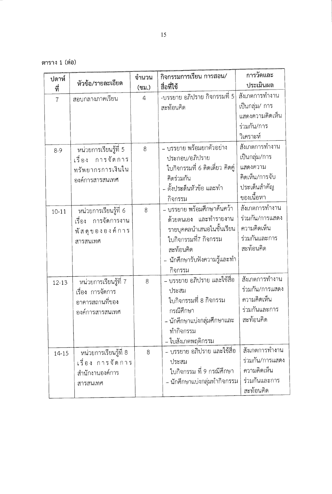ตาราง 1 (ต่อ)

| ปดาห์          |                       | จำนวน          | กิจกรรมการเรียน การสอน/         | การวัดและ       |
|----------------|-----------------------|----------------|---------------------------------|-----------------|
| ที่            | หัวข้อ/รายละเอียด     | (ชม.)          | สื่อที่ใช้                      | ประเมินผล       |
| $\overline{7}$ | สอบกลางภาคเรียน       | $\overline{4}$ | -บรรยาย อภิปราย กิจกรรมที่ 5    | สังเกตการทำงาน  |
|                |                       |                | สะท้อนคิด                       | เป็นกลุ่ม/ การ  |
|                |                       |                |                                 | แสดงความคิดเห็น |
|                |                       |                |                                 | ร่วมกัน/การ     |
|                |                       |                |                                 | วิเคราะห์       |
| $8 - 9$        | หน่วยการเรียนรู้ที่ 5 | 8              | - บรรยาย พร้อมยกตัวอย่าง        | สังเกตการทำงาน  |
|                | เรื่อง การจัดการ      |                | ประกอบ/อภิปราย                  | เป็นกลุ่ม/การ   |
|                | ทรัพยากรการเงินใน     |                | ใบกิจกรรมที่ 6 คิดเดี่ยว คิดคู่ | แสดงความ        |
|                | องค์การสารสนเทศ       |                | คิดร่วมกัน                      | คิดเห็น/การจับ  |
|                |                       |                | - ตั้งประดินหัวข้อ และทำ        | ประเด็นสำคัญ    |
|                |                       |                | กิจกรรม                         | ของเนื้อหา      |
| $10 - 11$      | หน่วยการเรียนรู้ที่ 6 | 8              | - บรรยาย พร้อมศึกษาค้นคว้า      | สังเกตการทำงาน  |
|                | เรื่อง การจัดการงาน   |                | ด้วยตนเอง และทำรายงาน           | ร่วมกัน/การแสดง |
|                | พัสดุขององค์การ       |                | รายบุคคลนำเสนอในชั้นเรียน       | ความคิดเห็น     |
|                | สารสนเทศ              |                | ใบกิจกรรมที่7 กิจกรรม           | ร่วมกันและการ   |
|                |                       |                | สะท้อนคิด                       | สะท้อนคิด       |
|                |                       |                | – นักศึกษารับฟังความรู้และทำ    |                 |
|                |                       |                | กิจกรรม                         |                 |
| $12 - 13$      | หน่วยการเรียนรู้ที่ 7 | 8              | – บรรยาย อภิปราย และใช้สื่อ     | สังเกตการทำงาน  |
|                | เรื่อง การจัดการ      |                | ประสม                           | ร่วมกัน/การแสดง |
|                | อาคารสถานที่ของ       |                | ใบกิจกรรมที่ 8 กิจกรรม          | ความคิดเห็น     |
|                | องค์การสารสนเทศ       |                | กรณีศึกษา                       | ร่วมกันและการ   |
|                |                       |                | - นักศึกษาแบ่งกลุ่มศึกษาและ     | สะท้อนคิด       |
|                |                       |                | ทำกิจกรรม                       |                 |
|                |                       |                | – ใบสังเกตพฤติกรรม              |                 |
| $14 - 15$      | หน่วยการเรียนรู้ที่ 8 | 8              | – บรรยาย อภิปราย และใช้สื่อ     | สังเกตการทำงาน  |
|                | เรื่อง การจัดการ      |                | ประสม                           | ร่วมกัน/การแสดง |
|                | สำนักงานองค์การ       |                | ใบกิจกรรม ที่ 9 กรณีศึกษา       | ความคิดเห็น     |
|                | สารสนเทศ              |                | – นักศึกษาแบ่งกลุ่มทำกิจกรรม    | ร่วมกันและการ   |
|                |                       |                |                                 | สะท้อนคิด       |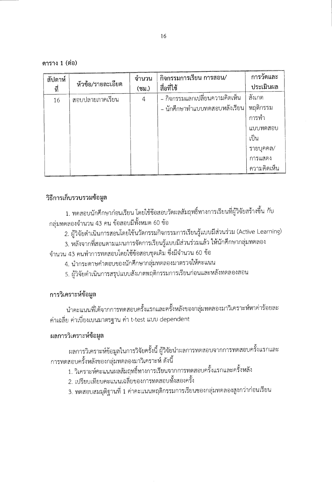ดาราง 1 (ต่อ)

| สัปดาห์<br>ที่ | หัวข้อ/รายละเอียด | จำนวน<br>(ชม.) | กิจกรรมการเรียน การสอน/<br>สื่อที่ใช้ | การวัดและ<br>ประเมินผล |
|----------------|-------------------|----------------|---------------------------------------|------------------------|
|                |                   |                |                                       |                        |
| 16             | สอบปลายภาคเรียน   | 4              | - กิจกรรมแลกเปลี่ยนความคิดเห็น        | สังเกต                 |
|                |                   |                | - นักศึกษาทำแบบทดสอบหลังเรียน         | พฤติกรรม               |
|                |                   |                |                                       | การทำ                  |
|                |                   |                |                                       | แบบทดสอบ               |
|                |                   |                |                                       | เป็น                   |
|                |                   |                |                                       | รายบุคคล/              |
|                |                   |                |                                       | การแสดง                |
|                |                   |                |                                       | ความคิดเห็น            |

### วิธีการเก็บรวบรวมข้อมูล

1. ทดสอบนักศึกษาก่อนเรียน โดยใช้ข้อสอบวัดผลสัมฤทธิ์ทางการเรียนที่ผู้วิจัยสร้างขึ้น กับ กลุ่มทดลองจำนวน 43 คน ข้อสอบมีทั้งหมด 60 ข้อ

2. ผู้วิจัยดำเนินการสอนโดยใช้นวัตกรรมกิจกรรมการเรียนรู้แบบมีส่วนร่วม (Active Learning)

3. หลังจากที่สอนตามแผนการจัดการเรียนรู้แบบมีส่วนร่วมแล้ว ให้นักศึกษากลุ่มทดลอง

จำนวน 43 คนทำการทดสอบโดยใช้ข้อสอบชุดเดิม ซึ่งมีจำนวน 60 ข้อ

- 4. นำกระดาษคำตอบของนักศึกษากลุ่มทดลองมาตรวจให้คะแนน
- 5. ผู้วิจัยดำเนินการสรุปแบบสังเกตพฤติกรรมการเรียนก่อนและหลังทดลองสอน

#### การวิเคราะห์ข้อมูล

นำคะแนนที่ได้จากการทดสอบครั้งแรกและครั้งหลังของกลุ่มทดลองมาวิเคราะห์หาค่าร้อยละ ค่าเฉลี่ย ค่าเบี่ยงเบนมาตรฐาน ค่า t-test แบบ dependent

#### ผลการวิเคราะห์ข้อมูล

ผลการวิเคราะห์ข้อมูลในการวิจัยครั้งนี้ ผู้วิจัยนำผลการทดสอบจากการทดสอบครั้งแรกและ การทดสอบครั้งหลังของกลุ่มทดลองมาวิเคราะห์ ดังนี้

- 1. วิเคราะห์คะแนนผลสัมฤทธิ์ทางการเรียนจากการทดสอบครั้งแรกและครั้งหลัง
- 2. เปรียบเทียบคะแนนเฉลี่ยของการทดสอบทั้งสองครั้ง
- 3. ทดสอบสมมุติฐานที่ 1 ค่าคะแนนพฤติกรรมการเรียนของกลุ่มทดลองสูงกว่าก่อนเรียน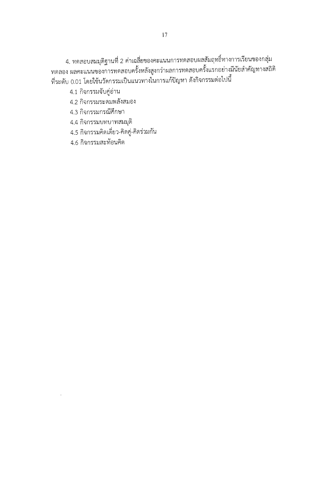4. ทดสอบสมมุติฐานที่ 2 ค่าเฉลี่ยของคะแนนการทดสอบผลสัมฤทธิ์ทางการเรียนของกลุ่ม<br>ทดลอง ผลคะแนนของการทดสอบครั้งหลังสูงกว่าผลการทดสอบครั้งแรกอย่างมีนัยสำคัญทางสถิติ ที่ระดับ 0.01 โดยใช้นวัตกรรมเป็นแนวทางในการแก้ปัญหา ดังกิจกรรมต่อไปนี้

4.1 กิจกรรมจับคู่อ่าน

4.2 กิจกรรมระดมพลังสมอง

4.3 กิจกรรมกรณีศึกษา

4.4 กิจกรรมบทบาทสมมุติ

4.5 กิจกรรมคิดเดี่ยว-คิดคู่-คิดร่วมกัน

4.6 กิจกรรมสะท้อนคิด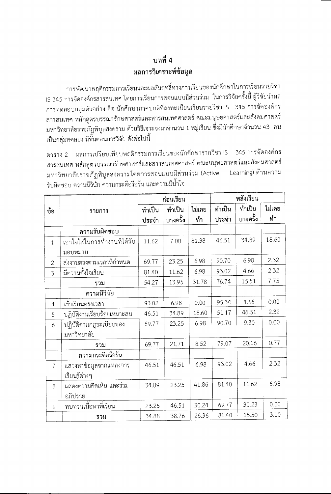# บทที่ 4 ผลการวิเคราะห์ข้อมูล

การพัฒนาพฤติกรรมการเรียนและผลสัมฤทธิ์ทางการเรียนของนักศึกษาในการเรียนรายวิชา IS 345 การจัดองค์กรสารสนเทศ โดยการเรียนการสอนแบบมีส่วนร่วม ในการวิจัยครั้งนี้ ผู้วิจัยนำผล การทดสอบกลุ่มตัวอย่าง คือ นักศึกษาภาคปกติที่ลงทะเบียนเรียนรายวิชา IS 345 การจัดองค์กร สารสนเทศ หลักสูตรบรรณารักษศาสตร์และสารสนเทศศาสตร์ คณะมนุษยศาสตร์และสังคมศาสตร์ มหาวิทยาลัยราชภัฏพิบูลสงคราม ด้วยวิธีเจาะจงมาจำนวน 1 หมู่เรียน ซึ่งมีนักศึกษาจำนวน 43 คน เป็นกลุ่มทดลอง มีขั้นตอนการวิจัย ดังต่อไปนี้

ตาราง 2 ผลการเปรียบเทียบพฤติกรรมการเรียนของนักศึกษารายวิชา IS 345 การจัดองค์กร สารสนเทศ หลักสูตรบรรณารักษศาสตร์และสารสนเทศศาสตร์ คณะมนุษยศาสตร์และสังคมศาสตร์ มหาวิทยาลัยราชภัฏพิบูลสงครามโดยการสอนแบบมีส่วนร่วม (Active Learning) ด้านความ รับผิดชอบ ความมีวินัย ความกระตือรือร้น และความมีน้ำใจ

|                |                             | ก่อนเรียน |          | หลังเรียน |        |          |        |
|----------------|-----------------------------|-----------|----------|-----------|--------|----------|--------|
| ข้อ            | รายการ                      | ทำเป็น    | ทำเป็น   | ไม่เคย    | ทำเป็น | ทำเป็น   | ไม่เคย |
|                |                             | ประจำ     | บางครั้ง | ทำ        | ประจำ  | บางครั้ง | ทำ     |
|                | ความรับผิดชอบ               |           |          |           |        |          |        |
| $\mathbf{1}$   | เอาใจใส่ในการทำงานที่ได้รับ | 11.62     | 7.00     | 81.38     | 46.51  | 34.89    | 18.60  |
|                | มอบหมาย                     |           |          |           |        |          |        |
| $\overline{2}$ | ส่งงานตรงตามเวลาที่กำหนด    | 69.77     | 23.25    | 6.98      | 90.70  | 6.98     | 2.32   |
| 3              | มีความตั้งใจเรียน           | 81.40     | 11.62    | 6.98      | 93.02  | 4.66     | 2.32   |
|                | รวม                         | 54.27     | 13.95    | 31.78     | 76.74  | 15.51    | 7.75   |
|                | ความมีวินัย                 |           |          |           |        |          |        |
| 4              | เข้าเรียนตรงเวลา            | 93.02     | 6.98     | 0.00      | 95.34  | 4.66     | 0.00   |
| 5              | ปฏิบัติงานเรียบร้อยเหมาะสม  | 46.51     | 34.89    | 18.60     | 51.17  | 46.51    | 2.32   |
| 6              | ปฏิบัติตามกฎระเบียบของ      | 69.77     | 23.25    | 6.98      | 90.70  | 9.30     | 0.00   |
|                | มหาวิทยาลัย                 |           |          |           |        |          |        |
|                | รวม                         | 69.77     | 21.71    | 8.52      | 79.07  | 20.16    | 0.77   |
|                | ความกระตือรือร้น            |           |          |           |        |          |        |
| $\overline{7}$ | แสวงหาข้อมูลจากแหล่งการ     | 46.51     | 46.51    | 6.98      | 93.02  | 4.66     | 2.32   |
|                | เรียนรู้ต่างๆ               |           |          |           |        |          |        |
| 8              | แสดงความคิดเห็น และร่วม     | 34.89     | 23.25    | 41.86     | 81.40  | 11.62    | 6.98   |
|                | อภิปราย                     |           |          |           |        |          |        |
| 9              | ทบทวนเนื้อหาที่เรียน        | 23.25     | 46.51    | 30.24     | 69.77  | 30.23    | 0.00   |
|                | รวม                         | 34.88     | 38.76    | 26.36     | 81.40  | 15.50    | 3.10   |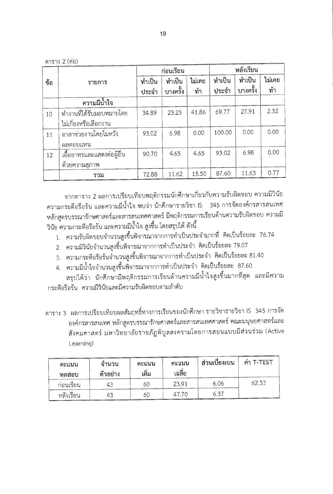ตาราง 2 (ต่อ)

|     |                            | ก่อนเรียน |          |        |        |          |        | หลังเรียน |  |
|-----|----------------------------|-----------|----------|--------|--------|----------|--------|-----------|--|
| ข้อ | รายการ                     | ทำเป็น    | ทำเป็น   | ไม่เคย | ทำเป็น | ทำเป็น   | ไม่เคย |           |  |
|     |                            | ประจำ     | บางครั้ง | ทำ     | ประจำ  | บางครั้ง | ทำ     |           |  |
|     | ความมีน้ำใจ                |           |          |        |        |          |        |           |  |
| 10  | ทำงานที่ได้รับมอบหมายโดย   | 34.89     | 23.25    | 41.86  | 69.77  | 27.91    | 2.32   |           |  |
|     | ไม่เกี่ยงหรือเลือกงาน      |           |          |        |        |          |        |           |  |
| 11  | อาสาช่วยงานโดยไม่หวัง      | 93.02     | 6.98     | 0.00   | 100.00 | 0.00     | 0.00   |           |  |
|     | ผลตอบแทน                   |           |          |        |        |          |        |           |  |
| 12  | เอื้ออาทรและแสดงต่อผู้อื่น | 90.70     | 4.65     | 4.65   | 93.02  | 6.98     | 0.00   |           |  |
|     | ด้วยความสุภาพ              |           |          |        |        |          |        |           |  |
|     | รวม                        | 72.88     | 11.62    | 15.50  | 87.60  | 11.63    | 0.77   |           |  |

จากตาราง 2 ผลการเปรียบเทียบพฤติกรรมนักศึกษาเกี่ยวกับความรับผิดชอบ ความมีวินัย ความกระตือรือร้น และความมีน้ำใจ พบว่า นักศึกษารายวิชา IS 345 การจัดองค์กรสารสนเทศ หลักสูตรบรรณารักษศาสตร์และสารสนเทศศาสตร์ มีพฤติกรรมการเรียนด้านความรับผิดชอบ ความมี วินัย ความกระตือรือร้น และความมีน้ำใจ สูงขึ้น โดยสรุปได้ ดังนี้

- 1. ความรับผิดชอบจำนวนสูงขึ้นพิจารณาจากการทำเป็นประจำมากที่ คิดเป็นร้อยละ 76.74
- 2. ความมีวินัยจำนวนสูงขึ้นพิจารณาจากการทำเป็นประจำ คิดเป็นร้อยละ 79.07
- 3. ความกระตือรือร้นจำนวนสูงขึ้นพิจารณาจากการทำเป็นประจำ คิดเป็นร้อยละ 81.40
- 4. ความมีน้ำใจจำนวนสูงขึ้นพิจารณาจากการทำเป็นประจำ คิดเป็นร้อยละ 87.60
- สรุปได้ว่า นักศึกษามีพฤติกรรมการเรียนด้านความมีน้ำใจสูงขึ้นมากที่สุด และมีความ กระตือรือร้น ความมีวินัยและมีความรับผิดชอบตามลำดับ

ตาราง 3 ผลการเปรียบเทียบผลสัมฤทธิ์ทางการเรียนของนักศึกษา รายวิชารายวิชา IS 345 การจัด ้องค์กรสารสนเทศ หลักสูตรบรรณารักษศาสตร์และสารสนเทศศาสตร์ คณะมนุษยศาสตร์และ สังคมศาสตร์ มหาวิทยาลัยราชภัฏพิบูลสงครามโดยการสอนแบบมีส่วนร่วม (Active Learning)

| คะแนน<br>ทดสอบ | จำนวน<br>ັ<br>ตัวอย่าง | คะแนน<br>เต็ม | คะแนน<br>เฉลีย | ส่วนเบียงเบน | ี ค่า T-TEST |
|----------------|------------------------|---------------|----------------|--------------|--------------|
| ก่อนเรียน      | 43                     | 60            | 23.91          | 6.06         | 62.33        |
| หลังเรียน      | 43                     | 60            | 47.70          | 6.37         |              |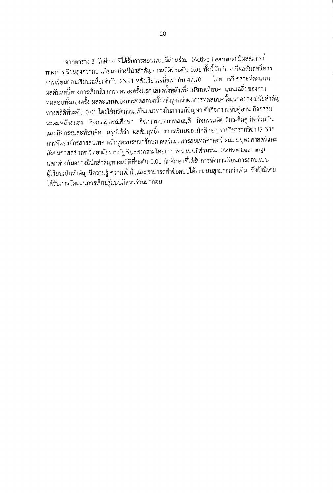จากตาราง 3 นักศึกษาที่ได้รับการสอนแบบมีส่วนร่วม (Active Learning) มีผลสัมฤทธิ์ ทางการเรียนสูงกว่าก่อนเรียนอย่างมีนัยสำคัญทางสถิติที่ระดับ 0.01 ทั้งนี้นักศึกษามีผลสัมฤทธิ์ทาง การเรียนก่อนเรียนเฉลี่ยเท่ากับ 23.91 หลังเรียนเฉลี่ยเท่ากับ 47.70 โดยการวิเคราะห์คะแนน ผลสัมฤทธิ์ทางการเรียนในการทดลองครั้งแรกและครั้งหลังเพื่อเปรียบเทียบคะแนนเฉลี่ยของการ ทดสอบทั้งสองครั้ง ผลคะแนนของการทดสอบครั้งหลังสูงกว่าผลการทดสอบครั้งแรกอย่าง มีนัยสำคัญ ทางสถิติที่ระดับ 0.01 โดยใช้นวัตกรรมเป็นแนวทางในการแก้ปัญหา ดังกิจกรรมจับคู่อ่าน กิจกรรม ระดมพลังสมอง กิจกรรมกรณีศึกษา กิจกรรมบทบาทสมมุติ กิจกรรมคิดเดี่ยว-คิดคู่-คิดร่วมกัน และกิจกรรมสะท้อนคิด สรุปได้ว่า ผลสัมฤทธิ์ทางการเรียนของนักศึกษา รายวิชารายวิชา IS 345 การจัดองค์กรสารสนเทศ หลักสูตรบรรณารักษศาสตร์และสารสนเทศศาสตร์ คณะมนุษยศาสตร์และ สังคมศาสตร์ มหาวิทยาลัยราชภัฏพิบูลสงครามโดยการสอนแบบมีส่วนร่วม (Active Learning) แตกต่างกันอย่างมีนัยสำคัญทางสถิติที่ระดับ 0.01 นักศึกษาที่ได้รับการจัดการเรียนการสอนแบบ ผู้เรียนเป็นสำคัญ มีความรู้ ความเข้าใจและสามารถทำข้อสอบได้คะแนนสูงมากกว่าเดิม ซึ่งยังมิเคย ได้รับการจัดแผนการเรียนรู้แบบมีส่วนร่วมมาก่อน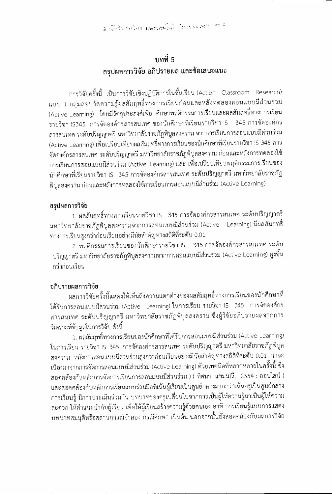# งเทที่ 5 สรุปผลการวิจัย อภิปรายผล และข้อเสนอแนะ

การวิจัยครั้งนี้ เป็นการวิจัยเชิงปฏิบัติการในชั้นเรียน (Action Classroom Research) แบบ 1 กลุ่มสอบวัดความรู้ผลสัมฤทธิ์ทางการเรียนก่อนและหลังทดลองสอนแบบมีส่วนร่วม (Active Learning) โดยมีวัตถุประสงค์เพื่อ ศึกษาพฤติกรรมการเรียนและผลสัมฤทธิ์ทางการเรียน รายวิชา IS345 การจัดองค์กรสารสนเทศ ของนักศึกษาที่เรียนรายวิชา IS 345 การจัดองค์กร สารสนเทศ ระดับปริญญาตรี มหาวิทยาลัยราชภัฏพิบูลสงคราม จากการเรียนการสอนแบบมีส่วนร่วม (Active Learning) เพื่อเปรียบเทียบผลสัมฤทธิ์ทางการเรียนของนักศึกษาที่เรียนรายวิชา IS 345 การ จัดองค์กรสารสนเทศ ระดับปริญญาตรี มหาวิทยาลัยราชภัฏพิบูลสงคราม ก่อนและหลังการทดลองใช้ การเรียนการสอนแบบมีส่วนร่วม (Active Learning) และ เพื่อเปรียบเทียบพฤติกรรมการเรียนของ นักศึกษาที่เรียนรายวิชา IS 345 การจัดองค์กรสารสนเทศ ระดับปริญญาตรี มหาวิทยาลัยราชภัฏ พิบูลสงคราม ก่อนและหลังการทดลองใช้การเรียนการสอนแบบมีส่วนร่วม (Active Learning)

## สรุปผลการวิจัย

1. ผลสัมฤทธิ์ทางการเรียนรายวิชา IS 345 การจัดองค์กรสารสนเทศ ระดับปริญญาตรี มหาวิทยาลัยราชภัฏพิบูลสงครามจากการสอนแบบมีส่วนร่วม (Active Learning) มีผลสัมฤทธิ์ ทางการเรียนสูงกว่าก่อนเรียนอย่างมีนัยสำคัญทางสถิติที่ระดับ 0.01

2. พฤติกรรมการเรียนของนักศึกษารายวิชา IS 345 การจัดองค์กรสารสนเทศ ระดับ ปริญญาตรี มหาวิทยาลัยราชภัฏพิบูลสงครามจากการสอนแบบมีส่วนร่วม (Active Learning) สูงขึ้น กว่าก่อนเรียน

## อภิปรายผลการวิจัย

ผลการวิจัยครั้งนี้แสดงให้เห็นถึงความแตกต่างของผลสัมฤทธิ์ทางการเรียนของนักศึกษาที่ ได้รับการสอนแบบมีส่วนร่วม (Active Learning) ในการเรียน รายวิชา IS 345 การจัดองค์กร สารสนเทศ ระดับปริญญาตรี มหาวิทยาลัยราชภัฏพิบูลสงคราม ซึ่งผู้วิจัยอภิปรายผลจากการ วิเคราะห์ข้อมูลในการวิจัย ดังนี้

1. ผลสัมฤทธิ์ทางการเรียนของนักศึกษาที่ได้รับการสอนแบบมีส่วนร่วม (Active Learning) ในการเรียน รายวิชา IS 345 การจัดองค์กรสารสนเทศ ระดับปริญญาตรี มหาวิทยาลัยราชภัฏพิบูล สงคราม หลังการสอนแบบมีส่วนร่วมสูงกว่าก่อนเรียนอย่างมีนัยสำคัญทางสถิติที่ระดับ 0.01 น่าจะ เนื่องมาจากการจัดการสอนแบบมีส่วนร่วม (Active Learning) ด้วยเทคนิคที่หลากหลายในครั้งนี้ ซึ่ง สอดคล้องกับหลักการจัดการเรียนการสอนแบบมีส่วนร่วม ) ( ทิศนา แขมมณี, 2554 : ออนไลน์ ) และสอดคล้องกับหลักการเรียนแบบร่วมมือที่เน้นผู้เรียนเป็นศูนย์กลางมากกว่าเน้นครูเป็นศูนย์กลาง การเรียนรู้ มีการประเมินร่วมกัน บทบาทของครูเปลี่ยนไปจากการเป็นผู้ให้ความรู้มาเป็นผู้ให้ความ สะดวก ให้คำแนะนำกับผู้เรียน เพื่อให้ผู้เรียนสร้างความรู้ด้วยตนเอง อาทิ การเรียนรู้แบบการแสดง บทบาทสมมุติหรือสถานการณ์จำลอง กรณีศึกษา เป็นต้น นอกจากนั้นยังสอดคล้องกับผลการวิจัย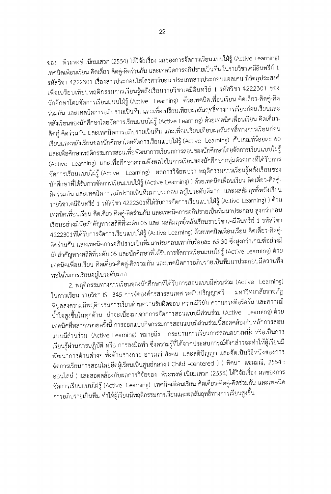ของ พีระพงษ์ เนียมเสวก (2554) ได้วิจัยเรื่อง ผลของการจัดการเรียนแบบใฝ่รู้ (Active Learning) เทคนิคเพื่อนเรียน คิดเดี่ยว-คิดคู่-คิดร่วมกัน และเทคนิคการอภิปรายเป็นทีม ในรายวิชาเคมีอินทรีย์ 1 รหัสวิชา 4222301 เรื่องสารประกอบไฮโดรคาร์บอน ประเภทสารประกอบแอลเคน มีวัตถุประสงค์ เพื่อเปรียบเทียบพฤติกรรมการเรียนรู้หลังเรียนรายวิชาเคมีอินทรีย์ 1 รหัสวิชา 4222301 ของ นักศึกษาโดยจัดการเรียนแบบใฝ่รู้ (Active Learning) ด้วยเทคนิคเพื่อนเรียน คิดเดี่ยว-คิดคู่-คิด ร่วมกัน และเทคนิคการอภิปรายเป็นทีม และเพื่อเปรียบเทียบผลสัมฤทธิ์ทางการเรียนก่อนเรียนและ หลังเรียนของนักศึกษาโดยจัดการเรียนแบบใฝ่รู้ (Active Learning) ด้วยเทคนิคเพื่อนเรียน คิดเดี่ยว-คิดคู่-คิดร่วมกัน และเทคนิคการอภิปรายเป็นทีม และเพื่อเปรียบเทียบผลสัมฤทธิ์ทางการเรียนก่อน เรียนและหลังเรียนของนักศึกษาโดยจัดการเรียนแบบใฝ่รู้ (Active Learning) กับเกณฑ์ร้อยละ 60 และเพื่อศึกษาพฤติกรรมการสอนเพื่อพัฒนาการเรียนกการสอนของนักศึกษาโดยจัดการเรียนแบบใฝ่รู้ (Active Learning) และเพื่อศึกษาความพึงพอใจในการเรียนของนักศึกษากลุ่มตัวอย่างที่ได้รับการ จัดการเรียนแบบใฝ่รู้ (Active Learning) ผลการวิจัยพบว่า พฤติกรรมการเรียนรู้หลังเรียนของ นักศึกษาที่ได้รับการจัดการเรียนแบบใฝ่รู้ (Active Learning) ) ด้วยเทคนิคเพื่อนเรียน คิดเดี่ยว-คิดคู่-คิดร่วมกัน และเทคนิคการอภิปรายเป็นทีมมาประกอบ อยู่ในระดับดีมาก และผลสัมฤทธิ์หลังเรียน รายวิชาเคมีอินทรีย์ 1 รหัสวิชา 4222301ที่ได้รับการจัดการเรียนแบบใฝ่รู้ (Active Learning) ) ด้วย เทคนิคเพื่อนเรียน คิดเดี่ยว-คิดคู่-คิดร่วมกัน และเทคนิคการอภิปรายเป็นทีมมาประกอบ สูงกว่าก่อน เรียนอย่างมีนัยสำคัญทางสถิติที่ระดับ.05 และ ผลสัมฤทธิ์หลังเรียนรายวิชาเคมีอินทรีย์ 1 รหัสวิชา 4222301ที่ได้รับการจัดการเรียนแบบใฝ่รู้ (Active Learning) ด้วยเทคนิคเพื่อนเรียน คิดเดี่ยว-คิดคู่-คิดร่วมกัน และเทคนิคการอภิปรายเป็นทีมมาประกอบเท่ากับร้อยละ 65.30 ซึ่งสูงกว่าเกณฑ์อย่างมี นัยสำคัญทางสถิติที่ระดับ.05 และนักศึกษาที่ได้รับการจัดการเรียนแบบใฝ่รู้ (Active Learning) ด้วย เทคนิคเพื่อนเรียน คิดเดี่ยว-คิดคู่-คิดร่วมกัน และเทคนิคการอภิปรายเป็นทีมมาประกอบมีความพึง พอใจในการเรียนอยู่ในระดับมาก

2. พฤติกรรมทางการเรียนของนักศึกษาที่ได้รับการสอนแบบมีส่วนร่วม (Active Learning) ในการเรียน รายวิชา IS 345 การจัดองค์กรสารสนเทศ ระดับปริญญาตรี มหาวิทยาลัยราชภัฏ พิบูลสงครามมีพฤติกรรมการเรียนด้านความรับผิดชอบ ความมีวินัย ความกระตือรือร้น และความมี น้ำใจสูงขึ้นในทุกด้าน น่าจะเนื่องมาจากการจัดการสอนแบบมีส่วนร่วม (Active Learning) ด้วย เทคนิคที่หลากหลายครั้งนี้ การออกแบบกิจกรรมการสอนแบบมีส่วนร่วมนี้สอดคล้องกับหลักการสอน แบบมีส่วนร่วม (Active Learning) หมายถึง กระบวนการเรียนการสอนอย่างหนึ่ง หรือเป็นการ เรียนรู้ผ่านการปฏิบัติ หรือ การลงมือทำ ซึ่งความรู้ที่ได้จากประสบการณ์ดังกล่าวจะทำให้ผู้เรียนมี พัฒนาการด้านต่างๆ ทั้งด้านร่างกาย อารมณ์ สังคม และสติปัญญา และจัดเป็นวิธีหนึ่งของการ จัดการเรียนการสอนโดยยึดผู้เรียนเป็นศูนย์กลาง ( Child -centered ) ( ทิศนา แขมมณี, 2554 : ออนไลน์ ) และสอดคล้องกับผลการวิจัยของ พีระพงษ์ เนียมเสวก (2554) ได้วิจัยเรื่อง ผลของการ จัดการเรียนแบบใฝ่รู้ (Active Learning) เทคนิคเพื่อนเรียน คิดเดี่ยว-คิดคู่-คิดร่วมกัน และเทคนิค การอภิปรายเป็นทีม ทำให้ผู้เรียนมีพฤติกรรมการเรียนและผลสัมฤทธิ์ทางการเรียนสูงขึ้น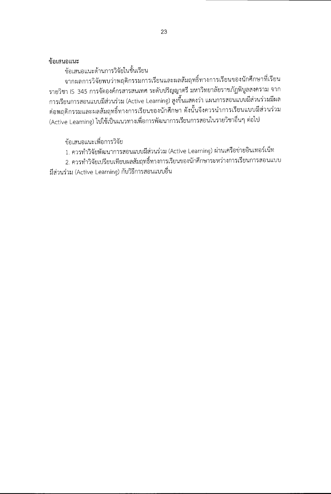## ข้อเสนอแนะ

ข้อเสนอแนะด้านการวิจัยในชั้นเรียน

จากผลการวิจัยพบว่าพฤติกรรมการเรียนและผลสัมฤทธิ์ทางการเรียนของนักศึกษาที่เรียน รายวิชา IS 345 การจัดองค์กรสารสนเทศ ระดับปริญญาตรี มหาวิทยาลัยราชภัฏพิบูลสงคราม จาก ิ การเรียนการสอนแบบมีส่วนร่วม (Active Learning) สูงขึ้นแสดงว่า แผนการสอนแบบมีส่วนร่วมมีผล ต่อพฤติกรรมและผลสัมฤทธิ์ทางการเรียนของนักศึกษา ดังนั้นจึงควรนำการเรียนแบบมีส่วนร่วม (Active Learning) ไปใช้เป็นแนวทางเพื่อการพัฒนาการเรียนการสอนในรายวิชาอื่นๆ ต่อไป

ข้อเสนอแนะเพื่อการวิจัย

1. ควรทำวิจัยพัฒนาการสอนแบบมีส่วนร่วม (Active Learning) ผ่านเครือข่ายอินเทอร์เน็ท

2. ควรทำวิจัยเปรียบเทียบผลสัมฤทธิ์ทางการเรียนของนักศึกษาระหว่างการเรียนการสอนแบบ มีส่วนร่วม (Active Learning) กับวิธีการสอนแบบอื่น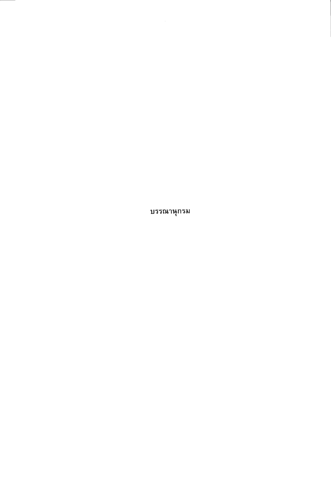บรรณานุกรม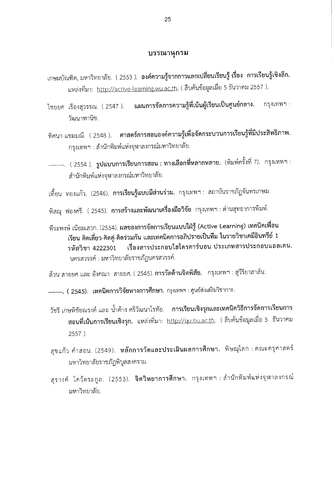#### บรรณานุกรม

- เกษมบัณฑิต, มหาวิทยาลัย. ( 2553 ). **องค์ความรู้จากการแลกเปลี่ยนเรียนรู้ เรื่อง การเรียนรู้เชิงลึก.** แหล่งที่มา: http://active-learning.wu.ac.th. ( สืบค้นข้อมูลเมื่อ 5 ธันวาคม 2557 ).
- ไชยยศ เรืองสุวรรณ. ( 2547 ). **แผนการจัดการความรู้ที่เน้นผู้เรียนเป็นศูนย์กลาง.** กรุงเทพฯ : วัฒนาพานิช.
- ศาสตร์การสอนองค์ความรู้เพื่อจัดกระบวนการเรียนรู้ที่มีประสิทธิภาพ. ทิศนา แขมมณี. (2548 ). กรุงเทพฯ : สำนักพิมพ์แห่งจุฬาลงกรณ์มหาวิทยาลัย.
- --------. ( 2554 ). รูปแบบการเรียนการสอน : ทางเลือกที่หลากหลาย. (พิมพ์ครั้งที่ 7). กรุงเทพฯ :<br>สำนักพิมพ์แห่งจุฬาลงกรณ์มหาวิทยาลัย.
- เทื้อน ทองแก้ว. (2546). **การเรียนรู้แบบมีส่วนร่วม.** กรุงเทพฯ : สถาบันราชภัฏจันทรเกษม.
- พิสณุ ฟองศรี. ( 2545). **การสร้างและพัฒนาเครื่องมือวิจัย** กรุงเทพฯ : ด่านสุทธาการพิมพ์.
- พีระพงษ์ เนียมเสวก. (2554). ผลของการจัดการเรียนแบบใฝ่รู้ (Active Learning) เทคนิคเพื่อน เรียน คิดเดี่ยว-คิดคู่-คิดร่วมกัน และเทคนิคการอภิปรายเป็นทีม ในรายวิชาเคมีอินทรีย์ 1 รหัสวิชา 4222301 เรื่องสารประกอบไฮโดรคาร์บอน ประเภทสารประกอบแอลเคน. นครสวรรค์ : มหาวิทยาลัยราชภัฏนครสวรรค์.

.<br>ล้วน สายยศ และ อังคณา สายยศ. ( 2545). **การวัดด้านจิตพิสัย.** กรุงเทพฯ : สุวีริยาสาส์น.

-------. ( 2545). เทคนิคการวิจัยทางการศึกษา. กรุงเทพฯ : ศูนย์ส่งเสริมวิชาการ.

- วัชรี เกษพิชัยณรงค์ และ น้ำค้าง ศรีวัฒนาโรทัย. **การเรียนเชิงรุกและเทคนิควิธีการจัดการเรียนการ** สอนที่เน้นการเรียนเชิงรุก. แหล่งที่มา: <u>http://qu.bu.ac.th</u>. ( สืบค้นข้อมูลเมื่อ 5 ธันวาคม 2557 ).
- สุขแก้ว คำสอน. (2549). **หลักการวัดและประเมินผลการศึกษา.** พิษณุโลก : คณะครุศาสตร์ มหาวิทยาลัยราชภัฏพิบูลสงคราม.
- สุรางค์ โคว้ตระกูล. (2553). **จิตวิทยาการศึกษา.** กรุงเทพฯ:สำนักพิมพ์แห่งจุฬาลงกรณ์ มหาวิทยาลัย.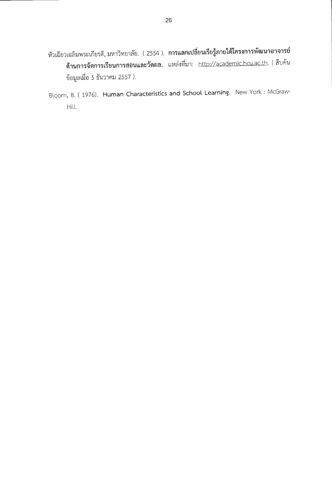- หัวเฉียวเฉลิมพระเกียรติ, มหาวิทยาลัย.(2554 ). การแลกเปลี่ยนเรียรู้ภายใต้โครงการพัฒนาอาจารย์ ด้านการจัดการเรียนการสอนและวัดผล. แหล่งที่มา: http://academic.hcu.ac.th. (สืบค้น ข้อมูลเมื่อ 5 ธันวาคม 2557 ).
- Bloom, B. (1976). Human Characteristics and School Learning. New York: McGraw-Hill.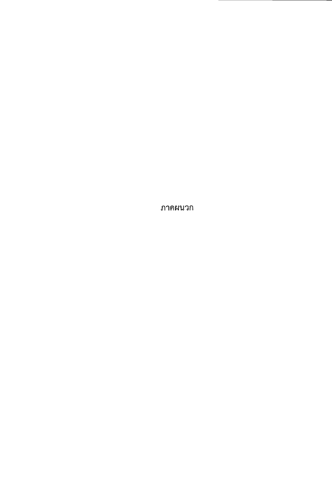ภาคผนวก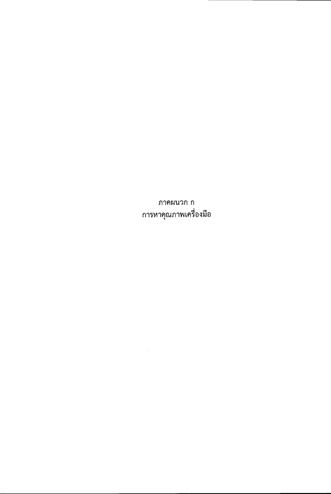ภาคผนวก ก การหาคุณภาพเครื่องมือ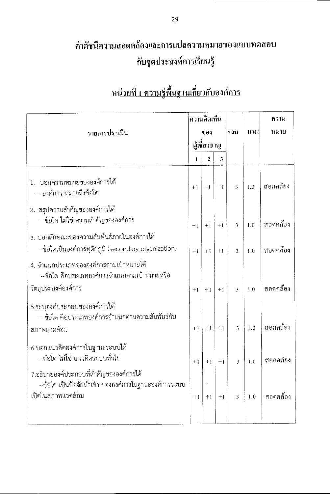### ค่าดัชนีความสอดคล้องและการแปลความหมายของแบบทดสอบ กับจุดประสงค์การเรียนรู้

|                                                                                                                      | ความคิดเห็น  |              |      |                |            |          |  |  | ความ |
|----------------------------------------------------------------------------------------------------------------------|--------------|--------------|------|----------------|------------|----------|--|--|------|
| รายการประเมิน                                                                                                        |              | ของ          |      | รวม            | <b>IOC</b> | หมาย     |  |  |      |
|                                                                                                                      |              | ผู้เชี่ยวชาญ |      |                |            |          |  |  |      |
|                                                                                                                      | $\mathbf{1}$ | $\mathbf{2}$ | 3    |                |            |          |  |  |      |
| 1. บอกความหมายขององค์การได้<br>-- องค์การ หมายถึงข้อใด                                                               | $+1$         | $+1$         | $+1$ | 3              | 1.0        | สอดคล้อง |  |  |      |
| ่ 2. สรุปความสำคัญขององค์การได้<br>-- ข้อใด ไม่ใช่ ความสำคัญขององค์การ                                               | $+1$         | $+1$         | $+1$ | 3              | 1.0        | สอดคล้อง |  |  |      |
| 3. บอกลักษณะของความสัมพันธ์ภายในองค์การได้<br>--ข้อใดเป็นองค์การทุติยภูมิ (secondary organization)                   | $+1$         | $+1$         | $+1$ | 3              | 1.0        | สอดคล้อง |  |  |      |
| 4. จำแนกประเภทขององค์การตามเป้าหมายได้<br>--ข้อใด คือประเภทองค์การจำแนกตามเป้าหมายหรือ<br>วัตถุประสงค์องค์การ        | $+1$         | $+1$         | $+1$ | 3              | 1.0        | สอดคล้อง |  |  |      |
| 5.ระบุองค์ประกอบขององค์การได้<br>---ข้อใด คือประเภทองค์การจำแนกตามความสัมพันธ์กับ                                    |              |              |      |                |            |          |  |  |      |
| สภาพแวดล้อม                                                                                                          | $+1$         | $+1$         | $+1$ | 3              | 1.0        | สอดคล้อง |  |  |      |
| 6.บอกแนวคิดองค์การในฐานะระบบได้<br>---ข้อใด ไม่ใช่ แนวคิดระบบทั่วไป                                                  | $+1$         | $+1$         | $+1$ | 3              | 1.0        | สอดคล้อง |  |  |      |
| 7.อธิบายองค์ประกอบที่สำคัญขององค์การได้<br>--ข้อใด เป็นปัจจัยนำเข้า ขององค์การในฐานะองค์การระบบ<br>เปิดในสภาพแวดล้อม | $+1$         | $+1$         | $+1$ | $\mathfrak{Z}$ | 1.0        | สอดคล้อง |  |  |      |
|                                                                                                                      |              |              |      |                |            |          |  |  |      |

### <u>หน่วยที่ 1 ความรู้พื้นฐานเกี่ยวกับองค์การ</u>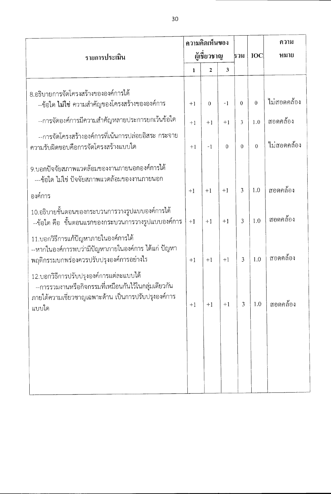|                                                                                                                                                                 | ความคิดเห็นของ |          |          |                |                |             |  | ความ |
|-----------------------------------------------------------------------------------------------------------------------------------------------------------------|----------------|----------|----------|----------------|----------------|-------------|--|------|
| รายการประเมิน                                                                                                                                                   | ผู้เชี่ยวชาญ   |          |          | ุรวม           | <b>IOC</b>     | หมาย        |  |      |
|                                                                                                                                                                 | 1              | 2        | 3        |                |                |             |  |      |
| 8.อธิบายการจัดโครงสร้างขององค์การได้<br>--ข้อใด ไม่ใช่ ความสำคัญของโครงสร้างขององค์การ                                                                          | $+1$           | $\theta$ | $-1$     | $\Omega$       | $\theta$       | ไม่สอดคล้อง |  |      |
| --การจัดองค์การมีความสำคัญหลายประการยกเว้นข้อใด                                                                                                                 | $+1$           | $+1$     | $+1$     | 3              | 1.0            | สอดคล้อง    |  |      |
| --การจัดโครงสร้างองค์การที่เน้นการปล่อยอิสระ กระจาย<br>ความรับผิดชอบคือการจัดโครงสร้างแบบใด                                                                     | $+1$           | $-1$     | $\theta$ | $\Omega$       | $\overline{0}$ | ไม่สอดคล้อง |  |      |
| 9.บอกปัจจัยสภาพแวดล้อมของงานภายนอกองค์การได้<br>---ข้อใด ไม่ใช่ ปัจจัยสภาพแวดล้อมของงานภายนอก<br>องค์การ                                                        | $+1$           | $+1$     | $+1$     | 3              | 1.0            | สอดคล้อง    |  |      |
| 10.อธิบายขั้นตอนของกระบวนการวางรูปแบบองค์การได้<br>--ข้อใด คือ  ขั้นตอนแรกของกระบวนการวางรูปแบบองค์การ                                                          | $+1$           | $+1$     | $+1$     | 3              | 1.0            | สอดคล้อง    |  |      |
| 11.บอกวิธีการแก้ปัญหาภายในองค์การได้<br>--หากในองค์การพบว่ามีปัญหาภายในองค์การ ได้แก่ ปัญหา<br>พฤติกรรมบกพร่องควรปรับปรุงองค์การอย่างไร                         | $+1$           | $+1$     | $+1$     | $\overline{3}$ | 1.0            | สอดคล้อง    |  |      |
| 12.บอกวิธีการปรับปรุงองค์การแต่ละแบบได้<br>--การรวมงานหรือกิจกรรมที่เหมือนกันไว้ในกลุ่มเดียวกัน<br>ภายใต้ความเชี่ยวชาญเฉพาะด้าน เป็นการปรับปรุงองค์การ<br>แบบใด | $+1$           | $+1$     | $+1$     | 3              | 1.0            | สอดคล้อง    |  |      |
|                                                                                                                                                                 |                |          |          |                |                |             |  |      |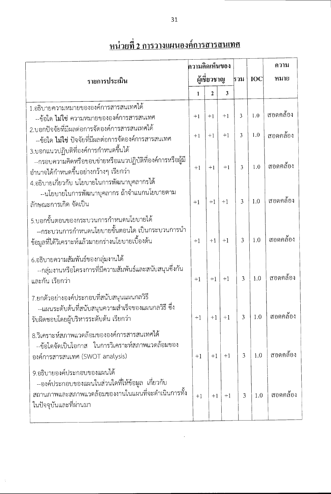| ความคิดเห็นของ                                                                                                                                                  |              |      |      |                |     | ความ     |     |            |      |
|-----------------------------------------------------------------------------------------------------------------------------------------------------------------|--------------|------|------|----------------|-----|----------|-----|------------|------|
| รายการประเมิน                                                                                                                                                   | ผู้เชี่ยวชาญ |      |      |                |     |          | รวม | <b>IOC</b> | หมาย |
|                                                                                                                                                                 | 1            | 2    | 3    |                |     |          |     |            |      |
| 1.อธิบายความหมายขององค์การสารสนเทศได้<br>--ข้อใด ไม่ใช่ ความหมายขององค์การสารสนเทศ<br>2.บอกปัจจัยที่มีผลต่อการจัดองค์การสารสนเทศได้                             | $+1$         | $+1$ | $+1$ | 3              | 1.0 | สอดคล้อง |     |            |      |
| --ข้อใด ไม่ใช่ ปัจจัยที่มีผลต่อการจัดองค์การสารสนเทศ<br>3.บอกแนวปฏิบติที่องค์การกำหนดขึ้นได้<br>--กรอบความคิดหรือขอบข่ายหรือแนวปฏิบัติที่องค์การหรือผู้มี       | $+1$         | $+1$ | $+1$ | $\overline{3}$ | 1.0 | สอดคล้อง |     |            |      |
| อำนาจได้กำหนดขึ้นอย่างกว้างๆ เรียกว่า<br>4.อธิบายเกี่ยวกับ นโยบายในการพัฒนาบุคลากรได้                                                                           | $+1$         | $+1$ | $+1$ | 3              | 1.0 | สอดคล้อง |     |            |      |
| --นโยบายในการพัฒนาบุคลากร ถ้าจำแนกนโยบายตาม<br>ลักษณะการเกิด จัดเป็น                                                                                            | $+1$         | $+1$ | $+1$ | 3              | 1.0 | สอดคล้อง |     |            |      |
| 5.บอกขั้นตอนของกระบวนการกำหนดนโยบายได้<br>--กระบวนการกำหนดนโยบายขั้นตอนใด เป็นกระบวนการนำ<br>ข้อมูลที่ได้วิเคราะห์แล้วมายกร่างนโยบายเบื้องต้น                   | $+1$         | $+1$ | $+1$ | 3              | 1.0 | สอดคล้อง |     |            |      |
| 6.อธิบายความสัมพันธ์ของกลุ่มงานได้<br>--กลุ่มงานหรือโครงการที่มีความสัมพันธ์และสนับสนุนซึ่งกัน<br>และกัน เรียกว่า                                               | $+1$         | $+1$ | $+1$ | 3              | 1.0 | สอดคล้อง |     |            |      |
| 7.ยกตัวอย่างองค์ประกอบที่สนับสนุนแผนกลวิธี<br>--แผนระดับต้นที่สนับสนุนความสำเร็จของแผนกลวิธี ซึ่ง<br>รับผิดชอบโดยผู้บริหารระดับต้น เรียกว่า                     | $+1$         | $+1$ | $+1$ | 3              | 1.0 | สอดคล้อง |     |            |      |
| 8.วิเคราะห์สภาพแวดล้อมขององค์การสารสนเทศได้<br>--ข้อใดจัดเป็นโอกาส ในการวิเคราะห์สภาพแวดล้อมของ<br>องค์การสารสนเทศ (SWOT analysis)                              | $+1$         | $+1$ | $+1$ | 3              | 1.0 | สอดคล้อง |     |            |      |
| 9.อธิบายองค์ประกอบของแผนได้<br>--องค์ประกอบของแผนในส่วนใดที่ให้ข้อมูล เกี่ยวกับ<br>สถานภาพและสภาพแวดล้อมของงานในแผนที่จะดำเนินการทั้ง<br>ในปัจจุบันและที่ผ่านมา | $+1$         | $+1$ | $+1$ | 3              | 1.0 | สอดคล้อง |     |            |      |

### <u>หน่วยที่ 2 การวางแผนองค์การสารสนเทศ</u>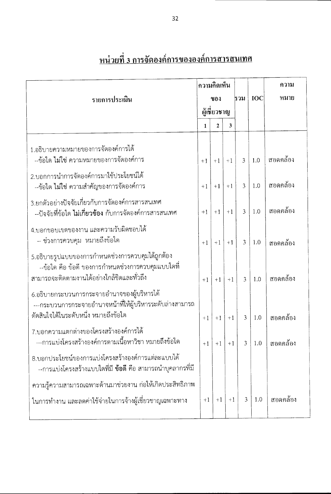|                                                                                                                                                      | ความคิดเห็น |                |      |                |     |                        |  | ความ |  |  |  |            |      |
|------------------------------------------------------------------------------------------------------------------------------------------------------|-------------|----------------|------|----------------|-----|------------------------|--|------|--|--|--|------------|------|
| รายการประเมิน                                                                                                                                        | ของ         |                |      |                |     |                        |  | ธวม  |  |  |  | <b>IOC</b> | หมาย |
|                                                                                                                                                      |             | ผู้เชี่ยวชาญ   |      |                |     |                        |  |      |  |  |  |            |      |
|                                                                                                                                                      | 1           | $\overline{2}$ | 3    |                |     |                        |  |      |  |  |  |            |      |
| 1.อธิบายความหมายของการจัดองค์การได้<br>--ข้อใด ไม่ใช่ ความหมายของการจัดองค์การ                                                                       | $+1$        | $+1$           | $+1$ | 3              | 1.0 | สอดคล้อง               |  |      |  |  |  |            |      |
| 2.บอกการนำการจัดองค์การมาใช้ประโยชน์ได้<br>--ข้อใด ไม่ใช่ ความสำคัญของการจัดองค์การ                                                                  | $+1$        | $+1$           | $+1$ | 3              | 1.0 | สอดคล้อง               |  |      |  |  |  |            |      |
| 3.ยกตัวอย่างปัจจัยเกี่ยวกับการจัดองค์การสารสนเทศ<br>--ปัจจัยที่ข้อใด ไม่เกี่ยวข้อง กับการจัดองค์การสารสนเทศ                                          | $+1$        | $+1$           | $+1$ | 3              | 1.0 | สอดคล้อง               |  |      |  |  |  |            |      |
| 4.บอกขอบเขตของงาน และความรับผิดชอบได้<br>-- ช่วงการควบคุม หมายถึงข้อใด                                                                               | $+1$        | $+1$           | $+1$ | $\overline{3}$ | 1.0 | สอดคล้อง               |  |      |  |  |  |            |      |
| 5.อธิบายรูปแบบของการกำหนดช่วงการควบคุมได้ถูกต้อง<br>--ข้อใด คือ ข้อดี ของการกำหนดช่วงการควบคุมแบบใดที่<br>สามารถจะติดตามงานได้อย่างใกล้ชิดและทั่วถึง | $+1$        | $+1$           | $+1$ | 3              | 1.0 | สอดคล้อง               |  |      |  |  |  |            |      |
| 6.อธิบายกระบวนการกระจายอำนาจของผู้บริหารได้<br>---กระบวนการกระจายอำนาจหน้าที่ให้ผู้บริหารระดับล่างสามารถ<br>ตัดสินใจได้ในระดับหนึ่ง หมายถึงข้อใด     | $+1$        | $+1$           | $+1$ | $\overline{3}$ | 1.0 | สอดคล้อง               |  |      |  |  |  |            |      |
| 7.บอกความแตกต่างของโครงสร้างองค์การได้<br>--การแบ่งโครงสร้างองค์การตามเนื้อหาวิชา หมายถึงข้อใด                                                       | $+1$        | $+1$           | $+1$ |                |     | $3   1.0   \text{non}$ |  |      |  |  |  |            |      |
| 8.บอกประโยชน์ของการแบ่งโครงสร้างองค์การแต่ละแบบได้<br>--การแบ่งโครงสร้างแบบใดที่มี ข้อดี คือ สามารถนำบุคลากรที่มี                                    |             |                |      |                |     |                        |  |      |  |  |  |            |      |
| ความรู้ความสามารถเฉพาะด้านมาช่วยงาน ก่อให้เกิดประสิทธิภาพ                                                                                            |             |                |      |                |     |                        |  |      |  |  |  |            |      |
| ในการทำงาน และลดค่าใช้จ่ายในการจ้างผู้เชี่ยวชาญเฉพาะทาง                                                                                              | $+1$        | $+1$           | $+1$ | $\mathfrak{Z}$ | 1.0 | สอดคล้อง               |  |      |  |  |  |            |      |

## <u>หน่วยที่ 3 การจัดองค์การขององค์การสารสนเทศ</u>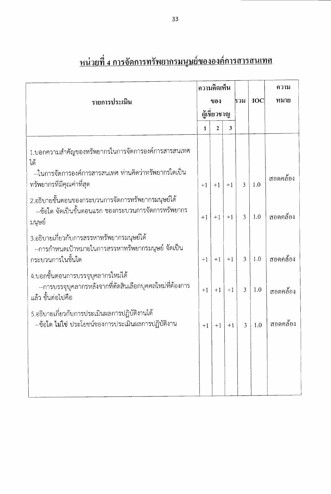|                                                                                                                       | ความคิดเห็น |              |      |                |            | ความ     |
|-----------------------------------------------------------------------------------------------------------------------|-------------|--------------|------|----------------|------------|----------|
| รายการประเมิน                                                                                                         |             | ของ          |      | รวม            | <b>IOC</b> | หมาย     |
|                                                                                                                       | ผู้เชียวชาญ |              |      |                |            |          |
|                                                                                                                       | 1           | $\mathbf{2}$ | 3    |                |            |          |
| 1.บอกความสำคัญของทรัพยากรในการจัดการองค์การสารสนเทศ<br>ได้                                                            |             |              |      |                |            |          |
| --ในการจัดการองค์การสารสนเทศ ท่านคิดว่าทรัพยากรใดเป็น<br>ทรัพยากรที่มีคุณค่าที่สุด                                    | $+1$        | $+1$         | $+1$ | 3              | 1.0        | สอดคล้อง |
| 2.อธิบายขั้นตอนของกระบวนการจัดการทรัพยากรมนุษย์ได้<br>--ข้อใด จัดเป็นขั้นตอนแรก ของกระบวนการจัดการทรัพยากร<br>มนุษย์  | $+1$        | $+1$         | $+1$ | 3              | 1.0        | สอดคล้อง |
| 3.อธิบายเกี่ยวกับการสรรหาทรัพยากรมนุษย์ได้<br>--การกำหนดเป้าหมายในการสรรหาทรัพยากรมนุษย์ จัดเป็น<br>กระบวนการในขั้นใด | $+1$        | $+1$         | $+1$ | $\overline{3}$ | 1.0        | สอดคล้อง |
| 4.บอกขั้นตอนการบรรจุบุคลากรใหม่ได้<br>--การบรรจุบุคลากรหลังจากที่ตัดสินเลือกบุคคลใหม่ที่ต้องการ<br>แล้ว ขั้นต่อไปคือ  | $+1$        | $+1$         | $+1$ | $\overline{3}$ | 1.0        | สอดคล้อง |
| 5.อธิบายเกี่ยวกับการประเมินผลการปฏิบัติงานได้<br>--ข้อใด ไม่ใช่ ประโยชน์ของการประเมินผลการปฏิบัติงาน                  | $+1$        | $+1$         | $+1$ | $\overline{3}$ | 1.0        | สอดคล้อง |
|                                                                                                                       |             |              |      |                |            |          |
|                                                                                                                       |             |              |      |                |            |          |

# <u>หน่วยที่ 4 การจัดการทรัพยากรมนุษย์ขององค์การสารสนเทศ</u>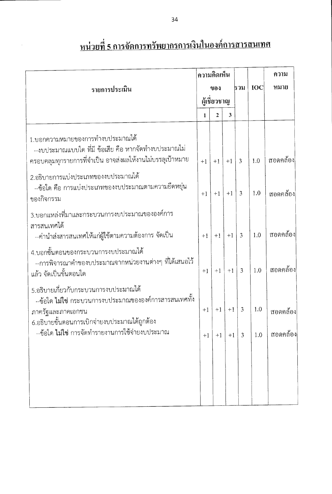|             |                                                                                                                                                                              |      | ความคิดเห็น  |                 |                |            | ความ             |
|-------------|------------------------------------------------------------------------------------------------------------------------------------------------------------------------------|------|--------------|-----------------|----------------|------------|------------------|
|             | รายการประเมิน                                                                                                                                                                | ของ  |              |                 | ธวม            | <b>IOC</b> | หมาย             |
|             |                                                                                                                                                                              |      | ผู้เชี่ยวชาญ |                 |                |            |                  |
|             |                                                                                                                                                                              | 1    | $\mathbf{2}$ | 3               |                |            |                  |
|             | 1.บอกความหมายของการทำงบประมาณได้<br>--งบประมาณแบบใด ที่มี ข้อเสีย คือ หากจัดทำงบประมาณไม่<br>ครอบคลุมทุกรายการที่จำเป็น อาจส่งผลให้งานไม่บรรลุเป้าหมาย                       | $+1$ | $+1$         | $+1$            | $\overline{3}$ | 1.0        | สอดคล้อง         |
| ของกิจกรรม  | 2.อธิบายการแบ่งประเภทของงบประมาณได้<br>--ข้อใด คือ การแบ่งประเภทของงบประมาณตามความยืดหยุ่น                                                                                   | $+1$ | $+1$         | $+1$            | $\overline{3}$ | 1.0        | สอดคล้อง         |
| สารสนเทศได้ | 3.บอกแหล่งที่มาและกระบวนการงบประมาณขององค์การ<br>--ค่านำส่งสารสนเทศให้แก่ผู้ใช้ตามความต้องการ จัดเป็น                                                                        | $+1$ | $+1$         | $+1$            | $\overline{3}$ | 1.0        | สอดคล้อง         |
|             | 4.บอกขั้นตอนของกระบวนการงบประมาณได้<br>--การพิจารณาคำของบประมาณจากหน่วยงานต่างๆ ที่ได้เสนอไว้<br>แล้ว จัดเป็นขั้นตอนใด                                                       | $+1$ | $+1$         | $+1$            | $\overline{3}$ | 1.0        | สอดคล้อง         |
|             | 5.อธิบายเกี่ยวกับกระบวนการงบประมาณได้<br>--ข้อใด <b>ไม่ใช</b> ่ กระบวนการงบประมาณขององค์การสารสนเทศทั้ง<br>ภาครัฐและภาคเอกชน<br>6.อธิบายขั้นตอนการเบิกจ่ายงบประมาณได้ถูกต้อง | $+1$ | $+1$         | $+1$            | $\overline{3}$ | 1.0        | สอดคล้อง         |
|             | --ข้อใด ไม่ใช่ การจัดทำรายงานการใช้จ่ายงบประมาณ                                                                                                                              | $+1$ |              | $+1$   $+1$   3 |                |            | $1.0$   สอดคล้อง |
|             |                                                                                                                                                                              |      |              |                 |                |            |                  |
|             |                                                                                                                                                                              |      |              |                 |                |            |                  |
|             |                                                                                                                                                                              |      |              |                 |                |            |                  |

# <u>หน่วยที่ 5 การจัดการทรัพยากรการเงินในองค์การสารสนเทศ</u>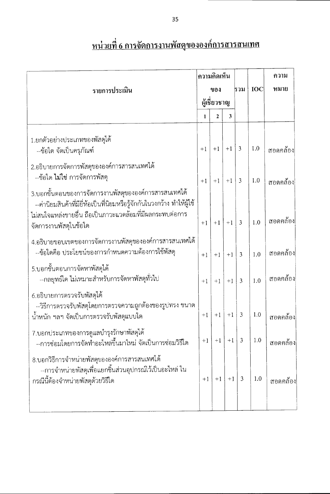|                                                                                                                                                                                                                       | ความคิดเห็น |              |                |                |     | ความ     |
|-----------------------------------------------------------------------------------------------------------------------------------------------------------------------------------------------------------------------|-------------|--------------|----------------|----------------|-----|----------|
| รายการประเมิน                                                                                                                                                                                                         | ของ         |              |                | รวม            | IOC | หมาย     |
|                                                                                                                                                                                                                       |             | ผู้เชี่ยวชาญ |                |                |     |          |
|                                                                                                                                                                                                                       | 1           | $\mathbf{2}$ | $\mathfrak{Z}$ |                |     |          |
| 1.ยกตัวอย่างประเภทของพัสดุได้<br>--ข้อใด จัดเป็นครุภัณฑ์                                                                                                                                                              | $+1$        | $+1$         | $+1$           | $\overline{3}$ | 1.0 | สอดคล้อง |
| 2.อธิบายการจัดการพัสดุขององค์การสารสนเทศได้<br>--ข้อใด ไม่ใช่ การจัดการพัสดุ                                                                                                                                          | $+1$        | $+1$         | $+1$ 3         |                | 1.0 | สอดคล้อง |
| 3.บอกขั้นตอนของการจัดการงานพัสดุขององค์การสารสนเทศได้<br>--ค่านิยมสินค้าที่มียี่ห้อเป็นที่นิยมหรือรู้จักกันในวงกว้าง ทำให้ผู้ใช้<br>ไม่สนใจแหล่งขายอื่น ถือเป็นภาวะแวดล้อมที่มีผลกระทบต่อการ<br>จัดการงานพัสดุในข้อใด | $+1$        | $+1$         | $+1$           | $\overline{3}$ | 1.0 | สอดคล้อง |
| 4.อธิบายขอบเขตของการจัดการงานพัสดุขององค์การสารสนเทศได้<br>--ข้อใดคือ ประโยชน์ของการกำหนดความต้องการใช้พัสดุ                                                                                                          | $+1$        | $+1$         | $+1$           | $\overline{3}$ | 1.0 | สอดคล้อง |
| 5.บอกขั้นตอนการจัดหาพัสดุได้<br>--กลยุทธ์ใด ไม่เหมาะสำหรับการจัดหาพัสดุทั่วไป                                                                                                                                         | $+1$        | $+1$         | $+1$           | 3              | 1.0 | สอดคล้อง |
| 6.อธิบายการตรวจรับพัสดุได้<br>--วิธีการตรวจรับพัสดุโดยการตรวจความถูกต้องของรูบ่ทรง ขนาด<br>น้ำหนัก ฯลฯ จัดเป็นการตรวจรับพัสดุแบบใด                                                                                    | $+1$        | $+1$         | $+1$           | $\mathfrak{Z}$ | 1.0 | สอดคล้อง |
| 7.บอกประเภทของการดูแลบำรุงรักษาพัสดุได้<br>--การซ่อมโดยการจัดทำอะไหล่ขึ้นมาใหม่ จัดเป็นการซ่อมวิธีใด                                                                                                                  | $+1$        | $+1$         | $+1$           | $\overline{3}$ | 1.0 | สอดคล้อง |
| 8.บอกวิธีการจำหน่ายพัสดุขององค์การสารสนเทศได้<br>--การจำหน่ายพัสดุเพื่อแยกชิ้นส่วนอุปกรณ์ไว้เป็นอะไหล่ ใน<br>กรณีนี้ต้องจำหน่ายพัสดุด้วยวิธีใด                                                                        | $+1$        | $+1$         | $+1$           | 3              | 1.0 | สอดกล้อง |
|                                                                                                                                                                                                                       |             |              |                |                |     |          |

## <u>หน่วยที่ 6 การจัดการงานพัสดุขององค์การสารสนเทศ</u>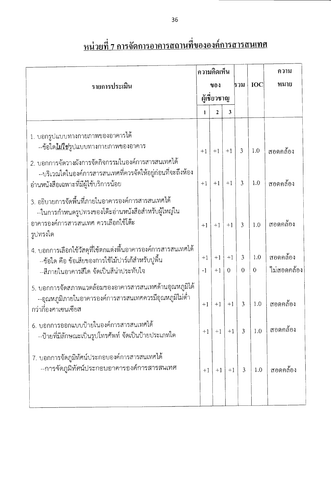|                                                                                                                                                                                                                                | ความคิดเห็น |              |          |                |                   |             |  | ความ |
|--------------------------------------------------------------------------------------------------------------------------------------------------------------------------------------------------------------------------------|-------------|--------------|----------|----------------|-------------------|-------------|--|------|
| รายการประเมิน                                                                                                                                                                                                                  |             | ของ          |          | รวม            | <b>IOC</b>        | หมาย        |  |      |
|                                                                                                                                                                                                                                |             | ผู้เชี่ยวชาญ |          |                |                   |             |  |      |
|                                                                                                                                                                                                                                | 1           | 2            | 3        |                |                   |             |  |      |
| 1. บอกรูปแบบทางกายภาพของอาคารได้<br>--ข้อใด <u>ไม่ใช่รู</u> ปแบบทางกายภาพของอาคาร<br>2. บอกการจัดวางผังการจัดกิจกรรมในองค์การสารสนเทศได้<br>--บริเวณใดในองค์การสารสนเทศที่ควรจัดให้อยู่ก่อนที่จะถึงห้อง                        | $+1$        | $+1$         | $+1$     | $\overline{3}$ | 1.0               | สอดกล้อง    |  |      |
| อ่านหนังสือเฉพาะที่มีผู้ใช้บริการน้อย                                                                                                                                                                                          | $+1$        | $+1$         | $+1$     | $\overline{3}$ | 1.0               | สอดคล้อง    |  |      |
| 3. อธิบายการจัดพื้นที่ภายในอาคารองค์การสารสนเทศได้<br>--ในการกำหนดรูปทรงของโต๊ะอ่านหนังสือสำหรับผู้ใหญ่ใน<br>อาคารองค์การสารสนเทศ ควรเลือกใช้โต๊ะ<br>รูปทรงใด<br>4. บอกการเลือกใช้วัสดุที่ใช้ตกแต่งพื้นอาคารองค์การสารสนเทศได้ | $+1$        | $+1$         | $+1$     | $\overline{3}$ | 1.0               | สอดคล้อง    |  |      |
| --ข้อใด คือ ข้อเสียของการใช้ไม้ปาร์เก้สำหรับปูพื้น                                                                                                                                                                             | $+1$        | $+1$         | $+1$     | $\overline{3}$ | 1.0               | สอดกล้อง    |  |      |
| --สีภายในอาคารสีใด จัดเป็นสีน่าประทับใจ                                                                                                                                                                                        | $-1$        | $+1$         | $\theta$ | $\overline{0}$ | $\theta$          | ไม่สอดคล้อง |  |      |
| 5. บอกการจัดสภาพแวดล้อมของอาคารสารสนเทศด้านอุณหภูมิได้<br>--อุณหภูมิภายในอาคารองค์การสารสนเทศควรมีอุณหภูมิไม่ต่ำ<br>กว่ากืองศาเซนเซียส                                                                                         | $+1$        | $+1$         | $+1$     | $\overline{3}$ | 1.0               | สอดกล้อง    |  |      |
| 6. บอกการออกแบบป้ายในองค์การสารสนเทศได้<br>--ป้ายที่มีลักษณะเป็นรูปโทรศัพท์ จัดเป็นป้ายประเภทใด                                                                                                                                |             | $+1$ +1      |          | $+1$ 3         | $\vert 1.0 \vert$ | สอดคล้อง    |  |      |
| 7. บอกการจัดภูมิทัศน์ประกอบองค์การสารสนเทศได้<br>--การจัดภูมิทัศน์ประกอบอาคารองค์การสารสนเทศ                                                                                                                                   | $+1$        | $+1$         | $+1$     | 3              | 1.0               | สอดกล้อง    |  |      |

# <u>หน่วยที่ 7 การจัดการอาคารสถานที่ขององค์การสารสนเทศ</u>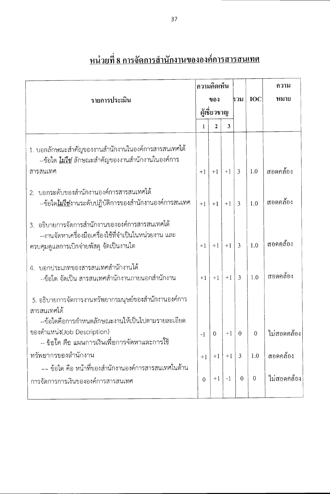|                                                                                                                                                     | ความคิดเห็น<br>ของ |              |      |                |                |             |  | ความ |
|-----------------------------------------------------------------------------------------------------------------------------------------------------|--------------------|--------------|------|----------------|----------------|-------------|--|------|
| รายการประเมิน                                                                                                                                       |                    |              | ธวม  | <b>IOC</b>     | หมาย           |             |  |      |
|                                                                                                                                                     |                    | ผู้เชี่ยวชาญ |      |                |                |             |  |      |
|                                                                                                                                                     | 1                  | $\mathbf{2}$ | 3    |                |                |             |  |      |
| 1. บอกลักษณะสำคัญของงานสำนักงานในองค์การสารสนเทศได้<br>--ข้อใด <u>ไม่ใช่</u> ลักษณะสำคัญของงานสำนักงานในองค์การ                                     |                    |              |      |                |                |             |  |      |
| สารสนเทศ                                                                                                                                            | $+1$               | $+1$         | $+1$ | $\overline{3}$ | 1.0            | สอดคล้อง    |  |      |
| 2. บอกระดับของสำนักงานองค์การสารสนเทศได้<br>--ข้อใด <u>ไม่ใช่</u> งานระดับปฏิบัติการของสำนักงานองค์การสนเทศ                                         | $+1$               | $+1$         | $+1$ | $\mathbf{3}$   | 1.0            | สอดคล้อง    |  |      |
| 3. อธิบายการจัดการสำนักงานขององค์การสารสนเทศได้<br>--งานจัดหาเครื่องมือเครื่องใช้ที่จำเป็นในหน่วยงาน และ<br>ควบคุมดูแลการเบิกจ่ายพัสดุ จัดเป็นงานใด | $+1$               | $+1$         | $+1$ | 3              | 1.0            | สอดคล้อง    |  |      |
| 4. บอกประเภทของสารสนเทศสำนักงานได้<br>--ข้อใด จัดเป็น สารสนเทศสำนักงานภายนอกสำนักงาน                                                                | $+1$               | $+1$         | $+1$ | $\overline{3}$ | 1.0            | สอดคล้อง    |  |      |
| 5. อธิบายการจัดการงานทรัพยากรมนุษย์ของสำนักงานองค์การ<br>สารสนเทศได้<br>--ข้อใดคือการกำหนดลักษณะงานให้เป็นไปตามรายละเอียด                           |                    |              |      |                |                |             |  |      |
| ของตำแหน่ง(Job Description)<br>ข้อใด คือ แผนการเงินเพื่อการจัดหาและการใช้                                                                           | $-1$               | 0            | $+1$ | $\overline{0}$ | $\Omega$       | ไม่สอดคล้อง |  |      |
| ทรัพยากรของสำนักงาน                                                                                                                                 | $+1$               | $+1$         | $+1$ | 3              | 1.0            | สอดคล้อง    |  |      |
| -- ข้อใด คือ หน้าที่ของสำนักงานองค์การสารสนเทศในด้าน<br>การจัดการการเงินขององค์การสารสนเทศ                                                          | $\overline{0}$     | $+1$         | $-1$ | $\overline{0}$ | $\overline{0}$ | ไม่สอดคล้อง |  |      |

### <u>หน่วยที่ 8 การจัดการสำนักงานขององค์การสารสนเทศ</u>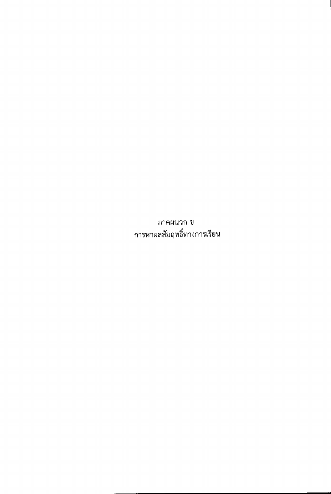ภาคผนวก ข การหาผลสัมฤทธิ์ทางการเรียน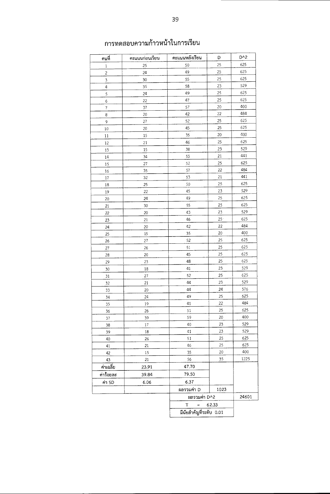| คนที่      | คะแนนก่อนเรียน | คะแนนหลังเรียน          | D     | D <sup>^2</sup> |  |  |  |
|------------|----------------|-------------------------|-------|-----------------|--|--|--|
| 1          | 25             | 50                      | 25    | 625             |  |  |  |
| $\sqrt{2}$ | 24             | 49                      | 25    | 625             |  |  |  |
| 3          | 30             | 55                      | 25    | 625             |  |  |  |
| 4          | 35             | 58                      | 23    | 529             |  |  |  |
| 5          | 24             | 49                      | 25    | 625             |  |  |  |
| 6          | 22             | 47                      | 25    | 625             |  |  |  |
| 7          | 37             | 57                      | 20    | 400             |  |  |  |
| 8          | 20             | 42                      | 22    | 484             |  |  |  |
| 9          | 27             | 52                      | 25    | 625             |  |  |  |
| 10         | 20             | 45                      | 25    | 625             |  |  |  |
| 11         | 15             | 35                      | 20    | 400             |  |  |  |
| 12         | 21             | 46                      | 25    | 625             |  |  |  |
| 13         | 15             | 38                      | 23    | 529             |  |  |  |
| 14         | 34             | 55                      | 21    | 441             |  |  |  |
| 15         | 27             | 52                      | 25    | 625             |  |  |  |
| 16         | 35             | 57                      | 22    | 484             |  |  |  |
| 17         | 32             | 53                      | 21    | 441             |  |  |  |
| 18         | 25             | 50                      | 25    | 625             |  |  |  |
| 19         | 22             | 45                      | 23    | 529             |  |  |  |
| 20         | 24             | 49                      | 25    | 625             |  |  |  |
| 21         | 30             | 55                      | 25    | 625             |  |  |  |
| 22         | 20             | 43                      | 23    | 529             |  |  |  |
| 23         | 21             | 46                      | $25+$ | 625             |  |  |  |
| 24         | 20             | 42                      | 22    | 484             |  |  |  |
| 25         | 15             | 35                      | 20    | 400             |  |  |  |
| 26         | 27             | 52                      | 25    | 625             |  |  |  |
| 27         | 26             | 51                      | 25    | 625             |  |  |  |
| 28         | 20             | 45                      | 25    | 625             |  |  |  |
| 29         | 23             | 48                      | 25    | 625             |  |  |  |
| 30         | 18             | 41                      | 23    | 529             |  |  |  |
| 31         | 27             | 52                      | 25    | 625             |  |  |  |
| 32         | 21             | 44                      | 23    | 529             |  |  |  |
| 33         | 20             | 44                      | 24    | 576             |  |  |  |
| 34         | 24             | 49                      | 25    | 625             |  |  |  |
| 35         | 19             | 41                      | 22    | 484             |  |  |  |
| 36         | 26             | 51                      | 25    | 625             |  |  |  |
| 37         | 39             | 59                      | 20    | 400             |  |  |  |
| 38         | 17             | 40                      | 23    | 529             |  |  |  |
| 39         | 18             | 41                      | 23    | 529             |  |  |  |
| 40         | 26             | 51                      | 25    | 625             |  |  |  |
| 41         | 21             | 46                      | 25    | 625             |  |  |  |
| 42         | 15             | 35                      | 20    | 400             |  |  |  |
| 43         | 21             | 56                      | 35    | 1225            |  |  |  |
| ค่าเฉลี่ย  | 23.91          | 47.70                   |       |                 |  |  |  |
| ค่าร้อยละ  | 39.84          | 79.50                   |       |                 |  |  |  |
| ค่า SD     | 6.06           | 6.37                    |       |                 |  |  |  |
|            |                | ผลรวมค่า D              | 1023  |                 |  |  |  |
|            |                | ผลรวมค่า D^2            |       | 24601           |  |  |  |
|            |                | T<br>$\equiv$           | 62.33 |                 |  |  |  |
|            |                |                         |       |                 |  |  |  |
|            |                | มีนัยสำคัญที่ระดับ 0.01 |       |                 |  |  |  |

### การทดสอบความก้าวหน้าในการเรียน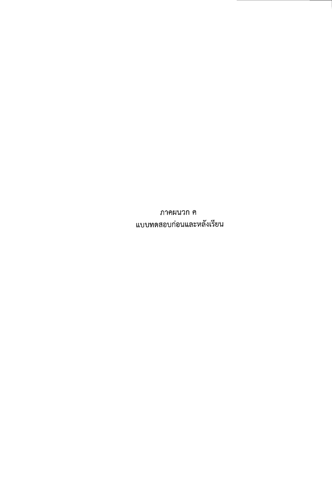ภาคผนวก ค แบบทดสอบก่อนและหลังเรียน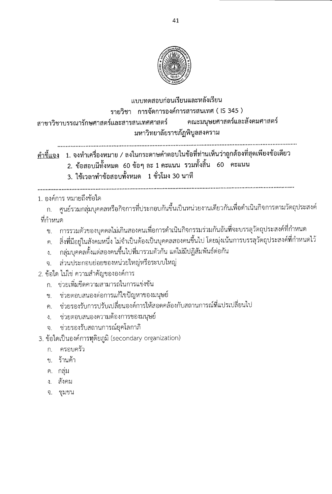

#### แบบทดสลบก่อนเรียนและหลังเรียน รายวิชา การจัดการองค์การสารสนเทศ ( IS 345 ) ึคณะมนุษยศาสตร์และสังคมศาสตร์ สาขาวิชาบรรณารักษศาสตร์และสารสนเทศศาสตร์ มหาวิทยาลัยราชภัฏพิบูลสงคราม

<u>คำชี้แจง</u> 1. จงทำเครื่องหมาย / ลงในกระดาษคำตอบในข้อที่ท่านเห็นว่าถูกต้องที่สุดเพียงข้อเดียว

- 2. ข้อสอบมีทั้งหมด 60 ข้อๆ ละ 1 คะแนน รวมทั้งสิ้น 60 คะแนน
- 3. ใช้เวลาทำข้อสอบทั้งหมด 1 ชั่วโมง 30 นาที

#### 1. องค์การ หมายถึงข้อใด

ก. ศูนย์รวมกลุ่มบุคคลหรือกิจการที่ประกอบกันขึ้นเป็นหน่วยงานเดียวกันเพื่อดำเนินกิจการตามวัตถุประสงค์ ที่กำหบด

- ข. การรวมตัวของบุคคลไม่เกินสองคนเพื่อการดำเนินกิจกรรมร่วมกันอันที่จะบรรลุวัตถุประสงค์ที่กำหนด
- ึค. สิ่งที่มีอยู่ในสังคมหนึ่ง ไม่จำเป็นต้องเป็นบุคคลสองคนขึ้นไป โดยมุ่งเน้นการบรรลุวัตถุประสงค์ที่กำหนดไว้
- กลุ่มบุคคลตั้งแต่สองคนขึ้นไปที่มารวมตัวกัน แต่ไม่มีปฏิสัมพันธ์ต่อกัน  $\mathcal{L}$
- ส่วนประกอบย่อยของหน่วยใหญ่หรือระบบใหญ่ จ.
- 2. ข้อใด ไม่ใช่ ความสำคัญขององค์การ
	- ึก. ช่วยเพิ่มขีดความสามารถในการแข่งขัน
	- ข. ช่วยตอบสนองต่อการแก้ไขปัญหาของมนุษย์
	- ค. ช่วยรองรับการปรับเปลี่ยนองค์การให้สอดคล้องกับสถานการณ์ที่แปรเปลี่ยนไป
	- ึง. ช่วยตอบสนองความต้องการของมนุษย์
	- ช่วยรองรับสถานการณ์ยุคโลกาภิ จ.

3. ข้อใดเป็นองค์การทุติยภูมิ (secondary organization)

- ก. ครอบครัว
- ข. ร้านค้า
- ค. กลุ่ม
- ง สังคม
- จ. ชุมชน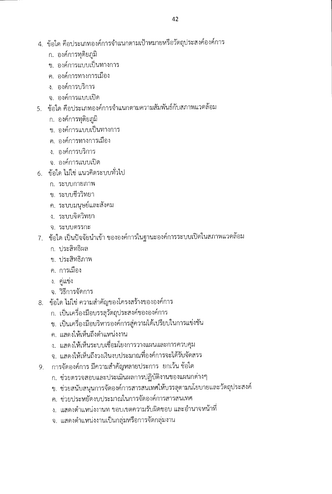- 4. ข้อใด คือประเภทองค์การจำแนกตามเป้าหมายหรือวัตถุประสงค์องค์การ
	- ึก. องค์การทุติยภูมิ
	- ข. องค์การแบบเป็นทางการ
	- ค. องค์การทางการเมือง
	- ง. องค์การบริการ
	- ้จ. องค์การแบบเปิด
- 5. ข้อใด คือประเภทองค์การจำแนกตามความสัมพันธ์กับสภาพแวดล้อม
	- ึก. องค์การทุติยภูมิ
	- ข. องค์การแบบเป็นทางการ
	- ค. องค์การทางการเมือง
	- ง. องค์การบริการ
	- จ. องค์การแบบเปิด
- 6. ข้อใด ไม่ใช่ แนวคิดระบบทั่วไป
	- ก. ระบบกายภาพ
	- ข. ระบบชีววิทยา
	- ค. ระบบมนุษย์และสังคม
	- ง. ระบบจิตวิทยา
	- จ. ระบบตรรกะ
- 7. ข้อใด เป็นปัจจัยนำเข้า ขององค์การในฐานะองค์การระบบเปิดในสภาพแวดล้อม
	- ก. ประสิทธิผล
	- ข ประสิทธิภาพ
	- ค. การเมือง
	- ง. คู่แข่ง
	- จ. วิธีการจัดการ
- 8. ข้อใด ไม่ใช่ ความสำคัญของโครงสร้างขององค์การ
	- ก. เป็นเครื่องมือบรรลุวัตถุประสงค์ขององค์การ
	- ข. เป็นเครื่องมือบริหารองค์การสู่ความได้เปรียบในการแข่งขัน
	- ึค. แสดงให้เห็นถึงตำแหน่งงาน
	- ึง. แสดงให้เห็นระบบเชื่อมโยงการวางแผนและการควบคุม
	- จ. แสดงให้เห็นถึงวงเงินงบประมาณที่องค์การจะได้รับจัดสรร
- 9. การจัดองค์การ มีความสำคัญหลายประการ ยกเว้น ช้อใด
	- ึก. ช่วยตรวจสอบและประเมินผลการปฏิบัติงานของแผนกต่างๆ
	- ข. ช่วยสนับสนุนการจัดองค์การสารสนเทศให้บรรลุตามนโยบายและวัตถุประสงค์
	- ค. ช่วยประหยัดงบประมาณในการจัดองค์การสารสนเทศ
	- ึง. แสดงตำแหน่งงานท ขอบเขตความรับผิดชอบ และอำนาจหน้าที่
	- จ. แสดงตำแหน่งงานเป็นกลุ่มหรือการจัดกลุ่มงาน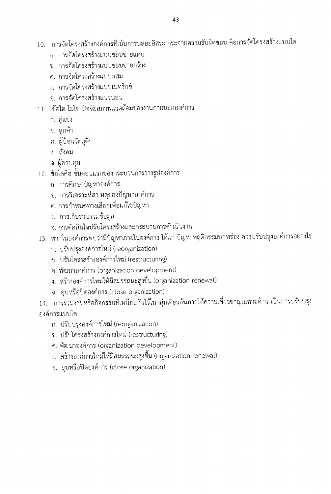- 10. การจัดโครงสร้างองค์การที่เน้นการปล่อยอิสระ กระจายความรับผิดชอบ คือการจัดโครงสร้างแบบใด
	- ึก การจัดโครงสร้างแบบขอบข่ายแคบ
	- ข การจัดโครงสร้างแบบขอบข่ายกว้าง
	- ค. การจัดโครงสร้างแบบผสม
	- ึง การจัดโครงสร้างแบบเมทริกซ์
	- จ การจัดโครงสร้างแนวนอน
- 11. ข้อใด ไม่ใช่ ปัจจัยสภาพแวดล้อมของงานภายนอกองค์การ
	- ก. คู่แข่ง
	- ข. ลูกค้า
	- ค. ผู้ป้อนวัตถุดิบ
	- ง. สังคม
	- ้จ. ผู้ควบคุม
- 12. ข้อใดคือ ขั้นตอนแรกของกระบวนการวางรูปองค์การ
	- ก. การศึกษาปัญหาองค์การ
	- ข. การวิเคราะห์สาเหตุของปัญหาองค์การ
	- ้ค. การกำหนดทางเลือกเพื่อแก้ไขปัญหา
	- ึง. การเก็บรวบรวมข้อมูล
	- จ. การตัดสินใจปรับโครงสร้างและกระบวนการดำเนินงาน
- 13. หากในองค์การพบว่ามีปัญหาภายในองค์การ ได้แก่ ปัญหาพฤติกรรมบกพร่อง ควรปรับปรุงองค์การอย่างไร
	- ก. ปรับปรุงองค์การใหม่ (reorganization)
	- ข. ปรับโครงสร้างองค์การใหม่ (restructuring)
	- ค. พัฒนาองค์การ (organization development)
	- ง. สร้างองค์การใหม่ให้มีสมรรถนะสูงขึ้น (organization renewal)
	- จ. ยุบหรือปิดองค์การ (close organization)
- 14. การรวมงานหรือกิจกรรมที่เหมือนกันไว้ในกลุ่มเดียวกันภายใต้ความเชี่ยวชาญเฉพาะด้าน เป็นการปรับปรุง องค์การแบบใด
	- ก. ปรับปรุงองค์การใหม่ (reorganization)
	- ข. ปรับโครงสร้างองค์การใหม่ (restructuring)
	- ค. พัฒนาองค์การ (organization development)
	- ึง. สร้างองค์การใหม่ให้มีสมรรถนะสูงขึ้น (organization renewal)
	- จ. ยุบหรือปิดองค์การ (close organization)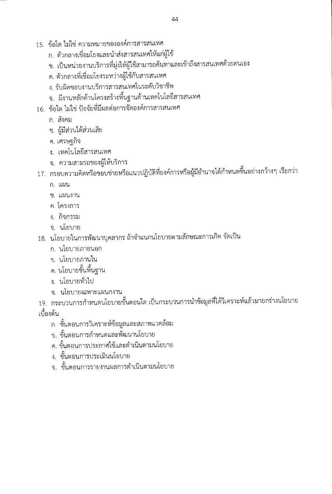- 15. ข้อใด ไม่ใช่ ความหมายขององค์การสารสนเทศ
	- ก. ตัวกลางเชื่อมโยงและนำส่งสารสนเทศให้แก่ผู้ใช้
	- ข. เป็นหน่วยงานบริการที่มุ่งให้ผู้ใช้สามารถค้นหาและเข้าถึงสารสนเทศด้วยตนเอง
	- ค. ตัวกลางที่เชื่อมโยงระหว่างผู้ใช้กับสารสนเทศ
	- ง. รับผิดชอบงานบริการสารสนเทศในระดับวิชาชีพ
	- ึจ. มีงานหลักด้านโครงสร้างพื้นฐานด้านเทคโนโลยีสารสนเทศ
- 16. ข้อใด ไม่ใช่ ปัจจัยที่มีผลต่อการจัดองค์การสารสนเทศ
	- ก. สังคม
	- ข. ผู้มีส่วนได้ส่วนเสีย
	- ค. เศรษฐกิจ
	- ึง. เทคโนโลยีสารสนเทศ
	- จ. ความสามรถของผู้ให้บริการ
- 17. กรอบความคิดหรือขอบข่ายหรือแนวปฏิบัติที่องค์การหรือผู้มีอำนาจได้กำหนดขึ้นอย่างกว้างๆ เรียกว่า
	- ก. แผน
	- ข. แผนงาน
	- ค. โครงการ
	- ง. กิจกรรม
	- จ. นโยบาย
- 18. นโยบายในการพัฒนาบุคลากร ถ้าจำแนกนโยบายตามลักษณะการเกิด จัดเป็น
	- ึก, นโยบายภายนอก
	- ข. นโยบายภานใน
	- ี ค. นโยบายขั้นพื้นฐาน
	- ง. นโยบายทั่วไป
	- จ. นโยบายเฉพาะแผนกงาน
- 19. กระบวนการกำหนดนโยบายขั้นตอนใด เป็นกระบวนการนำข้อมูลที่ได้วิเคราะห์แล้วมายกร่างนโยบาย เบื้องต้น
	- ึก. ขั้นตอนการวิเคราะห์ข้อมูลและสภาพแวดล้อม
	- ข. ขั้นตอนการกำหนดและพัฒนานโยบาย
	- ึค. ขั้นตอนการประกาศใช้และดำเนินตามนโยบาย
	- ง. ขั้นตอนการประเมินนโยบาย
	- ึจ. ขั้นตอนการรายงานผลการดำเนินตามนโยบาย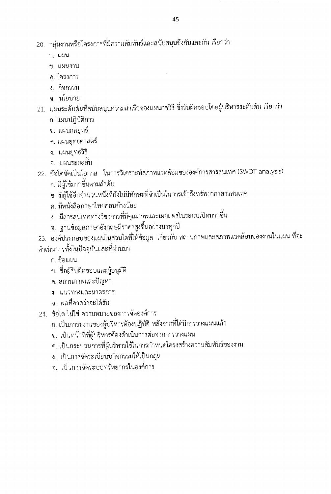- ก แผบ
- ข. แผนงาน
- ค. โครงการ
- ง. กิจกรรม
- จ. นโยบาย
- 21. แผนระดับต้นที่สนับสนุนความสำเร็จของแผนกลวิธี ซึ่งรับผิดชอบโดยผู้บริหารระดับต้น เรียกว่า
	- ก. แผนปฏิบัติการ
	- ข. แผนกลยุทธ์
	- ค. แผนยุทธศาสตร์
	- ง. แผนยุทธวิธี
	- ิจ. แผนระยะสั้น
- 22. ข้อใดจัดเป็นโอกาส ในการวิเคราะห์สภาพแวดล้อมขององค์การสารสนเทศ (SWOT analysis)
	- ก. มีผู้ใช้มากขึ้นตามลำดับ
	- ข. มีผู้ใช้อีกจำนวนหนึ่งที่ยังไม่มีทักษะที่จำเป็นในการเข้าถึงทรัพยากรสารสนเทศ
	- ค. มีหนังสือภาษาไทยค่อนข้างน้อย
	- ง. มีสารสนเทศทางวิชาการที่มีคุณภาพและเผยแพร่ในระบบเปิดมากขึ้น
	- จ. ฐานข้อมูลภาษาอังกฤษมีราคาสูงขึ้นอย่างมาทุกปี
- 23. องค์ประกอบของแผนในส่วนใดที่ให้ข้อมูล เกี่ยวกับ สถานภาพและสภาพแวดล้อมของงานในแผน ที่จะ ดำเนินการทั้งในปัจจุบันและที่ผ่านมา
	- ึก. ชื่อแผน
	- ข. ชื่อผู้รับผิดชอบและผู้อนุมัติ
	- ค. สถานภาพและปัญหา
	- ง. แนวทางและมาตรการ
	- ิจ. ผลที่คาดว่าจะได้รับ
- 24. ข้อใด ไม่ใช่ ความหมายของการจัดองค์การ
	- ก. เป็นภาระงานของผู้บริหารต้องปฏิบัติ หลังจากที่ได้มีการวางแผนแล้ว
	- ข. เป็นหน้าที่ที่ผู้บริหารต้องดำเนินการต่อจากการวางแผน
	- ค. เป็นกระบวนการที่ผู้บริหารใช้ในการกำหนดโครงสร้างความสัมพันธ์ของงาน
	- ง. เป็นการจัดระเบียบบกิจกรรมให้เป็นกลุ่ม
	- ึจ เป็นการจัดระบบทรัพยากรในองค์การ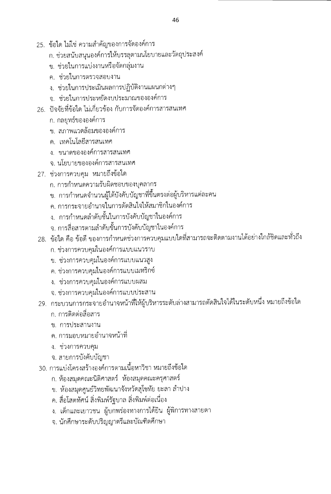- 25. ข้อใด ไม่ใช่ ความสำคัญของการจัดองค์การ
	- n. ช่วยสนับสนุนองค์การให้บรรลุตามนโยบายและวัตถุประสงค์
	- ึ ข. ช่วยในการแบ่งงานหรือจัดกลุ่มงาน
	- ค. ช่วยในการตรวจสอบงาน
	- ง. ช่วยในการประเมินผลการปฏิบัติงานแผนกต่างๆ
	- จ. ช่วยในการประหยัดงบประมาณขององค์การ
- 26. ปัจจัยที่ข้อใด ไม่เกี่ยวข้อง กับการจัดองค์การสารสนเทศ
	- ก. กลยุทธ์ขององค์การ
	- ข. สภาพแวดล้อมขององค์การ
	- ิ ค. เทคโนโลยีสารสนเทศ
	- ง. ขนาดขององค์การสารสนเทศ
	- ิจ. นโยบายขององค์การสารสนเทศ
- 27. ช่วงการควบคุม
	- n. การกำหนดความรับผิดชอบของบุคลากร
	- ข. การกำหนดจำนวนผู้ใต้บังคับบัญชาที่ขึ้นตรงต่อผู้บริหารแต่ละคน
	- n-15n5rAnugnlidtun-15kScilk11)1'nrAn11,214n1
	- ึง. การกำหนดลำดับชั้นในการบังคับบัญชาในองค์การ
	- ่ จ. การสื่อสารตามลำดับขั้นการบังคับบัญชาในองค์การ
- 28. ข้อใด คือ ข้อดี ของการกำหนดช่วงการควบคุมแบบใดที่สามารถจะติดตามงานได้อย่างใกล้ชิดและทั่วถึง
	- n. ช่วงการควบคุมในองค์การแบบแนวราบ
	- ข. ช่วงการควบคุมในองค์การแบบแนวสูง
	- ี ค. ช่วงการควบคุมในองค์การแบบเมทริกซ์
	- ง. ช่วงการควบคุมในองค์การแบบผสม
	- ่ จ. ช่วงการควบคุมในองค์การแบบประสาน
- 29. กระบวนการกระจายอำนาจหน้าที่ให้ผู้บริหารระดับล่างสามารถตัดสินใจได้ในระดับหนึ่ง หมายถึงข้อใด
	- n.
	- ๆ การประสานงาน
	- ค. การมอบหมายอำนาจหน้าที่
	- ง. ช่วงการควบคุม
	- จ. สายการบังคับบัญชา
- 30. การแบ่งโครงสร้างองค์การตามเนื้อหาวิชา หมายถึงข้อใด
	- ก. ห้องสมุดคณะนิติศาสตร์ ห้องสมุดคณะครุศาสตร์
	- ข. ห้องสมุดศูนย์วิทยพัฒนาจังหวัดสุโขทัย ยะลา ลำปาง
	- ค. สื่อโสตทัศน์ สิ่งพิมพ์รัฐบาล สิ่งพิมพ์ต่อเนื่อง
	- ง. เด็กและเยาวชน ผู้บกพร่องทางการได้ยิน ผู้พิการทางสายตา
	- . นักศึกษาระดับปริญญาตริและบัณฑิตศึกษา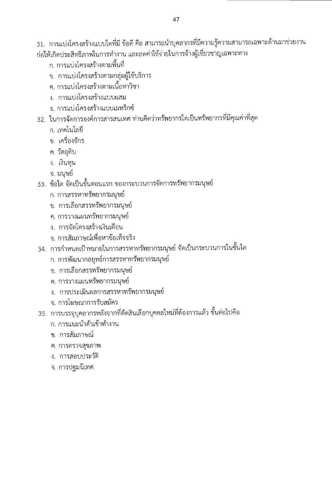31. การแบ่งโครงสร้างแบบใดที่มี ข้อดี คือ สามารถนำบุคลากรที่มีความรู้ความสามารถเฉพาะด้านมาช่วยงาน ก่อให้เกิดประสิทธิภาพในการทำงาน และลดค่าใช้จ่ายในการจ้างผู้เชี่ยวชาญเฉพาะทาง

- ก. การแบ่งโครงสร้างตามพื้นที่
- ข. การแบ่งโครงสร้างตามกลุ่มผู้ใช้บริการ
- ค. การแบ่งโครงสร้างตามเนื้อหาวิชา
- ง. การแบ่งโครงสร้างแบบผสม
- ึจ. การแบ่งโครงสร้างแบบเมทริกซ์
- 32. ในการจัดการองค์การสารสนเทศ ท่านคิดว่าทรัพยากรใดเป็นทรัพยากรที่มีคุณค่าที่สุด
	- ึก. เทคโนโลยี
	- ข. เครื่องจักร
	- ค. วัตถุดิบ
	- ง. เงินทุน
	- จ. มนุษย์
- 33. ข้อใด จัดเป็นขั้นตอนแรก ของกระบวนการจัดการทรัพยากรมนุษย์
	- ึก. การสรรหาทรัพยากรมนุษย์
	- ข. การเลือกสรรทรัพยากรมนุษย์
	- ค. การวางแผนทรัพยากรมนุษย์
	- ง. การจัดโครงสร้างเงินเดือน
	- ิจ. การสัมภาษณ์เพื่อหาข้อเท็จจริง
- 34. การกำหนดเป้าหมายในการสรรหาทรัพยากรมนุษย์ จัดเป็นกระบวนการในขั้นใด
	- ึก. การพัฒนากลยุทธ์การสรรหาทรัพยากรมนุษย์
	- ึข. การเลือกสรรทรัพยากรมนุษย์
	- ค. การวางแผนทรัพยากรมนุษย์
	- ง. การประเมินผลการสรรหาทรัพยากรมนุษย์
	- จ. การโฆษณาการรับสมัคร
- 35. การบรรจุบุคลากรหลังจากที่ตัดสินเลือกบุคคลใหม่ที่ต้องการแล้ว ขั้นต่อไปคือ
	- ึก. การแนะนำตัวเข้าทำงาน
	- ข. การสัมภาษณ์
	- ค. การตรวจสุขภาพ
	- ง. การสอบประวัติ
	- จ. การปฐมนิเทศ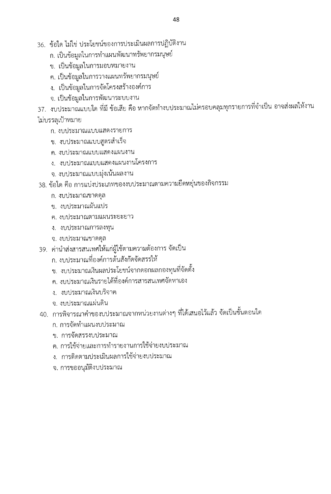- 36. ข้อใด ไม่ใช่ ประโยชน์ของการประเมินผลการปฏิบัติงาน
	- ก. เป็นข้อมูลในการทำแผนพัฒนาทรัพยากรมนุษย์
	- ข. เป็นข้อมูลในการมอบหมายงาน
	- ค. เป็นข้อมูลในการวางแผนทรัพยากรมนุษย์
	- ึง. เป็นข้อมูลในการจัดโครงสร้างองค์การ
	- จ. เป็นข้อมูลในการพัฒนาระบบงาน

37. งบประมาณแบบใด ที่มี ข้อเสีย คือ หากจัดทำงบประมาณไม่ครอบคลุมทุกรายการที่จำเป็น อาจส่งผลให้งาน ไม่บรรลุเป้าหมาย

- ก. งบประมาณแบบแสดงรายการ
- ข. งบประมาณแบบสูตรสำเร็จ
- ค. งบประมาณแบบแสดงแผนงาน
- ง. งบประมาณแบบแสดงแผนงานโครงการ
- จ. งบประมาณแบบมุ่งเน้นผลงาน
- 38. ข้อใด คือ การแบ่งประเภทของงบประมาณตามความยืดหยุ่นของกิจกรรม
	- ก. งบประมาณขาดดุล
	- ข. งบประมาณผันแปร
	- ค. งบประมาณตามแผนระยะยาว
	- ง. งบประมาณการลงทุน
	- จ. งบประมาณขาดดุล
- 39. ค่านำส่งสารสนเทศให้แก่ผู้ใช้ตามความต้องการ จัดเป็น
	- ึก. งบประมาณที่องค์การต้นสังกัดจัดสรรให้
	- ข. งบประมาณเงินผลประโยชน์จากดอกผลกองทุนที่จัดตั้ง
	- ค. งบประมาณเงินรายได้ที่องค์การสารสนเทศจัดหาเอง
	- ง งบประมาณเงินบริจาค
	- จ. งบประมาณแผ่นดิน
- 40. การพิจารณาคำของบประมาณจากหน่วยงานต่างๆ ที่ได้เสนอไว้แล้ว จัดเป็นขั้นตอนใด
	- ึก. การจัดทำแผนงบประมาณ
	- ข. การจัดสรรงบประมาณ
	- ค. การใช้จ่ายและการทำรายงานการใช้จ่ายงบประมาณ
	- ง. การติดตามประเมินผลการใช้จ่ายงบประมาณ
	- จ. การขออนุมัติงบประมาณ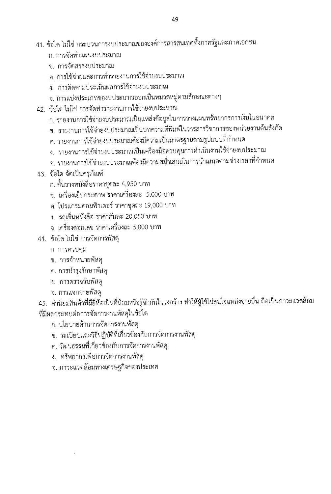- 41. ข้อใด ไม่ใช่ กระบวนการงบประมาณขององค์การสารสนเทศทั้งภาครัฐและภาคเอกชน
	- ก. การจัดทำแผนงบประมาณ
	- ๆ การจัดสรรงบประมาณ
	- ค. การใช้จ่ายและการทำรายงานการใช้จ่ายงบประมาณ
	- ง. การติดตามประเมินผลการใช้จ่ายงบประมาณ
	- จ. การแบ่งประเภทของบประมาณออกเป็นหมวดหมู่ตามลักษณะต่างๆ
- 42. ข้อใด ไม่ใช่ การจัดทำรายงานการใช้จ่ายงบประมาณ
	- ก. รายงานการใช้จ่ายงบประมาณเป็นแหล่งข้อมูลในการวางแผนทรัพยากรการเงินในอนาคต
	- ข. รายงานการใช้จ่ายงบประมาณเป็นบทความตีพิมพ์ในวารสารวิชาการของหน่วยงานต้นสังกัด
	- ค. รายงานการใช้จ่ายงบประมาณต้องมีความเป็นมาตรฐานตามรูปแบบที่กำหนด
	- ง. รายงานการใช้จ่ายงบประมาณเป็นเครื่องมือควบคุมการดำเนินงานใช้จ่ายงบประมาณ
	- จ. รายงานการใช้จ่ายงบประมาณต้องมีความสม่ำเสมอในการนำเสนอตามช่วงเวลาที่กำหนด
- 43. ข้อใด จัดเป็นครุภัณฑ์
	- ึก. ชั้นวางหนังสือราคาชุดละ 4,950 บาท
	- ข. เครื่องเย็บกระดาษ ราคาเครื่องละ 5,000 บาท
	- ึค. โปรแกรมคอมพิวเตอร์ ราคาชุดละ 19,000 บาท
	- ง. รถเข็นหนังสือ ราคาคันละ 20,050 บาท
	- จ. เครื่องตอกเลข ราคาเครื่องละ 5,000 บาท
- 44. ข้อใด ไม่ใช่ การจัดการพัสดุ
	- ก. การควบคุม
	- ข. การจำหน่ายพัสดุ
	- ี ค. การบำรุงรักษาพัสดุ
	- ง. การตรวจรับพัสดุ
	- จ. การแจกจ่ายพัสดุ

45. ค่านิยมสินค้าที่มียี่ห้อเป็นที่นิยมหรือรู้จักกันในวงกว้าง ทำให้ผู้ใช้ไม่สนใจแหล่งขายอื่น ถือเป็นภาวะแวดล้อม ที่มีผลกระทบต่อการจัดการงานพัสดุในข้อใด

- ก. นโยบายด้านการจัดการงานพัสดุ
- ข. ระเบียบและวิธีปฏิบัติที่เกี่ยวข้องกับการจัดการงานพัสดุ
- ค. วัฒนธรรมที่เกี่ยวข้องกับการจัดการงานพัสดุ
- ง. ทรัพยากรเพื่อการจัดการงานพัสดุ
- จ. ภาวะแวดล้อมทางเศรษฐกิจของประเทศ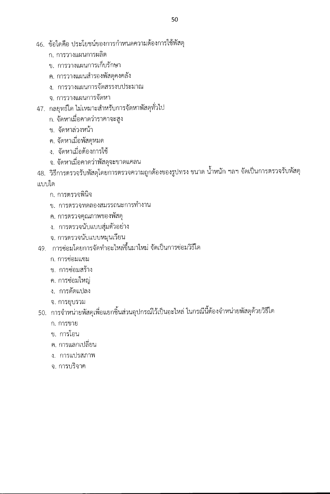- 46. ข้อใดคือ ประโยชน์ของการกำหนดความต้องการใช้พัสดุ
	- ก. การวางแผนการผลิต
	- ข. การวางแผนการเก็บรักษา
	- ค. การวางแผนสำรองพัสดุคงคลัง
	- ง. การวางแผนการจัดสรรงบประมาณ
	- จ การวางแผนการจัดหา
- 47. กลยุทธ์ใด ไม่เหมาะสำหรับการจัดหาพัสดุทั่วไป
	- ึก. จัดหาเมื่อคาดว่าราคาจะสูง
	- ข. จัดหาล่วงหน้า
	- ค. จัดหาเมื่อพัสดุหมด
	- ง. จัดหาเมื่อต้องการใช้
	- ึจ. จัดหาเมื่อคาดว่าพัสดุจะขาดแคลน
- 48. วิธีการตรวจรับพัสดุโดยการตรวจความถูกต้องของรูปทรง ขนาด น้ำหนัก ฯลฯ จัดเป็นการตรวจรับพัสดุ แบบใด
	- ก. การตรวจพินิจ
	- ข. การตรวจทดลองสมรรถนะการทำงาน
	- ค. การตรวจคุณภาพของพัสดุ
	- ง. การตรวจนับแบบสุ่มตัวอย่าง
	- จ. การตรวจนับแบบหมุนเวียน
- 49. การซ่อมโดยการจัดทำอะไหล่ขึ้นมาใหม่ จัดเป็นการซ่อมวิธีใด
	- ก. การซ่อมแซม
	- ข. การซ่อมสร้าง
	- ค. การซ่อมใหญ่
	- ง. การดัดแปลง
	- จ. การยุบรวม
- 50. การจำหน่ายพัสดุเพื่อแยกชิ้นส่วนอุปกรณ์ไว้เป็นอะไหล่ ในกรณีนี้ต้องจำหน่ายพัสดุด้วยวิธีใด
	- ก. การขาย
	- ข. การโอน
	- ิ ค. การแลกเปลี่ยน
	- ง. การแปรสภาพ
	- จ. การบริจาค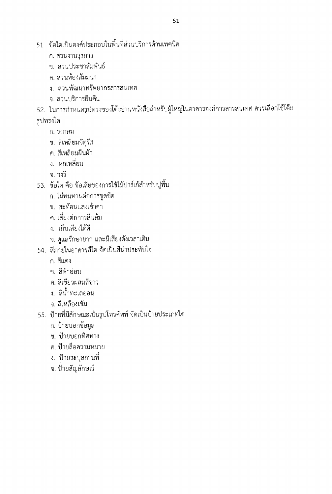- 51. ข้อใดเป็นองค์ประกอบในพื้นที่ส่วนบริการด้านเทคนิค
	- ก. ส่วนงานธุรการ
	- ข. ส่วนประชาสัมพันธ์
	- ค. ส่วนห้องสัมมนา
	- ง. ส่วนพัฒนาทรัพยากรสารสนเทศ
	- จ. ส่วนบริการยืมคืน
- 52. ในการกำหนดรูปทรงของโต๊ะอ่านหนังสือสำหรับผู้ใหญ่ในอาคารองค์การสารสนเทศ ควรเลือกใช้โต๊ะ รูปทรงใด
	- ก. วงกลม
	- ข. สี่เหลี่ยมจัตุรัส
	- ค. สี่เหลี่ยมผืนผ้า
	- ึง หกเหลี่ยม
	- จ. วงรี
- 53. ข้อใด คือ ข้อเสียของการใช้ไม้ปาร์เก้สำหรับปูพื้น
	- ก. ไม่ทนทานต่อการขูดขีด
	- ข. สะท้อนแสงเข้าตา
	- ค. เสี่ยงต่อการลื่นล้ม
	- ง. เก็บเสียงได้ดี
	- จ. ดูแลรักษายาก และมีเสียงดังเวลาเดิน
- 54. สีภายในอาคารสึใด จัดเป็นสีน่าประทับใจ
	- ก สีแดง
	- ข. สีฟ้าอ่อน
	- ค. สีเขียวผสมสีขาว
	- ง. สีน้ำทะเลอ่อน
	- จ. สีเหลืองเข้ม
- 55. ป้ายที่มีลักษณะเป็นรูปโทรศัพท์ จัดเป็นป้ายประเภทใด
	- ก. ป้ายบอกข้อมูล
	- ข. ป้ายบอกทิศทาง
	- ค. ป้ายสื่อความหมาย
	- ึง. ป้ายระบุสถานที่
	- จ. ป้ายสัญลักษณ์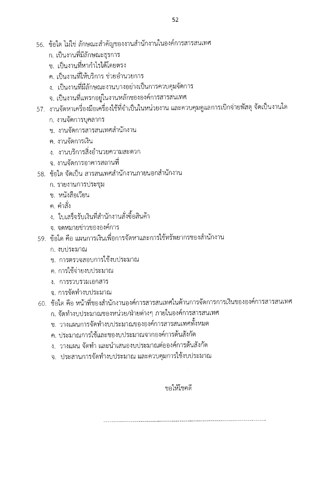- 56. ข้อใด ไม่ใช่ ลักษณะสำคัญของงานสำนักงานในองค์การสารสนเทศ
	- ึก. เป็นงานที่มีลักษณะธุรการ
	- ข. เป็นงานที่หากำไรได้โดยตรง
	- ค. เป็นงานที่ให้บริการ ช่วยอำนวยการ
	- ึง. เป็นงานที่มีลักษณะงานบางอย่างเป็นการควบคุมจัดการ
	- จ. เป็นงานที่แทรกอยู่ในงานหลักขององค์การสารสนเทศ
- 57. งานจัดหาเครื่องมือเครื่องใช้ที่จำเป็นในหน่วยงาน และควบคุมดูแลการเบิกจ่ายพัสดุ จัดเป็นงานใด
	- ึก. งานจัดการบุคลากร
	- ์ข งานจัดการสารสนเทศสำนักงาน
	- ค. งานจัดการเงิน
	- ึง. งานบริการสิ่งอำนวยความสะดวก
	- ึจ. งานจัดการอาคารสถานที่
- 58. ข้อใด จัดเป็น สารสนเทศสำนักงานภายนอกสำนักงาน
	- ก. รายงานการประชุม
	- ๆ หนังสือเวียน
	- ค. คำสั่ง
	- ง. ใบเสร็จรับเงินที่สำนักงานสั่งซื้อสินค้า
	- ิจ. จดหมายข่าวขององค์การ
- 59. ข้อใด คือ แผนการเงินเพื่อการจัดหาและการใช้ทรัพยากรของสำนักงาน
	- ก. งบประมาณ
	- ข. การตรวจสอบการใช้งบประมาณ
	- ค. การใช้จ่ายงบประมาณ
	- ง. การรวบรวมเอกสาร
	- จ. การจัดทำงบประมาณ
- 60. ข้อใด คือ หน้าที่ของสำนักงานองค์การสารสนเทศในด้านการจัดการการเงินขององค์การสารสนเทศ
	- ก. จัดทำงบประมาณของหน่วย/ฝ่ายต่างๆ ภายในองค์การสารสนเทศ
	- ี ข. วางแผนการจัดทำงบประมาณขององค์การสารสนเทศทั้งหมด
	- ิ ค. ประมาณการใช้และของบประมาณจากองค์การต้นสังกัด
	- ึง. วางแผน จัดทำ และนำเสนองบประมาณต่อองค์การต้นสังกัด
	- จ. ประสานการจัดทำงบประมาณ และควบคุมการใช้งบประมาณ

#### ขอให้โชคดี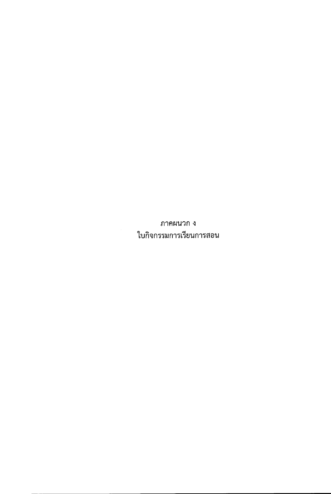ภาคผนวก ง ใบกิจกรรมการเรียนการสอน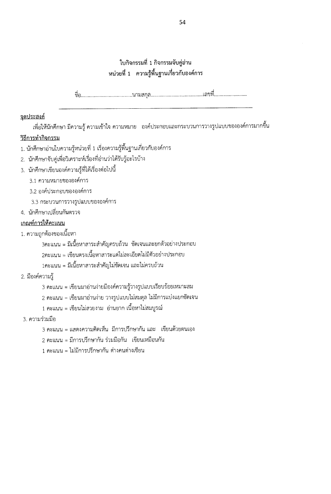#### ใบกิจกรรมที่ 1 กิจกรรมจับคู่อ่าน หน่วยที่ 1 ความรู้พื้นฐานเกี่ยวกับองค์การ

#### จุดประสงค์

เพื่อให้นักศึกษา มีความรู้ ความเข้าใจ ความหมาย องค์ประกอบและกระบวนการวางรูปแบบขององค์การมากขึ้น

#### วิธีการทำกิจกรรม

- 1. นักศึกษาอ่านใบความรู้หน่วยที่ 1 เรื่องความรู้พื้นฐานเกี่ยวกับองค์การ
- 2. นักศึกษาจับคู่เพื่อวิเคราะห์เรื่องที่อ่านว่าได้รับรู้อะไรบ้าง
- 3. นักศึกษาเขียนองค์ความรู้ที่ได้เรื่องต่อไปนี้
	- 3.1 ความหมายขององค์การ
	- 3.2 องค์ประกอบขององค์การ
	- 3.3 กระบวนการวางรูปแบบขององค์การ
- 4. นักศึกษาเปลี่ยนกันตรวจ

#### เกณฑ์การให้คะแนน

- 1. ความถูกต้องของเนื้อหา
	- 3คะแนน = มีเนื้อหาสาระสำคัญครบถ้วน ขัดเจนและยกตัวอย่างประกอบ
	- 2คะแนน = เขียนตรงเนื้อหาสาระแต่ไม่ละเอียดไม่มีตัวอย่างประกอบ
	- 1คะแนน = มีเนื้อหาสาระสำคัญไม่ชัดเจน และไม่ครบถ้วน
- 2. มืองค์ความรู้
	- 3 คะแนน = เชียนมาอ่านง่ายมีองค์ความรู้วางรูปแบบเรียบร้อยเหมาะสม
	- 2 คะแนน = เชียนมาอ่านง่าย วางรูปแบบไม่สมดุล ไม่มีการแบ่งแยกชัดเจน
	- 1 คะแนน = เขียนไม่สวยงาม อ่านยาก เนื้อหาไม่สมบูรณ์
- 3. ความร่วมมือ
	- 3 คะแนน = แสดงความคิดเห็น มีการปรึกษากัน และ เชียนด้วยตนเอง
	- 2 คะแนน = มีการปรึกษากัน ร่วมมือกัน เขียนเหมือนกัน
	- 1 คะแนน = ไม่มีการปรึกษากัน ต่างคนต่างเขียน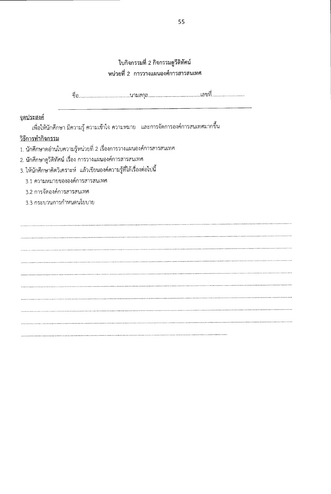#### ใบกิจกรรมที่ 2 กิจกรรมดูวีติทัศน์ หน่วยที่ 2 การวางแผนองศ์การสารสนเทศ

#### จุดประสงค์

เพื่อให้นักศึกษา มีความรู้ ความเข้าใจ ความหมาย และการจัดการองค์การสนเทศมากขึ้น

#### <u>วิธีการทำกิจกรรม</u>

- 1. นักศึกษาดอ่านใบความรู้หน่วยที่ 2 เรื่องการวางแผนองค์การสารสนเทศ
- 2. นักศึกษาดูวีดิทัศน์ เรื่อง การวางแผนองค์การสารสนเทศ
- 3. ให้นักศึกษาคิดวิเคราะห์ แล้วเขียนองค์ความรู้ที่ได้เรื่องต่อไปนี้
	- 3.1 ความหมายขององค์การสารสนเทศ
	- 3.2 การจัดองค์การสารสนเทศ
	- 3.3 กระบวนการกำหนดนโยบาย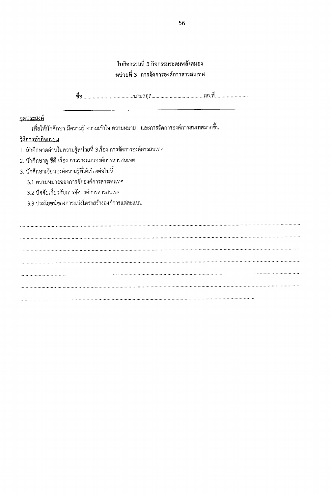#### ใบกิจกรรมที่ 3 กิจกรรมระดมพลังสมอง หน่วยที่ 3 การจัดการองศ์การสารสนเทศ

#### จุดประสงค์

เพื่อให้นักศึกษา มีความรู้ ความเข้าใจ ความหมาย และการจัดการองค์การสนเทศมากขึ้น

#### วิธีการทำกิจกรรม

1. นักศึกษาดอ่านใบความรู้หน่วยที่ 3เรื่อง การจัดการองค์สารสนเทศ

- 2. นักศึกษาดู ซีดี เรื่อง การวางแผนองค์การสารสนเทศ
- 3. นักศึกษาเขียนองค์ความรู้ที่ได้เรื่องต่อไปนี้

3.1 ความหมายของการจัดองค์การสารสนเทศ

3.2 ปัจจัยเกี่ยวกับการจัดองค์การสารสนเทศ

3.3 ประโยชน์ของการแบ่งโครงสร้างองค์การแต่ละแบบ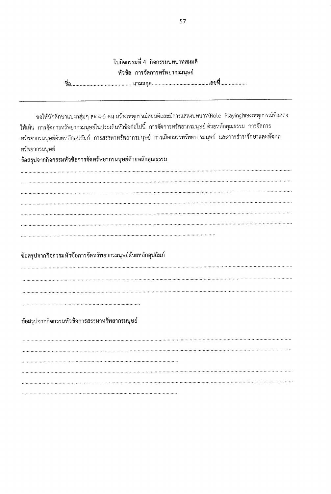ใบกิจกรรมที่ 4 กิจกรรมบทบาทสมมติ หัวข้อ การจัดการทรัพยากรมนุษย์ 

ขอให้นักศึกษาแบ่งกลุ่มๆ ละ 4-5 คน สร้างเหตุการณ์สมมติและมีการแสดงบทบาท(Role Playing)ของเหตุการณ์ที่แสดง ให้เห็น การจัดการทรัพยากรมนุษย์ในประเด็นหัวข้อต่อไปนี้ การจัดการทรัพยากรมนุษย์ ด้วยหลักคุณธรรม การจัดการ ทรัพยากรมนุษย์ด้วยหลักอุปถัมภ์ การสรรหาทรัพยากรมนุษย์ การเลือกสรรทรัพยากรมนุษย์ และการธำรงรักษาและพัฒนา ทรัพยากรมนุษย์

ข้อสรุปจากกิจกรรมหัวข้อการจัดทรัพยากรมนุษย์ด้วยหลักคุณธรรม

ข้อสรุปจากกิจกรรมหัวข้อการจัดทรัพยากรมนุษย์ด้วยหลักอุปถัมภ์

ข้อสรุปจากกิจกรรมหัวข้อการสรรหาทรัพยากรมนุษย์

and the contract of the contract of the contract of the contract of the contract of the contract of the contract of the contract of the contract of the contract of the contract of the contract of the contract of the contra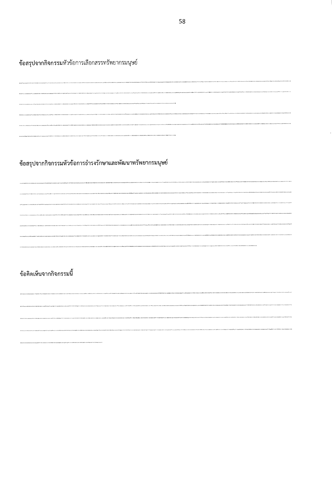ข้อสรุปจากกิจกรรมหัวข้อการเลือกสรรทรัพยากรมนุษย์

ข้อสรุปจากกิจกรรมหัวข้อการธำรงรักษาและพัฒนาทรัพยากรมนุษย์

#### ข้อคิดเห็นจากกิจกรรมนี้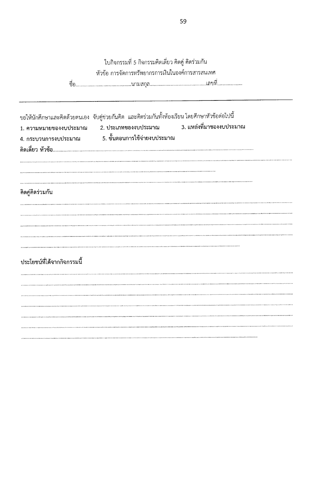|                             | ใบกิจกรรมที่ 5 กิจกรรมคิดเดี่ยว คิดคู่ คิดร่วมกัน                                               |                          |
|-----------------------------|-------------------------------------------------------------------------------------------------|--------------------------|
|                             | หัวข้อ การจัดการทรัพยากรการเงินในองค์การสารสนเทศ                                                |                          |
|                             |                                                                                                 |                          |
|                             | ขอให้นักศึกษาและคิดด้วยตนเอง จับคู่ซ่วยกันคิด และคิดร่วมกันทั้งห้องเรียน โดยศึกษาหัวข้อต่อไปนี้ |                          |
| 1. ความหมายของงบประมาณ      | 2. ประเภทของงบประมาณ<br>4. กระบวนการงบประมาณ               5. ขั้นตอนการใช้จ่ายงบประมาณ         | 3. แหล่งที่มาของงบประมาณ |
|                             |                                                                                                 |                          |
| คิดคู่คิดร่วมกัน            |                                                                                                 |                          |
|                             |                                                                                                 |                          |
|                             |                                                                                                 |                          |
|                             |                                                                                                 |                          |
|                             |                                                                                                 |                          |
|                             |                                                                                                 |                          |
| ประโยชน์ที่ได้จากกิจกรรมนี้ |                                                                                                 |                          |
|                             |                                                                                                 |                          |
|                             |                                                                                                 |                          |
|                             |                                                                                                 |                          |
|                             |                                                                                                 |                          |
|                             |                                                                                                 |                          |
|                             |                                                                                                 |                          |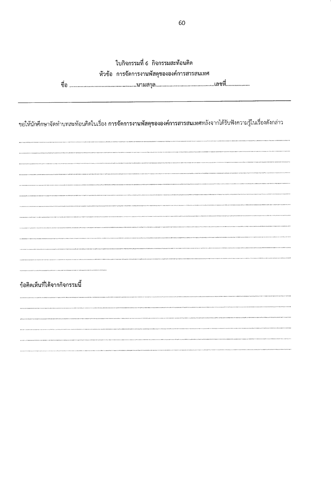| ใบกิจกรรมที่ 6 กิจกรรมสะท้อนคิด<br>หัวข้อ การจัดการงานพัสดุขององค์การสารสนเทศ                                                  |
|--------------------------------------------------------------------------------------------------------------------------------|
| ขอให้นักศึกษาจัดทำบทสะท้อนคิดในเรื่อง <mark>การจัดการงานพัสดุขององค์การสารสนเทศ</mark> หลังจากได้รับฟังความรู้ในเรื่องดังกล่าว |
|                                                                                                                                |
|                                                                                                                                |
|                                                                                                                                |
|                                                                                                                                |
|                                                                                                                                |
| ข้อคิดเห็นที่ได้จากกิจกรรมนี้                                                                                                  |
|                                                                                                                                |
|                                                                                                                                |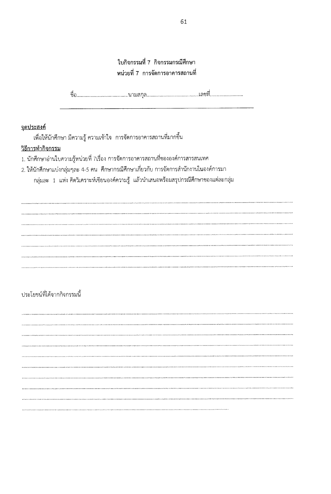#### ใบกิจกรรมที่ 7 กิจกรรมกรณีศึกษา หน่วยที่ 7 การจัดการอาคารสถานที่

#### <u>จุดประสงค์</u>

เพื่อให้นักศึกษา มีความรู้ ความเข้าใจ การจัดการอาคารสถานที่มากชื้น

#### <u>วิธีการทำกิจกรรม</u>

- 1. นักศึกษาอ่านใบความรู้หน่วยที่ 7เรื่อง การจัดการอาคารสถานที่ชององค์การสารสนเทศ
- 2. ให้นักศึกษาแบ่งกลุ่มๆละ 4-5 คน ศึกษากรณีศึกษาเกี่ยวกับ การจัดการสำนักงานในองค์การมา

กลุ่มละ 1 แห่ง คิดวิเคราะห์เชียนองค์ความรู้ แล้วนำเสนอพร้อมสรุปกรณีศึกษาของแต่ละกลุ่ม

#### ประโยชน์ที่ได้จากกิจกรรมนี้

 $\frac{1}{2}$  ,  $\frac{1}{2}$  ,  $\frac{1}{2}$  ,  $\frac{1}{2}$  ,  $\frac{1}{2}$  ,  $\frac{1}{2}$  ,  $\frac{1}{2}$  ,  $\frac{1}{2}$  ,  $\frac{1}{2}$  ,  $\frac{1}{2}$  ,  $\frac{1}{2}$  ,  $\frac{1}{2}$  ,  $\frac{1}{2}$  ,  $\frac{1}{2}$  ,  $\frac{1}{2}$  ,  $\frac{1}{2}$  ,  $\frac{1}{2}$  ,  $\frac{1}{2}$  ,  $\frac{1$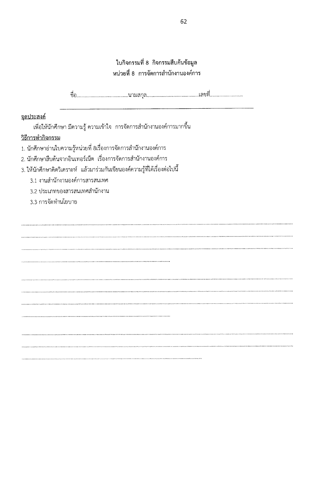# ใบกิจกรรมที่ 8 กิจกรรมสืบค้นข้อมูล<br>หน่วยที่ 8 การจัดการสำนักงานองค์การ

| จุดประสงค์                                                                    |  |  |  |  |  |  |  |  |  |  |  |
|-------------------------------------------------------------------------------|--|--|--|--|--|--|--|--|--|--|--|
| เพื่อให้นักศึกษา มีความรู้ ความเข้าใจ   การจัดการสำนักงานองค์การมากขึ้น       |  |  |  |  |  |  |  |  |  |  |  |
| วิธีการทำกิจกรรม                                                              |  |  |  |  |  |  |  |  |  |  |  |
| 1. นักศึกษาอ่านใบความรู้หน่วยที่ 8เรื่องการจัดการสำนักงานองค์การ              |  |  |  |  |  |  |  |  |  |  |  |
| 2. นักศึกษาสืบค้นจากอินเทอร์เน็ต  เรื่องการจัดการสำนักงานองค์การ              |  |  |  |  |  |  |  |  |  |  |  |
| 3. ให้นักศึกษาคิดวิเคราะห์  แล้วมาร่วมกันเขียนองค์ความรู้ที่ได้เรื่องต่อไปนี้ |  |  |  |  |  |  |  |  |  |  |  |
| 3.1 งานสำนักงานองค์การสารสนเทศ                                                |  |  |  |  |  |  |  |  |  |  |  |
| 3.2 ประเภทของสารสนเทศสำนักงาน                                                 |  |  |  |  |  |  |  |  |  |  |  |
| 3.3 การจัดทำนโยบาย                                                            |  |  |  |  |  |  |  |  |  |  |  |
|                                                                               |  |  |  |  |  |  |  |  |  |  |  |
|                                                                               |  |  |  |  |  |  |  |  |  |  |  |
|                                                                               |  |  |  |  |  |  |  |  |  |  |  |
|                                                                               |  |  |  |  |  |  |  |  |  |  |  |
|                                                                               |  |  |  |  |  |  |  |  |  |  |  |
|                                                                               |  |  |  |  |  |  |  |  |  |  |  |
|                                                                               |  |  |  |  |  |  |  |  |  |  |  |
|                                                                               |  |  |  |  |  |  |  |  |  |  |  |
|                                                                               |  |  |  |  |  |  |  |  |  |  |  |
|                                                                               |  |  |  |  |  |  |  |  |  |  |  |
|                                                                               |  |  |  |  |  |  |  |  |  |  |  |
|                                                                               |  |  |  |  |  |  |  |  |  |  |  |
|                                                                               |  |  |  |  |  |  |  |  |  |  |  |
|                                                                               |  |  |  |  |  |  |  |  |  |  |  |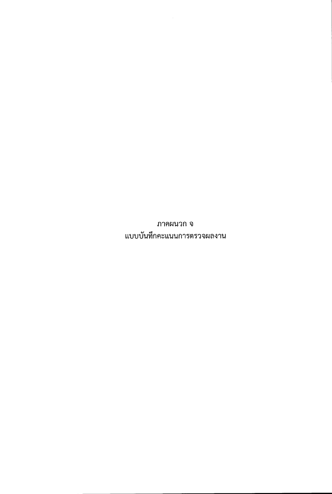ภาคผนวก จ แบบบันทึกคะแนนการตรวจผลงาน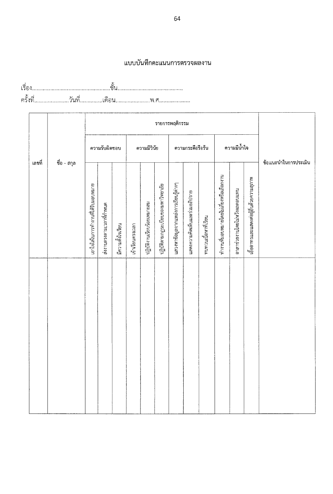#### แบบบันทึกคะแนนการตรวจผลงาน

|        |             |                                    | รายการพฤติกรรม           |                   |                  |                            |                                   |                                      |                               |                      |                                         |                               |                                         |                      |  |
|--------|-------------|------------------------------------|--------------------------|-------------------|------------------|----------------------------|-----------------------------------|--------------------------------------|-------------------------------|----------------------|-----------------------------------------|-------------------------------|-----------------------------------------|----------------------|--|
| เลขที่ |             |                                    | ความรับผิดชอบ            |                   |                  | ความมีวินัย                |                                   |                                      | ความกระตือรือร้น              |                      |                                         | ความมีน้ำใจ                   |                                         |                      |  |
|        | ชื่อ - สกุล | เอาใจใส่ในการทำงานที่ได้รับมอบหมาย | ส่งงานตรงตามเวลาที่กำหนด | มีความตั้งใจเรียน | เข้าเรียนตรงเวลา | ปฏิบัติงานเรียบร้อยเหมาะสม | ปฏิบัติตามกฏระเบียบของมหาวิทยาลัย | แสวงหาข้อมูลจากแหล่งการเรียนรู้ต่างๆ | แสดงความคิดเห็นและร่วมอภิปราย | ทบทวนเนื้อหาที่เรียน | ทำงานที่มอบหมายโดยไม่เกี่ยงหรือเลือกงาน | อาสาข่วยงานโดยไม่หวังผลตอบแหน | เอื้ออาทรและแสดงต่อผู้อื่นด้วยความสุภาพ | ข้อแนะนำในการประเมิน |  |
|        |             |                                    |                          |                   |                  |                            |                                   |                                      |                               |                      |                                         |                               |                                         |                      |  |